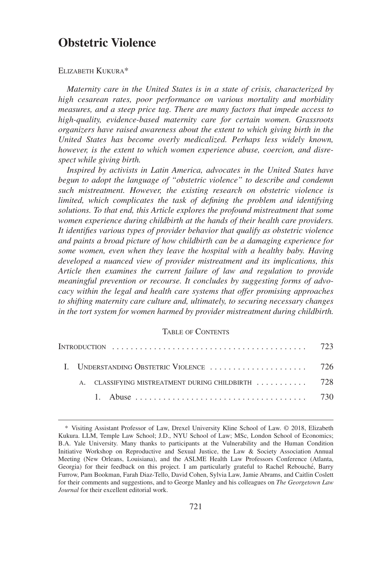# **Obstetric Violence**

## ELIZABETH KUKURA\*

*Maternity care in the United States is in a state of crisis, characterized by high cesarean rates, poor performance on various mortality and morbidity measures, and a steep price tag. There are many factors that impede access to high-quality, evidence-based maternity care for certain women. Grassroots organizers have raised awareness about the extent to which giving birth in the United States has become overly medicalized. Perhaps less widely known, however, is the extent to which women experience abuse, coercion, and disrespect while giving birth.* 

*Inspired by activists in Latin America, advocates in the United States have begun to adopt the language of "obstetric violence" to describe and condemn such mistreatment. However, the existing research on obstetric violence is limited, which complicates the task of defining the problem and identifying solutions. To that end, this Article explores the profound mistreatment that some women experience during childbirth at the hands of their health care providers. It identifies various types of provider behavior that qualify as obstetric violence and paints a broad picture of how childbirth can be a damaging experience for some women, even when they leave the hospital with a healthy baby. Having developed a nuanced view of provider mistreatment and its implications, this Article then examines the current failure of law and regulation to provide meaningful prevention or recourse. It concludes by suggesting forms of advocacy within the legal and health care systems that offer promising approaches to shifting maternity care culture and, ultimately, to securing necessary changes in the tort system for women harmed by provider mistreatment during childbirth.* 

## TABLE OF CONTENTS

|  | $In The$ during $1, 2, , , , , , , , 723$          |  |  |  |  |
|--|----------------------------------------------------|--|--|--|--|
|  |                                                    |  |  |  |  |
|  | A. CLASSIFYING MISTREATMENT DURING CHILDBIRTH  728 |  |  |  |  |
|  |                                                    |  |  |  |  |

<sup>\*</sup> Visiting Assistant Professor of Law, Drexel University Kline School of Law. © 2018, Elizabeth Kukura. LLM, Temple Law School; J.D., NYU School of Law; MSc, London School of Economics; B.A. Yale University. Many thanks to participants at the Vulnerability and the Human Condition Initiative Workshop on Reproductive and Sexual Justice, the Law & Society Association Annual Meeting (New Orleans, Louisiana), and the ASLME Health Law Professors Conference (Atlanta, Georgia) for their feedback on this project. I am particularly grateful to Rachel Rebouche, Barry ´ Furrow, Pam Bookman, Farah Diaz-Tello, David Cohen, Sylvia Law, Jamie Abrams, and Caitlin Coslett for their comments and suggestions, and to George Manley and his colleagues on *The Georgetown Law Journal* for their excellent editorial work.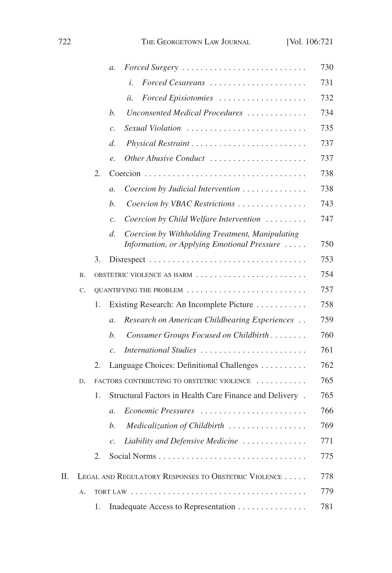|    |               |    | Forced Surgery<br>a.                                                                                 | 730 |
|----|---------------|----|------------------------------------------------------------------------------------------------------|-----|
|    |               |    | i.<br>Forced Cesareans                                                                               | 731 |
|    |               |    | ii.<br>Forced Episiotomies                                                                           | 732 |
|    |               |    | b.<br>Unconsented Medical Procedures                                                                 | 734 |
|    |               |    | Sexual Violation<br>$\mathcal{C}$ .                                                                  | 735 |
|    |               |    | d.                                                                                                   | 737 |
|    |               |    | Other Abusive Conduct<br>e.                                                                          | 737 |
|    |               | 2. |                                                                                                      | 738 |
|    |               |    | Coercion by Judicial Intervention<br>a.                                                              | 738 |
|    |               |    | $b$ .<br><i>Coercion by VBAC Restrictions</i> $\ldots \ldots \ldots \ldots$                          | 743 |
|    |               |    | Coercion by Child Welfare Intervention<br>$\mathcal{C}$ .                                            | 747 |
|    |               |    | Coercion by Withholding Treatment, Manipulating<br>d.<br>Information, or Applying Emotional Pressure | 750 |
|    |               | 3. | $Disrespect \dots \dots \dots \dots \dots \dots \dots \dots \dots \dots \dots \dots \dots$           | 753 |
|    | <b>B.</b>     |    | OBSTETRIC VIOLENCE AS HARM                                                                           | 754 |
|    | $C_{\bullet}$ |    |                                                                                                      | 757 |
|    |               | 1. | Existing Research: An Incomplete Picture                                                             | 758 |
|    |               |    | Research on American Childbearing Experiences<br>$a$ .                                               | 759 |
|    |               |    | Consumer Groups Focused on Childbirth<br>b.                                                          | 760 |
|    |               |    | International Studies<br>$\mathcal{C}$ .                                                             | 761 |
|    |               | 2. | Language Choices: Definitional Challenges                                                            | 762 |
|    | D.            |    | FACTORS CONTRIBUTING TO OBSTETRIC VIOLENCE                                                           | 765 |
|    |               | 1. | Structural Factors in Health Care Finance and Delivery.                                              | 765 |
|    |               |    | a. Economic Pressures                                                                                | 766 |
|    |               |    | Medicalization of Childbirth<br>b.                                                                   | 769 |
|    |               |    | Liability and Defensive Medicine<br>$\mathcal{C}$ .                                                  | 771 |
|    |               | 2. |                                                                                                      | 775 |
| H. |               |    | LEGAL AND REGULATORY RESPONSES TO OBSTETRIC VIOLENCE                                                 | 778 |
|    | A.            |    |                                                                                                      | 779 |
|    |               | 1. | Inadequate Access to Representation                                                                  | 781 |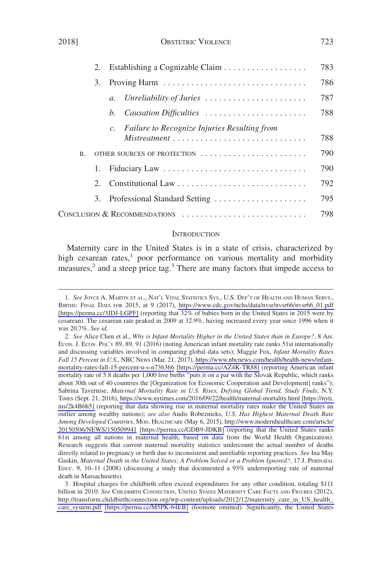<span id="page-2-0"></span>

|           | 2.          |                                                                              | 783 |
|-----------|-------------|------------------------------------------------------------------------------|-----|
|           | 3.          |                                                                              | 786 |
|           |             | Unreliability of Juries $\ldots \ldots \ldots \ldots \ldots \ldots$<br>$a$ . | 787 |
|           |             | Causation Difficulties<br>b.                                                 | 788 |
|           |             | Failure to Recognize Injuries Resulting from<br>$\mathcal{C}$ .              |     |
|           |             |                                                                              | 788 |
| <b>B.</b> |             | OTHER SOURCES OF PROTECTION                                                  | 790 |
|           |             |                                                                              | 790 |
|           | $2^{\circ}$ |                                                                              | 792 |
|           | 3.          | Professional Standard Setting                                                | 795 |
|           |             | CONCLUSION & RECOMMENDATIONS                                                 | 798 |

#### **INTRODUCTION**

Maternity care in the United States is in a state of crisis, characterized by high cesarean rates,<sup>1</sup> poor performance on various mortality and morbidity measures,<sup>2</sup> and a steep price tag.<sup>3</sup> There are many factors that impede access to

 <sup>1.</sup> *See* JOYCE A. MARTIN ET AL., NAT'L VITAL STATISTICS SYS., U.S. DEP'T OF HEALTH AND HUMAN SERVS., BIRTHS: FINAL DATA FOR 2015, at 9 (2017), https://www.cdc.gov/nchs/data/nvsr/nvsr66/nvsr66\_01.pdf [\[https://perma.cc/3JDJ-LGPF\]](https://perma.cc/3JDJ-LGPF) (reporting that 32% of babies born in the United States in 2015 were by cesarean). The cesarean rate peaked in 2009 at 32.9%, having increased every year since 1996 when it was 20.7%. *See id.* 

*See* Alice Chen et al., *Why is Infant Mortality Higher in the United States than in Europe?*,8AM. 2. ECON. J. ECON. POL'Y 89, 89, 91 (2016) (noting American infant mortality rate ranks 51st internationally and discussing variables involved in comparing global data sets); Maggie Fox, *Infant Mortality Rates Fall 15 Percent in U.S.*, NBC NEWS (Mar. 21, 2017), [https://www.nbcnews.com/health/health-news/infant](https://www.nbcnews.com/health/health-news/infant-mortality-rates-fall-15-percent-u-s-n736366)[mortality-rates-fall-15-percent-u-s-n736366](https://www.nbcnews.com/health/health-news/infant-mortality-rates-fall-15-percent-u-s-n736366) [\[https://perma.cc/AZ4K-TR88\]](https://perma.cc/AZ4K-TR88) (reporting American infant mortality rate of 5.8 deaths per 1,000 live births "puts it on a par with the Slovak Republic, which ranks about 30th out of 40 countries the [Organization for Economic Cooperation and Development] ranks"); Sabrina Tavernise, *Maternal Mortality Rate in U.S. Rises, Defying Global Trend, Study Finds*, N.Y. TIMES (Sept. 21, 2016),<https://www.nytimes.com/2016/09/22/health/maternal-mortality.html>[\[https://nyti.](https://nyti.ms/2k4B6h5)  [ms/2k4B6h5\]](https://nyti.ms/2k4B6h5) (reporting that data showing rise in maternal mortality rates make the United States an outlier among wealthy nations); *see also* Andis Robeznieks, *U.S. Has Highest Maternal Death Rate Among Developed Countries*, MOD. HEALTHCARE (May 6, 2015), [http://www.modernhealthcare.com/article/](http://www.modernhealthcare.com/article/20150506/NEWS/150509941)  [20150506/NEWS/150509941](http://www.modernhealthcare.com/article/20150506/NEWS/150509941) [\[https://perma.cc/GDB9-JDKB\]](https://perma.cc/GDB9-JDKB) (reporting that the United States ranks 61st among all nations in maternal health, based on data from the World Health Organization). Research suggests that current maternal mortality statistics undercount the actual number of deaths directly related to pregnancy or birth due to inconsistent and unreliable reporting practices. *See* Ina May Gaskin, *Maternal Death in the United States: A Problem Solved or a Problem Ignored?*, 17 J. PERINATAL EDUC. 9, 10–11 (2008) (discussing a study that documented a 93% underreporting rate of maternal death in Massachusetts).

<sup>3.</sup> Hospital charges for childbirth often exceed expenditures for any other condition, totaling \$111 billion in 2010. *See* CHILDBIRTH CONNECTION, UNITED STATES MATERNITY CARE FACTS AND FIGURES (2012), [http://transform.childbirthconnection.org/wp-content/uploads/2012/12/maternity\\_care\\_in\\_US\\_health\\_](http://transform.childbirthconnection.org/wp-content/uploads/2012/12/maternity_care_in_US_health_ care_system.pdf [https://perma.cc/M5PK-64EB])  [care\\_system.pdf](http://transform.childbirthconnection.org/wp-content/uploads/2012/12/maternity_care_in_US_health_ care_system.pdf [https://perma.cc/M5PK-64EB]) [\[https://perma.cc/M5PK-64EB\]](https://perma.cc/M5PK-64EB) (footnote omitted). Significantly, the United States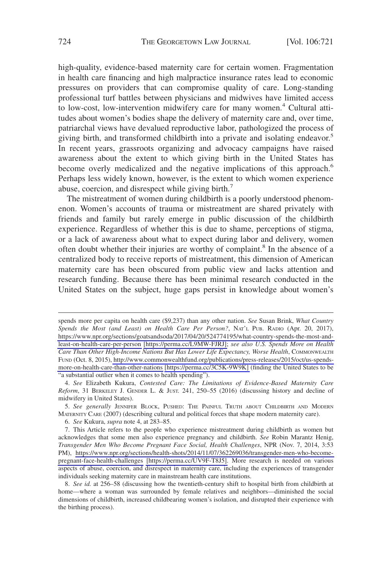high-quality, evidence-based maternity care for certain women. Fragmentation in health care financing and high malpractice insurance rates lead to economic pressures on providers that can compromise quality of care. Long-standing professional turf battles between physicians and midwives have limited access to low-cost, low-intervention midwifery care for many women.<sup>4</sup> Cultural attitudes about women's bodies shape the delivery of maternity care and, over time, patriarchal views have devalued reproductive labor, pathologized the process of giving birth, and transformed childbirth into a private and isolating endeavor.<sup>5</sup> In recent years, grassroots organizing and advocacy campaigns have raised awareness about the extent to which giving birth in the United States has become overly medicalized and the negative implications of this approach.<sup>6</sup> Perhaps less widely known, however, is the extent to which women experience abuse, coercion, and disrespect while giving birth.<sup>7</sup>

The mistreatment of women during childbirth is a poorly understood phenomenon. Women's accounts of trauma or mistreatment are shared privately with friends and family but rarely emerge in public discussion of the childbirth experience. Regardless of whether this is due to shame, perceptions of stigma, or a lack of awareness about what to expect during labor and delivery, women often doubt whether their injuries are worthy of complaint.8 In the absence of a centralized body to receive reports of mistreatment, this dimension of American maternity care has been obscured from public view and lacks attention and research funding. Because there has been minimal research conducted in the United States on the subject, huge gaps persist in knowledge about women's

5. *See generally* JENNIFER BLOCK, PUSHED: THE PAINFUL TRUTH ABOUT CHILDBIRTH AND MODERN MATERNITY CARE (2007) (describing cultural and political forces that shape modern maternity care).

6. *See* Kukura, *supra* note 4, at 283–85.

spends more per capita on health care (\$9,237) than any other nation. *See* Susan Brink, *What Country Spends the Most (and Least) on Health Care Per Person?*, NAT'L PUB. RADIO (Apr. 20, 2017), [https://www.npr.org/sections/goatsandsoda/2017/04/20/524774195/what-country-spends-the-most-and](https://www.npr.org/sections/goatsandsoda/2017/04/20/524774195/what-country-spends-the-most-and-least-on-health-care-per-person)[least-on-health-care-per-person](https://www.npr.org/sections/goatsandsoda/2017/04/20/524774195/what-country-spends-the-most-and-least-on-health-care-per-person) [\[https://perma.cc/L9MW-FJRJ\];](https://perma.cc/L9MW-FJRJ) *see also U.S. Spends More on Health Care Than Other High-Income Nations But Has Lower Life Expectancy, Worse Health*, COMMONWEALTH FUND (Oct. 8, 2015)[, http://www.commonwealthfund.org/publications/press-releases/2015/oct/us-spends](http://www.commonwealthfund.org/publications/press-releases/2015/oct/us-spends-more-on-health-care-than-other-nations)[more-on-health-care-than-other-nations](http://www.commonwealthfund.org/publications/press-releases/2015/oct/us-spends-more-on-health-care-than-other-nations) [\[https://perma.cc/3C5K-9W9K\]](https://perma.cc/3C5K-9W9K) (finding the United States to be "a substantial outlier when it comes to health spending").

<sup>4.</sup> *See* Elizabeth Kukura, *Contested Care: The Limitations of Evidence-Based Maternity Care Reform*, 31 BERKELEY J. GENDER L. & JUST. 241, 250–55 (2016) (discussing history and decline of midwifery in United States).

<sup>7.</sup> This Article refers to the people who experience mistreatment during childbirth as women but acknowledges that some men also experience pregnancy and childbirth. *See* Robin Marantz Henig, *Transgender Men Who Become Pregnant Face Social, Health Challenges*, NPR (Nov. 7, 2014, 3:53 PM), [https://www.npr.org/sections/health-shots/2014/11/07/362269036/transgender-men-who-become](https://www.npr.org/sections/health-shots/2014/11/07/362269036/transgender-men-who-become-pregnant-face-health-challenges)[pregnant-face-health-challenges](https://www.npr.org/sections/health-shots/2014/11/07/362269036/transgender-men-who-become-pregnant-face-health-challenges) [\[https://perma.cc/UV9F-T8J5\].](https://perma.cc/UV9F-T8J5) More research is needed on various aspects of abuse, coercion, and disrespect in maternity care, including the experiences of transgender individuals seeking maternity care in mainstream health care institutions.

<sup>8.</sup> *See id.* at 256–58 (discussing how the twentieth-century shift to hospital birth from childbirth at home—where a woman was surrounded by female relatives and neighbors—diminished the social dimensions of childbirth, increased childbearing women's isolation, and disrupted their experience with the birthing process).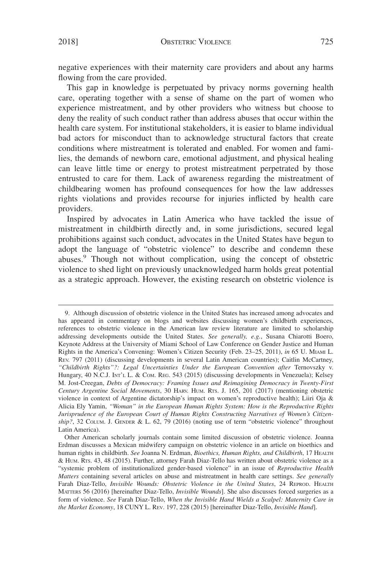negative experiences with their maternity care providers and about any harms flowing from the care provided.

This gap in knowledge is perpetuated by privacy norms governing health care, operating together with a sense of shame on the part of women who experience mistreatment, and by other providers who witness but choose to deny the reality of such conduct rather than address abuses that occur within the health care system. For institutional stakeholders, it is easier to blame individual bad actors for misconduct than to acknowledge structural factors that create conditions where mistreatment is tolerated and enabled. For women and families, the demands of newborn care, emotional adjustment, and physical healing can leave little time or energy to protest mistreatment perpetrated by those entrusted to care for them. Lack of awareness regarding the mistreatment of childbearing women has profound consequences for how the law addresses rights violations and provides recourse for injuries inflicted by health care providers.

Inspired by advocates in Latin America who have tackled the issue of mistreatment in childbirth directly and, in some jurisdictions, secured legal prohibitions against such conduct, advocates in the United States have begun to adopt the language of "obstetric violence" to describe and condemn these abuses.9 Though not without complication, using the concept of obstetric violence to shed light on previously unacknowledged harm holds great potential as a strategic approach. However, the existing research on obstetric violence is

<sup>9.</sup> Although discussion of obstetric violence in the United States has increased among advocates and has appeared in commentary on blogs and websites discussing women's childbirth experiences, references to obstetric violence in the American law review literature are limited to scholarship addressing developments outside the United States. *See generally, e.g.*, Susana Chiarotti Boero, Keynote Address at the University of Miami School of Law Conference on Gender Justice and Human Rights in the America's Convening: Women's Citizen Security (Feb. 23–25, 2011), *in* 65 U. MIAMI L. REV. 797 (2011) (discussing developments in several Latin American countries); Caitlin McCartney, *"Childbirth Rights"?: Legal Uncertainties Under the European Convention after* Ternovszky v. Hungary, 40 N.C.J. INT'L L. & COM. REG. 543 (2015) (discussing developments in Venezuela); Kelsey M. Jost-Creegan, *Debts of Democracy: Framing Issues and Reimagining Democracy in Twenty-First Century Argentine Social Movements*, 30 HARV. HUM. RTS. J. 165, 201 (2017) (mentioning obstetric violence in context of Argentine dictatorship's impact on women's reproductive health); Liiri Oja & Alicia Ely Yamin, *"Woman" in the European Human Rights System: How is the Reproductive Rights Jurisprudence of the European Court of Human Rights Constructing Narratives of Women's Citizenship?*, 32 COLUM. J. GENDER & L. 62, 79 (2016) (noting use of term "obstetric violence" throughout Latin America).

Other American scholarly journals contain some limited discussion of obstetric violence. Joanna Erdman discusses a Mexican midwifery campaign on obstetric violence in an article on bioethics and human rights in childbirth. *See* Joanna N. Erdman, *Bioethics, Human Rights, and Childbirth*, 17 HEALTH & HUM. RTS. 43, 48 (2015). Further, attorney Farah Diaz-Tello has written about obstetric violence as a "systemic problem of institutionalized gender-based violence" in an issue of *Reproductive Health Matters* containing several articles on abuse and mistreatment in health care settings. *See generally*  Farah Diaz-Tello, *Invisible Wounds: Obstetric Violence in the United States*, 24 REPROD. HEALTH MATTERS 56 (2016) [hereinafter Diaz-Tello, *Invisible Wounds*]. She also discusses forced surgeries as a form of violence. *See* Farah Diaz-Tello, *When the Invisible Hand Wields a Scalpel: Maternity Care in the Market Economy*, 18 CUNY L. REV. 197, 228 (2015) [hereinafter Diaz-Tello, *Invisible Hand*].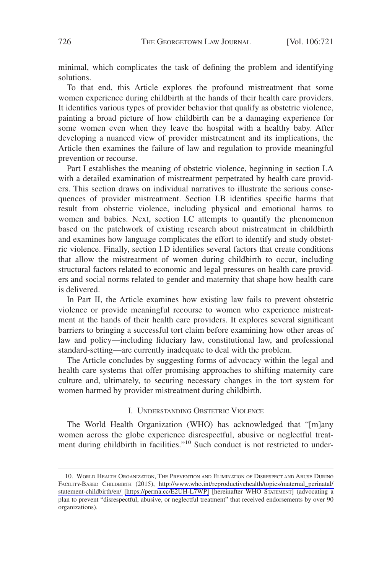<span id="page-5-0"></span>minimal, which complicates the task of defining the problem and identifying solutions.

To that end, this Article explores the profound mistreatment that some women experience during childbirth at the hands of their health care providers. It identifies various types of provider behavior that qualify as obstetric violence, painting a broad picture of how childbirth can be a damaging experience for some women even when they leave the hospital with a healthy baby. After developing a nuanced view of provider mistreatment and its implications, the Article then examines the failure of law and regulation to provide meaningful prevention or recourse.

Part I establishes the meaning of obstetric violence, beginning in section I.A with a detailed examination of mistreatment perpetrated by health care providers. This section draws on individual narratives to illustrate the serious consequences of provider mistreatment. Section I.B identifies specific harms that result from obstetric violence, including physical and emotional harms to women and babies. Next, section I.C attempts to quantify the phenomenon based on the patchwork of existing research about mistreatment in childbirth and examines how language complicates the effort to identify and study obstetric violence. Finally, section I.D identifies several factors that create conditions that allow the mistreatment of women during childbirth to occur, including structural factors related to economic and legal pressures on health care providers and social norms related to gender and maternity that shape how health care is delivered.

In Part II, the Article examines how existing law fails to prevent obstetric violence or provide meaningful recourse to women who experience mistreatment at the hands of their health care providers. It explores several significant barriers to bringing a successful tort claim before examining how other areas of law and policy—including fiduciary law, constitutional law, and professional standard-setting—are currently inadequate to deal with the problem.

The Article concludes by suggesting forms of advocacy within the legal and health care systems that offer promising approaches to shifting maternity care culture and, ultimately, to securing necessary changes in the tort system for women harmed by provider mistreatment during childbirth.

# I. UNDERSTANDING OBSTETRIC VIOLENCE

The World Health Organization (WHO) has acknowledged that "[m]any women across the globe experience disrespectful, abusive or neglectful treatment during childbirth in facilities."<sup>10</sup> Such conduct is not restricted to under-

<sup>10.</sup> WORLD HEALTH ORGANIZATION, THE PREVENTION AND ELIMINATION OF DISRESPECT AND ABUSE DURING FACILITY-BASED CHILDBIRTH (2015), [http://www.who.int/reproductivehealth/topics/maternal\\_perinatal/](http://www.who.int/reproductivehealth/topics/maternal_perinatal/statement-childbirth/en/) [statement-childbirth/en/](http://www.who.int/reproductivehealth/topics/maternal_perinatal/statement-childbirth/en/) [\[https://perma.cc/E2UH-L7WP\]](https://perma.cc/E2UH-L7WP) [hereinafter WHO STATEMENT] (advocating a plan to prevent "disrespectful, abusive, or neglectful treatment" that received endorsements by over 90 organizations).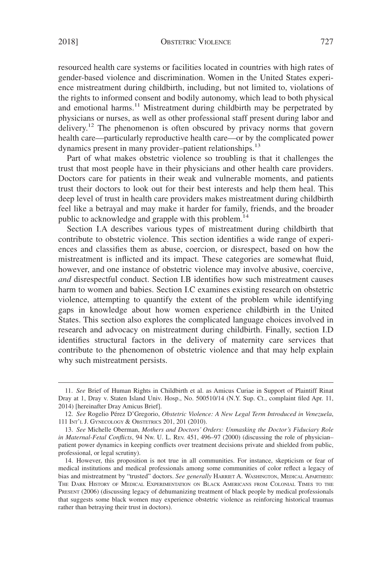resourced health care systems or facilities located in countries with high rates of gender-based violence and discrimination. Women in the United States experience mistreatment during childbirth, including, but not limited to, violations of the rights to informed consent and bodily autonomy, which lead to both physical and emotional harms.<sup>11</sup> Mistreatment during childbirth may be perpetrated by physicians or nurses, as well as other professional staff present during labor and delivery.<sup>12</sup> The phenomenon is often obscured by privacy norms that govern health care—particularly reproductive health care—or by the complicated power dynamics present in many provider–patient relationships.<sup>13</sup>

Part of what makes obstetric violence so troubling is that it challenges the trust that most people have in their physicians and other health care providers. Doctors care for patients in their weak and vulnerable moments, and patients trust their doctors to look out for their best interests and help them heal. This deep level of trust in health care providers makes mistreatment during childbirth feel like a betrayal and may make it harder for family, friends, and the broader public to acknowledge and grapple with this problem.<sup>14</sup>

Section I.A describes various types of mistreatment during childbirth that contribute to obstetric violence. This section identifies a wide range of experiences and classifies them as abuse, coercion, or disrespect, based on how the mistreatment is inflicted and its impact. These categories are somewhat fluid, however, and one instance of obstetric violence may involve abusive, coercive, *and* disrespectful conduct. Section I.B identifies how such mistreatment causes harm to women and babies. Section I.C examines existing research on obstetric violence, attempting to quantify the extent of the problem while identifying gaps in knowledge about how women experience childbirth in the United States. This section also explores the complicated language choices involved in research and advocacy on mistreatment during childbirth. Finally, section I.D identifies structural factors in the delivery of maternity care services that contribute to the phenomenon of obstetric violence and that may help explain why such mistreatment persists.

<sup>11.</sup> *See* Brief of Human Rights in Childbirth et al. as Amicus Curiae in Support of Plaintiff Rinat Dray at 1, Dray v. Staten Island Univ. Hosp., No. 500510/14 (N.Y. Sup. Ct., complaint filed Apr. 11, 2014) [hereinafter Dray Amicus Brief].

<sup>12.</sup> See Rogelio Pérez D'Gregorio, Obstetric Violence: A New Legal Term Introduced in Venezuela, 111 INT'L J. GYNECOLOGY & OBSTETRICS 201, 201 (2010).

<sup>13.</sup> *See* Michelle Oberman, *Mothers and Doctors' Orders: Unmasking the Doctor's Fiduciary Role in Maternal-Fetal Conflicts*, 94 NW. U. L. REV. 451, 496–97 (2000) (discussing the role of physician– patient power dynamics in keeping conflicts over treatment decisions private and shielded from public, professional, or legal scrutiny).

<sup>14.</sup> However, this proposition is not true in all communities. For instance, skepticism or fear of medical institutions and medical professionals among some communities of color reflect a legacy of bias and mistreatment by "trusted" doctors. *See generally* HARRIET A. WASHINGTON, MEDICAL APARTHEID: THE DARK HISTORY OF MEDICAL EXPERIMENTATION ON BLACK AMERICANS FROM COLONIAL TIMES TO THE PRESENT (2006) (discussing legacy of dehumanizing treatment of black people by medical professionals that suggests some black women may experience obstetric violence as reinforcing historical traumas rather than betraying their trust in doctors).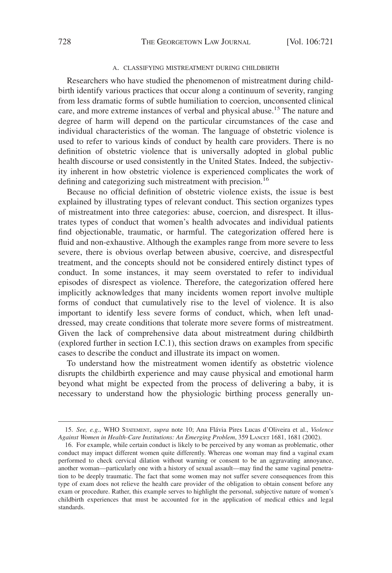### A. CLASSIFYING MISTREATMENT DURING CHILDBIRTH

<span id="page-7-0"></span>Researchers who have studied the phenomenon of mistreatment during childbirth identify various practices that occur along a continuum of severity, ranging from less dramatic forms of subtle humiliation to coercion, unconsented clinical care, and more extreme instances of verbal and physical abuse.<sup>15</sup> The nature and degree of harm will depend on the particular circumstances of the case and individual characteristics of the woman. The language of obstetric violence is used to refer to various kinds of conduct by health care providers. There is no definition of obstetric violence that is universally adopted in global public health discourse or used consistently in the United States. Indeed, the subjectivity inherent in how obstetric violence is experienced complicates the work of defining and categorizing such mistreatment with precision.<sup>16</sup>

Because no official definition of obstetric violence exists, the issue is best explained by illustrating types of relevant conduct. This section organizes types of mistreatment into three categories: abuse, coercion, and disrespect. It illustrates types of conduct that women's health advocates and individual patients find objectionable, traumatic, or harmful. The categorization offered here is fluid and non-exhaustive. Although the examples range from more severe to less severe, there is obvious overlap between abusive, coercive, and disrespectful treatment, and the concepts should not be considered entirely distinct types of conduct. In some instances, it may seem overstated to refer to individual episodes of disrespect as violence. Therefore, the categorization offered here implicitly acknowledges that many incidents women report involve multiple forms of conduct that cumulatively rise to the level of violence. It is also important to identify less severe forms of conduct, which, when left unaddressed, may create conditions that tolerate more severe forms of mistreatment. Given the lack of comprehensive data about mistreatment during childbirth (explored further in section I.C.1), this section draws on examples from specific cases to describe the conduct and illustrate its impact on women.

To understand how the mistreatment women identify as obstetric violence disrupts the childbirth experience and may cause physical and emotional harm beyond what might be expected from the process of delivering a baby, it is necessary to understand how the physiologic birthing process generally un-

<sup>15.</sup> *See, e.g.*, WHO STATEMENT, *supra* note 10; Ana Fla´via Pires Lucas d'Oliveira et al., *Violence Against Women in Health-Care Institutions: An Emerging Problem*, 359 LANCET 1681, 1681 (2002).

<sup>16.</sup> For example, while certain conduct is likely to be perceived by any woman as problematic, other conduct may impact different women quite differently. Whereas one woman may find a vaginal exam performed to check cervical dilation without warning or consent to be an aggravating annoyance, another woman—particularly one with a history of sexual assault—may find the same vaginal penetration to be deeply traumatic. The fact that some women may not suffer severe consequences from this type of exam does not relieve the health care provider of the obligation to obtain consent before any exam or procedure. Rather, this example serves to highlight the personal, subjective nature of women's childbirth experiences that must be accounted for in the application of medical ethics and legal standards.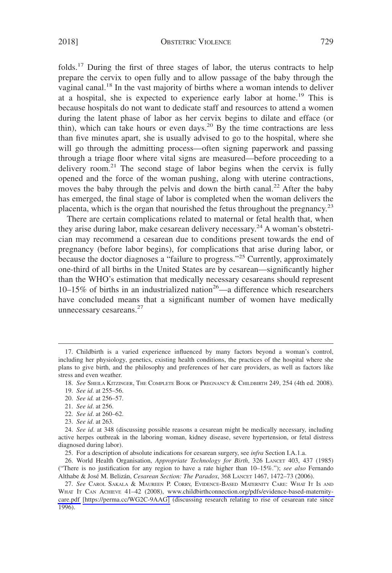folds.17 During the first of three stages of labor, the uterus contracts to help prepare the cervix to open fully and to allow passage of the baby through the vaginal canal.<sup>18</sup> In the vast majority of births where a woman intends to deliver at a hospital, she is expected to experience early labor at home.19 This is because hospitals do not want to dedicate staff and resources to attend a women during the latent phase of labor as her cervix begins to dilate and efface (or thin), which can take hours or even days.20 By the time contractions are less than five minutes apart, she is usually advised to go to the hospital, where she will go through the admitting process—often signing paperwork and passing through a triage floor where vital signs are measured—before proceeding to a delivery room.<sup>21</sup> The second stage of labor begins when the cervix is fully opened and the force of the woman pushing, along with uterine contractions, moves the baby through the pelvis and down the birth canal.<sup>22</sup> After the baby has emerged, the final stage of labor is completed when the woman delivers the placenta, which is the organ that nourished the fetus throughout the pregnancy.<sup>23</sup>

There are certain complications related to maternal or fetal health that, when they arise during labor, make cesarean delivery necessary.<sup>24</sup> A woman's obstetrician may recommend a cesarean due to conditions present towards the end of pregnancy (before labor begins), for complications that arise during labor, or because the doctor diagnoses a "failure to progress."25 Currently, approximately one-third of all births in the United States are by cesarean—significantly higher than the WHO's estimation that medically necessary cesareans should represent 10–15% of births in an industrialized nation<sup>26</sup>—a difference which researchers have concluded means that a significant number of women have medically unnecessary cesareans.<sup>27</sup>

22. *See id*. at 260–62.

<sup>17.</sup> Childbirth is a varied experience influenced by many factors beyond a woman's control, including her physiology, genetics, existing health conditions, the practices of the hospital where she plans to give birth, and the philosophy and preferences of her care providers, as well as factors like stress and even weather.

<sup>18.</sup> *See* SHEILA KITZINGER, THE COMPLETE BOOK OF PREGNANCY & CHILDBIRTH 249, 254 (4th ed. 2008).

<sup>19.</sup> *See id*. at 255–56.

<sup>20.</sup> *See id.* at 256–57.

<sup>21.</sup> *See id*. at 256.

<sup>23.</sup> *See id*. at 263.

<sup>24.</sup> *See id*. at 348 (discussing possible reasons a cesarean might be medically necessary, including active herpes outbreak in the laboring woman, kidney disease, severe hypertension, or fetal distress diagnosed during labor).

<sup>25.</sup> For a description of absolute indications for cesarean surgery, see *infra* Section I.A.1.a.

<sup>26.</sup> World Health Organisation, *Appropriate Technology for Birth*, 326 LANCET 403, 437 (1985) ("There is no justification for any region to have a rate higher than 10–15%."); *see also* Fernando Althabe & José M. Belizán, *Cesarean Section: The Paradox*, 368 LANCET 1467, 1472–73 (2006).

<sup>27.</sup> *See* CAROL SAKALA & MAUREEN P. CORRY, EVIDENCE-BASED MATERNITY CARE: WHAT IT IS AND WHAT IT CAN ACHIEVE 41–42 (2008), [www.childbirthconnection.org/pdfs/evidence-based-maternity](http://www.childbirthconnection.org/pdfs/evidence-based-maternity-care.pdf)[care.pdf](http://www.childbirthconnection.org/pdfs/evidence-based-maternity-care.pdf) [\[https://perma.cc/WG2C-9AAG\]](https://perma.cc/WG2C-9AAG) (discussing research relating to rise of cesarean rate since 1996).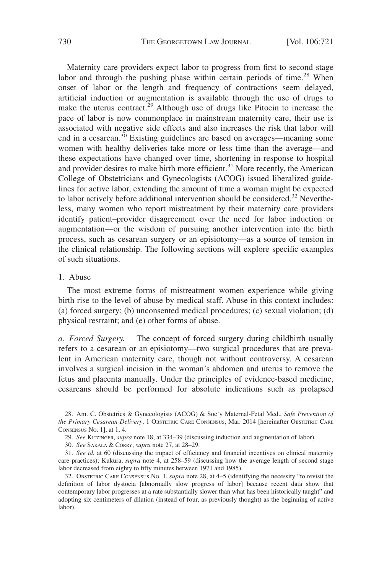<span id="page-9-0"></span>Maternity care providers expect labor to progress from first to second stage labor and through the pushing phase within certain periods of time.<sup>28</sup> When onset of labor or the length and frequency of contractions seem delayed, artificial induction or augmentation is available through the use of drugs to make the uterus contract.<sup>29</sup> Although use of drugs like Pitocin to increase the pace of labor is now commonplace in mainstream maternity care, their use is associated with negative side effects and also increases the risk that labor will end in a cesarean.<sup>30</sup> Existing guidelines are based on averages—meaning some women with healthy deliveries take more or less time than the average—and these expectations have changed over time, shortening in response to hospital and provider desires to make birth more efficient.<sup>31</sup> More recently, the American College of Obstetricians and Gynecologists (ACOG) issued liberalized guidelines for active labor, extending the amount of time a woman might be expected to labor actively before additional intervention should be considered.<sup>32</sup> Nevertheless, many women who report mistreatment by their maternity care providers identify patient–provider disagreement over the need for labor induction or augmentation—or the wisdom of pursuing another intervention into the birth process, such as cesarean surgery or an episiotomy—as a source of tension in the clinical relationship. The following sections will explore specific examples of such situations.

1. Abuse

The most extreme forms of mistreatment women experience while giving birth rise to the level of abuse by medical staff. Abuse in this context includes: (a) forced surgery; (b) unconsented medical procedures; (c) sexual violation; (d) physical restraint; and (e) other forms of abuse.

*a. Forced Surgery.* The concept of forced surgery during childbirth usually refers to a cesarean or an episiotomy—two surgical procedures that are prevalent in American maternity care, though not without controversy. A cesarean involves a surgical incision in the woman's abdomen and uterus to remove the fetus and placenta manually. Under the principles of evidence-based medicine, cesareans should be performed for absolute indications such as prolapsed

<sup>28.</sup> Am. C. Obstetrics & Gynecologists (ACOG) & Soc'y Maternal-Fetal Med., *Safe Prevention of the Primary Cesarean Delivery*, 1 OBSTETRIC CARE CONSENSUS, Mar. 2014 [hereinafter OBSTETRIC CARE CONSENSUS NO. 1], at 1, 4.

<sup>29.</sup> *See* KITZINGER, *supra* note 18, at 334–39 (discussing induction and augmentation of labor).

<sup>30.</sup> *See* SAKALA & CORRY, *supra* note 27, at 28–29.

<sup>31.</sup> *See id.* at 60 (discussing the impact of efficiency and financial incentives on clinical maternity care practices); Kukura, *supra* note 4, at 258–59 (discussing how the average length of second stage labor decreased from eighty to fifty minutes between 1971 and 1985).

<sup>32.</sup> OBSTETRIC CARE CONSENSUS NO. 1, *supra* note 28, at 4–5 (identifying the necessity "to revisit the definition of labor dystocia [abnormally slow progress of labor] because recent data show that contemporary labor progresses at a rate substantially slower than what has been historically taught" and adopting six centimeters of dilation (instead of four, as previously thought) as the beginning of active labor).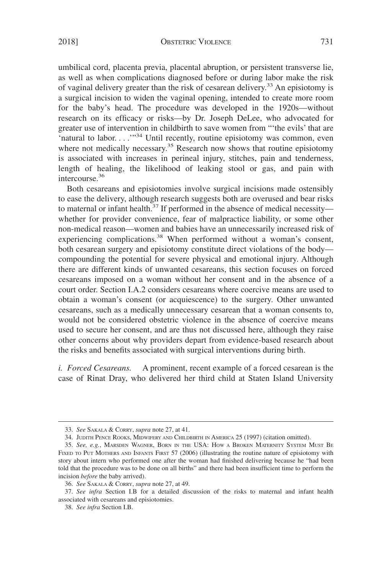<span id="page-10-0"></span>umbilical cord, placenta previa, placental abruption, or persistent transverse lie, as well as when complications diagnosed before or during labor make the risk of vaginal delivery greater than the risk of cesarean delivery.<sup>33</sup> An episiotomy is a surgical incision to widen the vaginal opening, intended to create more room for the baby's head. The procedure was developed in the 1920s—without research on its efficacy or risks—by Dr. Joseph DeLee, who advocated for greater use of intervention in childbirth to save women from "'the evils' that are 'natural to labor....'"34 Until recently, routine episiotomy was common, even where not medically necessary.<sup>35</sup> Research now shows that routine episiotomy is associated with increases in perineal injury, stitches, pain and tenderness, length of healing, the likelihood of leaking stool or gas, and pain with intercourse.<sup>36</sup>

Both cesareans and episiotomies involve surgical incisions made ostensibly to ease the delivery, although research suggests both are overused and bear risks to maternal or infant health. $37$  If performed in the absence of medical necessity whether for provider convenience, fear of malpractice liability, or some other non-medical reason—women and babies have an unnecessarily increased risk of experiencing complications.<sup>38</sup> When performed without a woman's consent, both cesarean surgery and episiotomy constitute direct violations of the body compounding the potential for severe physical and emotional injury. Although there are different kinds of unwanted cesareans, this section focuses on forced cesareans imposed on a woman without her consent and in the absence of a court order. Section I.A.2 considers cesareans where coercive means are used to obtain a woman's consent (or acquiescence) to the surgery. Other unwanted cesareans, such as a medically unnecessary cesarean that a woman consents to, would not be considered obstetric violence in the absence of coercive means used to secure her consent, and are thus not discussed here, although they raise other concerns about why providers depart from evidence-based research about the risks and benefits associated with surgical interventions during birth.

*i. Forced Cesareans.* A prominent, recent example of a forced cesarean is the case of Rinat Dray, who delivered her third child at Staten Island University

<sup>33.</sup> *See* SAKALA & CORRY, *supra* note 27, at 41.

<sup>34.</sup> JUDITH PENCE ROOKS, MIDWIFERY AND CHILDBIRTH IN AMERICA 25 (1997) (citation omitted).

<sup>35.</sup> *See, e.g.*, MARSDEN WAGNER, BORN IN THE USA: HOW A BROKEN MATERNITY SYSTEM MUST BE FIXED TO PUT MOTHERS AND INFANTS FIRST 57 (2006) (illustrating the routine nature of episiotomy with story about intern who performed one after the woman had finished delivering because he "had been told that the procedure was to be done on all births" and there had been insufficient time to perform the incision *before* the baby arrived).

<sup>36.</sup> *See* SAKALA & CORRY, *supra* note 27, at 49.

<sup>37.</sup> *See infra* Section I.B for a detailed discussion of the risks to maternal and infant health associated with cesareans and episiotomies.

<sup>38.</sup> *See infra* Section I.B.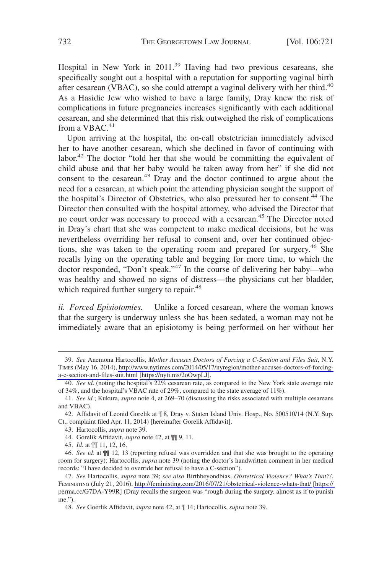<span id="page-11-0"></span>Hospital in New York in 2011.<sup>39</sup> Having had two previous cesareans, she specifically sought out a hospital with a reputation for supporting vaginal birth after cesarean (VBAC), so she could attempt a vaginal delivery with her third.<sup>40</sup> As a Hasidic Jew who wished to have a large family, Dray knew the risk of complications in future pregnancies increases significantly with each additional cesarean, and she determined that this risk outweighed the risk of complications from a VBAC. $41$ 

Upon arriving at the hospital, the on-call obstetrician immediately advised her to have another cesarean, which she declined in favor of continuing with labor.<sup>42</sup> The doctor "told her that she would be committing the equivalent of child abuse and that her baby would be taken away from her" if she did not consent to the cesarean.<sup>43</sup> Dray and the doctor continued to argue about the need for a cesarean, at which point the attending physician sought the support of the hospital's Director of Obstetrics, who also pressured her to consent.<sup>44</sup> The Director then consulted with the hospital attorney, who advised the Director that no court order was necessary to proceed with a cesarean.45 The Director noted in Dray's chart that she was competent to make medical decisions, but he was nevertheless overriding her refusal to consent and, over her continued objections, she was taken to the operating room and prepared for surgery.46 She recalls lying on the operating table and begging for more time, to which the doctor responded, "Don't speak."47 In the course of delivering her baby—who was healthy and showed no signs of distress—the physicians cut her bladder, which required further surgery to repair.<sup>48</sup>

*ii. Forced Episiotomies.* Unlike a forced cesarean, where the woman knows that the surgery is underway unless she has been sedated, a woman may not be immediately aware that an episiotomy is being performed on her without her

*See* Anemona Hartocollis, *Mother Accuses Doctors of Forcing a C-Section and Files Suit*, N.Y. 39. TIMES (May 16, 2014), [http://www.nytimes.com/2014/05/17/nyregion/mother-accuses-doctors-of-forcing](http://www.nytimes.com/2014/05/17/nyregion/mother-accuses-doctors-of-forcing-a-c-section-and-files-suit.html)[a-c-section-and-files-suit.html](http://www.nytimes.com/2014/05/17/nyregion/mother-accuses-doctors-of-forcing-a-c-section-and-files-suit.html) [\[https://nyti.ms/2oOwpLJ\].](https://nyti.ms/2oOwpLJ)

<sup>40.</sup> *See id*. (noting the hospital's 22% cesarean rate, as compared to the New York state average rate of 34%, and the hospital's VBAC rate of 29%, compared to the state average of 11%).

<sup>41.</sup> *See id.*; Kukura, *supra* note 4, at 269–70 (discussing the risks associated with multiple cesareans and VBAC).

<sup>42.</sup> Affidavit of Leonid Gorelik at ¶ 8, Dray v. Staten Island Univ. Hosp., No. 500510/14 (N.Y. Sup. Ct., complaint filed Apr. 11, 2014) [hereinafter Gorelik Affidavit].

<sup>43.</sup> Hartocollis, *supra* note 39.

<sup>44.</sup> Gorelik Affidavit, *supra* note 42, at ¶¶ 9, 11.

<sup>45.</sup> *Id.* at ¶¶ 11, 12, 16.

<sup>46.</sup> *See id.* at ¶¶ 12, 13 (reporting refusal was overridden and that she was brought to the operating room for surgery); Hartocollis, *supra* note 39 (noting the doctor's handwritten comment in her medical records: "I have decided to override her refusal to have a C-section").

*See* Hartocollis, *supra* note 39; *see also* Birthbeyondbias, *Obstetrical Violence? What's That?!*, 47. FEMINISTING (July 21, 2016),<http://feministing.com/2016/07/21/obstetrical-violence-whats-that/>[\[https://](https://perma.cc/G7DA-Y99R)  perma.cc/G7DA-Y99R] (Dray recalls the surgeon was "rough during the surgery, almost as if to punish me.").

<sup>48.</sup> *See* Goerlik Affidavit, *supra* note 42, at ¶ 14; Hartocollis, *supra* note 39.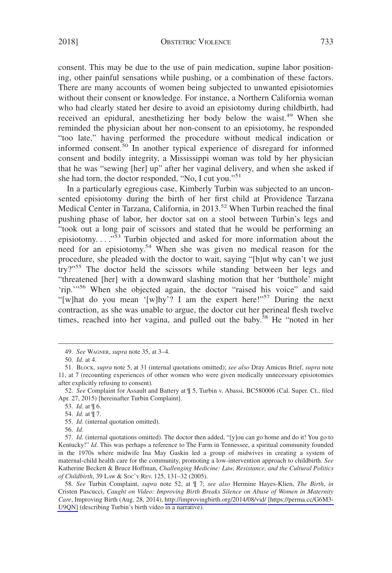consent. This may be due to the use of pain medication, supine labor positioning, other painful sensations while pushing, or a combination of these factors. There are many accounts of women being subjected to unwanted episiotomies without their consent or knowledge. For instance, a Northern California woman who had clearly stated her desire to avoid an episiotomy during childbirth, had received an epidural, anesthetizing her body below the waist.<sup>49</sup> When she reminded the physician about her non-consent to an episiotomy, he responded "too late," having performed the procedure without medical indication or informed consent.50 In another typical experience of disregard for informed consent and bodily integrity, a Mississippi woman was told by her physician that he was "sewing [her] up" after her vaginal delivery, and when she asked if she had torn, the doctor responded, "No, I cut you."<sup>51</sup>

In a particularly egregious case, Kimberly Turbin was subjected to an unconsented episiotomy during the birth of her first child at Providence Tarzana Medical Center in Tarzana, California, in 2013.<sup>52</sup> When Turbin reached the final pushing phase of labor, her doctor sat on a stool between Turbin's legs and "took out a long pair of scissors and stated that he would be performing an episiotomy...." $53$  Turbin objected and asked for more information about the need for an episiotomy.<sup>54</sup> When she was given no medical reason for the procedure, she pleaded with the doctor to wait, saying "[b]ut why can't we just try?"55 The doctor held the scissors while standing between her legs and "threatened [her] with a downward slashing motion that her 'butthole' might 'rip."<sup>56</sup> When she objected again, the doctor "raised his voice" and said "[w]hat do you mean '[w]hy'? I am the expert here!"<sup>57</sup> During the next contraction, as she was unable to argue, the doctor cut her perineal flesh twelve times, reached into her vagina, and pulled out the baby.<sup>58</sup> He "noted in her

<sup>49.</sup> *See* WAGNER, *supra* note 35, at 3–4.

<sup>50.</sup> *Id.* at 4.

<sup>51.</sup> BLOCK, *supra* note 5, at 31 (internal quotations omitted); *see also* Dray Amicus Brief, *supra* note 11, at 7 (recounting experiences of other women who were given medically unnecessary episiotomies after explicitly refusing to consent)*.* 

<sup>52.</sup> *See* Complaint for Assault and Battery at ¶ 5, Turbin v. Abassi, BC580006 (Cal. Super. Ct., filed Apr. 27, 2015) [hereinafter Turbin Complaint].

<sup>53.</sup> *Id*. at ¶ 6.

<sup>54.</sup> *Id.* at ¶ 7.

<sup>55.</sup> *Id*. (internal quotation omitted).

<sup>56.</sup> *Id*.

<sup>57.</sup> *Id.* (internal quotations omitted). The doctor then added, "[y]ou can go home and do it! You go to Kentucky!" *Id.* This was perhaps a reference to The Farm in Tennessee, a spiritual community founded in the 1970s where midwife Ina May Gaskin led a group of midwives in creating a system of maternal-child health care for the community, promoting a low-intervention approach to childbirth. *See*  Katherine Beckett & Bruce Hoffman, *Challenging Medicine: Law, Resistance, and the Cultural Politics of Childbirth*, 39 LAW & SOC'Y REV. 125, 131–32 (2005).

*See* Turbin Complaint, *supra* note 52, at ¶ 7; *see also* Hermine Hayes-Klien, *The Birth*, *in*  58. Cristen Pascucci, *Caught on Video: Improving Birth Breaks Silence on Abuse of Women in Maternity Care*, Improving Birth (Aug. 28, 2014), <http://improvingbirth.org/2014/08/vid/> [\[https://perma.cc/G6M3](https://perma.cc/G6M3-U9QN) [U9QN\]](https://perma.cc/G6M3-U9QN) (describing Turbin's birth video in a narrative).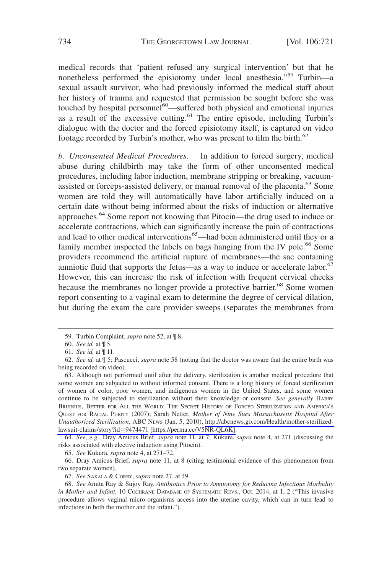<span id="page-13-0"></span>medical records that 'patient refused any surgical intervention' but that he nonetheless performed the episiotomy under local anesthesia."59 Turbin—a sexual assault survivor, who had previously informed the medical staff about her history of trauma and requested that permission be sought before she was touched by hospital personnel<sup>60</sup>—suffered both physical and emotional injuries as a result of the excessive cutting.<sup>61</sup> The entire episode, including Turbin's dialogue with the doctor and the forced episiotomy itself, is captured on video footage recorded by Turbin's mother, who was present to film the birth.<sup>62</sup>

*b. Unconsented Medical Procedures.* In addition to forced surgery, medical abuse during childbirth may take the form of other unconsented medical procedures, including labor induction, membrane stripping or breaking, vacuumassisted or forceps-assisted delivery, or manual removal of the placenta.<sup>63</sup> Some women are told they will automatically have labor artificially induced on a certain date without being informed about the risks of induction or alternative approaches.64 Some report not knowing that Pitocin—the drug used to induce or accelerate contractions, which can significantly increase the pain of contractions and lead to other medical interventions<sup>65</sup>—had been administered until they or a family member inspected the labels on bags hanging from the IV pole.<sup>66</sup> Some providers recommend the artificial rupture of membranes—the sac containing amniotic fluid that supports the fetus—as a way to induce or accelerate labor. $67$ However, this can increase the risk of infection with frequent cervical checks because the membranes no longer provide a protective barrier.<sup>68</sup> Some women report consenting to a vaginal exam to determine the degree of cervical dilation, but during the exam the care provider sweeps (separates the membranes from

64. *See, e.g.*, Dray Amicus Brief, *supra* note 11, at 7; Kukura, *supra* note 4, at 271 (discussing the risks associated with elective induction using Pitocin).

65. *See* Kukura, *supra* note 4, at 271–72.

66. Dray Amicus Brief, *supra* note 11, at 8 (citing testimonial evidence of this phenomenon from two separate women).

67. *See* SAKALA & CORRY, *supra* note 27, at 49.

<sup>59.</sup> Turbin Complaint, *supra* note 52, at ¶ 8.

<sup>60.</sup> *See id.* at ¶ 5.

<sup>61.</sup> *See id.* at ¶ 11.

<sup>62.</sup> *See id.* at ¶ 5; Pascucci, *supra* note 58 (noting that the doctor was aware that the entire birth was being recorded on video).

Although not performed until after the delivery, sterilization is another medical procedure that 63. some women are subjected to without informed consent. There is a long history of forced sterilization of women of color, poor women, and indigenous women in the United States, and some women continue to be subjected to sterilization without their knowledge or consent. *See generally* HARRY BRUINIUS, BETTER FOR ALL THE WORLD: THE SECRET HISTORY OF FORCED STERILIZATION AND AMERICA'S QUEST FOR RACIAL PURITY (2007); Sarah Netter, *Mother of Nine Sues Massachusetts Hospital After Unauthorized Sterilization*, ABC NEWS (Jan. 5, 2010), [http://abcnews.go.com/Health/mother-sterilized](http://abcnews.go.com/Health/mother-sterilized-lawsuit-claims/story?id=9474471)[lawsuit-claims/story?id](http://abcnews.go.com/Health/mother-sterilized-lawsuit-claims/story?id=9474471)=9474471 [\[https://perma.cc/V5NR-QL6K\].](https://perma.cc/V5NR-QL6K)

<sup>68.</sup> *See* Amita Ray & Sujoy Ray, *Antibiotics Prior to Amniotomy for Reducing Infectious Morbidity in Mother and Infant*, 10 COCHRANE DATABASE OF SYSTEMATIC REVS., Oct. 2014, at 1, 2 ("This invasive procedure allows vaginal micro-organisms access into the uterine cavity, which can in turn lead to infections in both the mother and the infant.").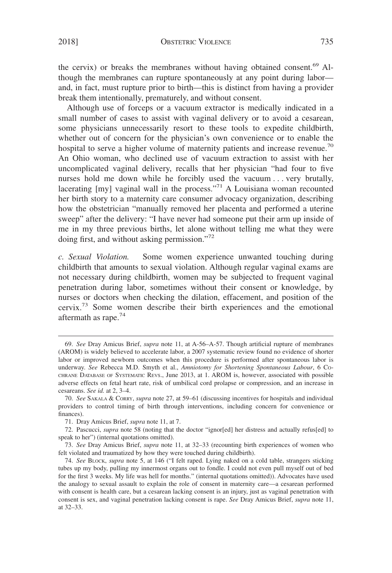<span id="page-14-0"></span>the cervix) or breaks the membranes without having obtained consent.<sup>69</sup> Although the membranes can rupture spontaneously at any point during labor and, in fact, must rupture prior to birth—this is distinct from having a provider break them intentionally, prematurely, and without consent.

Although use of forceps or a vacuum extractor is medically indicated in a small number of cases to assist with vaginal delivery or to avoid a cesarean, some physicians unnecessarily resort to these tools to expedite childbirth, whether out of concern for the physician's own convenience or to enable the hospital to serve a higher volume of maternity patients and increase revenue.<sup>70</sup> An Ohio woman, who declined use of vacuum extraction to assist with her uncomplicated vaginal delivery, recalls that her physician "had four to five nurses hold me down while he forcibly used the vacuum ... very brutally, lacerating  $[my]$  vaginal wall in the process."<sup>71</sup> A Louisiana woman recounted her birth story to a maternity care consumer advocacy organization, describing how the obstetrician "manually removed her placenta and performed a uterine sweep" after the delivery: "I have never had someone put their arm up inside of me in my three previous births, let alone without telling me what they were doing first, and without asking permission."72

*c. Sexual Violation.* Some women experience unwanted touching during childbirth that amounts to sexual violation. Although regular vaginal exams are not necessary during childbirth, women may be subjected to frequent vaginal penetration during labor, sometimes without their consent or knowledge, by nurses or doctors when checking the dilation, effacement, and position of the cervix.73 Some women describe their birth experiences and the emotional aftermath as rape.<sup>74</sup>

<sup>69.</sup> *See* Dray Amicus Brief, *supra* note 11, at A-56–A-57. Though artificial rupture of membranes (AROM) is widely believed to accelerate labor, a 2007 systematic review found no evidence of shorter labor or improved newborn outcomes when this procedure is performed after spontaneous labor is underway. See Rebecca M.D. Smyth et al., *Amniotomy for Shortening Spontaneous Labour*, 6 Co-CHRANE DATABASE OF SYSTEMATIC REVS., June 2013, at 1. AROM is, however, associated with possible adverse effects on fetal heart rate, risk of umbilical cord prolapse or compression, and an increase in cesareans. *See id.* at 2, 3–4.

<sup>70.</sup> *See* SAKALA & CORRY, *supra* note 27, at 59–61 (discussing incentives for hospitals and individual providers to control timing of birth through interventions, including concern for convenience or finances).

<sup>71.</sup> Dray Amicus Brief, *supra* note 11, at 7.

<sup>72.</sup> Pascucci, *supra* note 58 (noting that the doctor "ignor[ed] her distress and actually refus[ed] to speak to her") (internal quotations omitted).

<sup>73.</sup> *See* Dray Amicus Brief, *supra* note 11, at 32–33 (recounting birth experiences of women who felt violated and traumatized by how they were touched during childbirth).

<sup>74.</sup> *See* BLOCK, *supra* note 5, at 146 ("I felt raped. Lying naked on a cold table, strangers sticking tubes up my body, pulling my innermost organs out to fondle. I could not even pull myself out of bed for the first 3 weeks. My life was hell for months." (internal quotations omitted)). Advocates have used the analogy to sexual assault to explain the role of consent in maternity care—a cesarean performed with consent is health care, but a cesarean lacking consent is an injury, just as vaginal penetration with consent is sex, and vaginal penetration lacking consent is rape. *See* Dray Amicus Brief, *supra* note 11, at 32–33.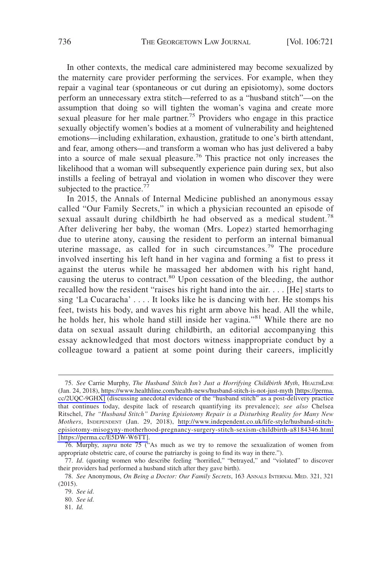In other contexts, the medical care administered may become sexualized by the maternity care provider performing the services. For example, when they repair a vaginal tear (spontaneous or cut during an episiotomy), some doctors perform an unnecessary extra stitch—referred to as a "husband stitch"—on the assumption that doing so will tighten the woman's vagina and create more sexual pleasure for her male partner.<sup>75</sup> Providers who engage in this practice sexually objectify women's bodies at a moment of vulnerability and heightened emotions—including exhilaration, exhaustion, gratitude to one's birth attendant, and fear, among others—and transform a woman who has just delivered a baby into a source of male sexual pleasure.76 This practice not only increases the likelihood that a woman will subsequently experience pain during sex, but also instills a feeling of betrayal and violation in women who discover they were subjected to the practice.<sup>77</sup>

In 2015, the Annals of Internal Medicine published an anonymous essay called "Our Family Secrets," in which a physician recounted an episode of sexual assault during childbirth he had observed as a medical student.<sup>78</sup> After delivering her baby, the woman (Mrs. Lopez) started hemorrhaging due to uterine atony, causing the resident to perform an internal bimanual uterine massage, as called for in such circumstances.79 The procedure involved inserting his left hand in her vagina and forming a fist to press it against the uterus while he massaged her abdomen with his right hand, causing the uterus to contract.<sup>80</sup> Upon cessation of the bleeding, the author recalled how the resident "raises his right hand into the air.... [He] starts to sing 'La Cucaracha' .... It looks like he is dancing with her. He stomps his feet, twists his body, and waves his right arm above his head. All the while, he holds her, his whole hand still inside her vagina."<sup>81</sup> While there are no data on sexual assault during childbirth, an editorial accompanying this essay acknowledged that most doctors witness inappropriate conduct by a colleague toward a patient at some point during their careers, implicitly

*See* Carrie Murphy, *The Husband Stitch Isn't Just a Horrifying Childbirth Myth*, HEALTHLINE 75. (Jan. 24, 2018),<https://www.healthline.com/health-news/husband-stitch-is-not-just-myth> [\[https://perma.](https://perma.cc/2UQC-9GHX)  [cc/2UQC-9GHX\]](https://perma.cc/2UQC-9GHX) (discussing anecdotal evidence of the "husband stitch" as a post-delivery practice that continues today, despite lack of research quantifying its prevalence); *see also* Chelsea Ritschel, *The "Husband Stitch" During Episiotomy Repair is a Disturbing Reality for Many New Mothers*, INDEPENDENT (Jan. 29, 2018), [http://www.independent.co.uk/life-style/husband-stitch](http://www.independent.co.uk/life-style/husband-stitch-episiotomy-misogyny-motherhood-pregnancy-surgery-stitch-sexism-childbirth-a8184346.html)[episiotomy-misogyny-motherhood-pregnancy-surgery-stitch-sexism-childbirth-a8184346.html](http://www.independent.co.uk/life-style/husband-stitch-episiotomy-misogyny-motherhood-pregnancy-surgery-stitch-sexism-childbirth-a8184346.html)  [\[https://perma.cc/E5DW-W6TT\]](https://perma.cc/E5DW-W6TT).

<sup>76.</sup> Murphy, *supra* note 75 ("As much as we try to remove the sexualization of women from appropriate obstetric care, of course the patriarchy is going to find its way in there.").

<sup>77.</sup> *Id*. (quoting women who describe feeling "horrified," "betrayed," and "violated" to discover their providers had performed a husband stitch after they gave birth).

<sup>78.</sup> *See* Anonymous, *On Being a Doctor: Our Family Secrets*, 163 ANNALS INTERNAL MED. 321, 321 (2015).

<sup>79.</sup> *See id*.

<sup>80.</sup> *See id*.

<sup>81.</sup> *Id.*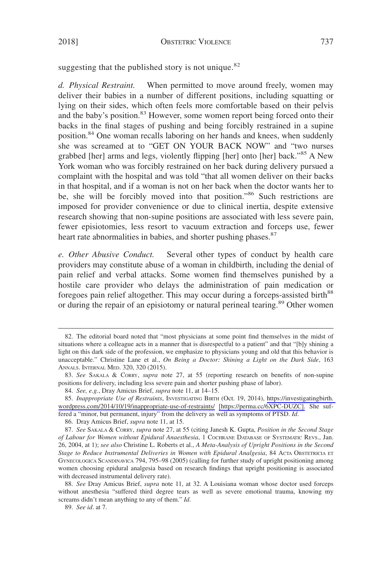<span id="page-16-0"></span>suggesting that the published story is not unique.<sup>82</sup>

*d. Physical Restraint.* When permitted to move around freely, women may deliver their babies in a number of different positions, including squatting or lying on their sides, which often feels more comfortable based on their pelvis and the baby's position.<sup>83</sup> However, some women report being forced onto their backs in the final stages of pushing and being forcibly restrained in a supine position.84 One woman recalls laboring on her hands and knees, when suddenly she was screamed at to "GET ON YOUR BACK NOW" and "two nurses grabbed [her] arms and legs, violently flipping [her] onto [her] back."<sup>85</sup> A New York woman who was forcibly restrained on her back during delivery pursued a complaint with the hospital and was told "that all women deliver on their backs in that hospital, and if a woman is not on her back when the doctor wants her to be, she will be forcibly moved into that position."<sup>86</sup> Such restrictions are imposed for provider convenience or due to clinical inertia, despite extensive research showing that non-supine positions are associated with less severe pain, fewer episiotomies, less resort to vacuum extraction and forceps use, fewer heart rate abnormalities in babies, and shorter pushing phases.<sup>87</sup>

*e. Other Abusive Conduct.* Several other types of conduct by health care providers may constitute abuse of a woman in childbirth, including the denial of pain relief and verbal attacks. Some women find themselves punished by a hostile care provider who delays the administration of pain medication or foregoes pain relief altogether. This may occur during a forceps-assisted birth<sup>88</sup> or during the repair of an episiotomy or natural perineal tearing.<sup>89</sup> Other women

<sup>82.</sup> The editorial board noted that "most physicians at some point find themselves in the midst of situations where a colleague acts in a manner that is disrespectful to a patient" and that "[b]y shining a light on this dark side of the profession, we emphasize to physicians young and old that this behavior is unacceptable." Christine Lane et al., *On Being a Doctor: Shining a Light on the Dark Side*, 163 ANNALS. INTERNAL MED. 320, 320 (2015).

<sup>83.</sup> *See* SAKALA & CORRY, *supra* note 27, at 55 (reporting research on benefits of non-supine positions for delivery, including less severe pain and shorter pushing phase of labor).

<sup>84.</sup> *See, e.g.*, Dray Amicus Brief, *supra* note 11, at 14–15.

<sup>85.</sup> Inappropriate Use of Restraints, INVESTIGATING BIRTH (Oct. 19, 2014), https://investigatingbirth. [wordpress.com/2014/10/19/inappropriate-use-of-restraints/](https://investigatingbirth.wordpress.com/2014/10/19/inappropriate-use-of-restraints/) [\[https://perma.cc/6XPC-DUZC\].](https://perma.cc/6XPC-DUZC) She suffered a "minor, but permanent, injury" from the delivery as well as symptoms of PTSD. *Id*.

<sup>86.</sup> Dray Amicus Brief, *supra* note 11, at 15.

<sup>87.</sup> *See* SAKALA & CORRY, *supra* note 27, at 55 (citing Janesh K. Gupta, *Position in the Second Stage of Labour for Women without Epidural Anaesthesia*,1COCHRANE DATABASE OF SYSTEMATIC REVS., Jan. 26, 2004, at 1); *see also* Christine L. Roberts et al., *A Meta-Analysis of Upright Positions in the Second Stage to Reduce Instrumental Deliveries in Women with Epidural Analgesia*, 84 ACTA OBSTETRICIA ET GYNECOLOGICA SCANDINAVICA 794, 795–98 (2005) (calling for further study of upright positioning among women choosing epidural analgesia based on research findings that upright positioning is associated with decreased instrumental delivery rate).

<sup>88.</sup> *See* Dray Amicus Brief, *supra* note 11, at 32. A Louisiana woman whose doctor used forceps without anesthesia "suffered third degree tears as well as severe emotional trauma, knowing my screams didn't mean anything to any of them." *Id*.

<sup>89.</sup> *See id*. at 7.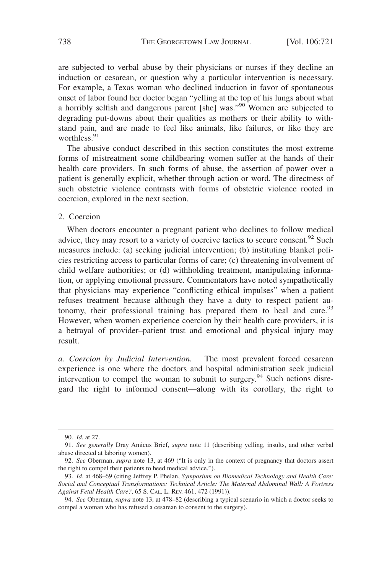<span id="page-17-0"></span>are subjected to verbal abuse by their physicians or nurses if they decline an induction or cesarean, or question why a particular intervention is necessary. For example, a Texas woman who declined induction in favor of spontaneous onset of labor found her doctor began "yelling at the top of his lungs about what a horribly selfish and dangerous parent [she] was."90 Women are subjected to degrading put-downs about their qualities as mothers or their ability to withstand pain, and are made to feel like animals, like failures, or like they are worthless.<sup>91</sup>

The abusive conduct described in this section constitutes the most extreme forms of mistreatment some childbearing women suffer at the hands of their health care providers. In such forms of abuse, the assertion of power over a patient is generally explicit, whether through action or word. The directness of such obstetric violence contrasts with forms of obstetric violence rooted in coercion, explored in the next section.

## 2. Coercion

When doctors encounter a pregnant patient who declines to follow medical advice, they may resort to a variety of coercive tactics to secure consent.<sup>92</sup> Such measures include: (a) seeking judicial intervention; (b) instituting blanket policies restricting access to particular forms of care; (c) threatening involvement of child welfare authorities; or (d) withholding treatment, manipulating information, or applying emotional pressure. Commentators have noted sympathetically that physicians may experience "conflicting ethical impulses" when a patient refuses treatment because although they have a duty to respect patient autonomy, their professional training has prepared them to heal and cure.<sup>93</sup> However, when women experience coercion by their health care providers, it is a betrayal of provider–patient trust and emotional and physical injury may result.

*a. Coercion by Judicial Intervention.* The most prevalent forced cesarean experience is one where the doctors and hospital administration seek judicial intervention to compel the woman to submit to surgery.<sup>94</sup> Such actions disregard the right to informed consent—along with its corollary, the right to

<sup>90.</sup> *Id.* at 27.

<sup>91.</sup> *See generally* Dray Amicus Brief, *supra* note 11 (describing yelling, insults, and other verbal abuse directed at laboring women).

<sup>92.</sup> *See* Oberman, *supra* note 13, at 469 ("It is only in the context of pregnancy that doctors assert the right to compel their patients to heed medical advice.").

<sup>93.</sup> *Id*. at 468–69 (citing Jeffrey P. Phelan, *Symposium on Biomedical Technology and Health Care: Social and Conceptual Transformations: Technical Article: The Maternal Abdominal Wall: A Fortress Against Fetal Health Care?*, 65 S. CAL. L. REV. 461, 472 (1991)).

<sup>94.</sup> *See* Oberman, *supra* note 13, at 478–82 (describing a typical scenario in which a doctor seeks to compel a woman who has refused a cesarean to consent to the surgery).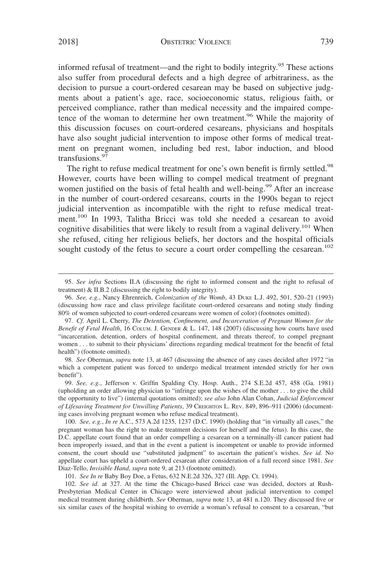informed refusal of treatment—and the right to bodily integrity.<sup>95</sup> These actions also suffer from procedural defects and a high degree of arbitrariness, as the decision to pursue a court-ordered cesarean may be based on subjective judgments about a patient's age, race, socioeconomic status, religious faith, or perceived compliance, rather than medical necessity and the impaired competence of the woman to determine her own treatment.<sup>96</sup> While the majority of this discussion focuses on court-ordered cesareans, physicians and hospitals have also sought judicial intervention to impose other forms of medical treatment on pregnant women, including bed rest, labor induction, and blood transfusions.<sup>97</sup>

The right to refuse medical treatment for one's own benefit is firmly settled.<sup>98</sup> However, courts have been willing to compel medical treatment of pregnant women justified on the basis of fetal health and well-being.<sup>99</sup> After an increase in the number of court-ordered cesareans, courts in the 1990s began to reject judicial intervention as incompatible with the right to refuse medical treatment.100 In 1993, Talitha Bricci was told she needed a cesarean to avoid cognitive disabilities that were likely to result from a vaginal delivery.<sup>101</sup> When she refused, citing her religious beliefs, her doctors and the hospital officials sought custody of the fetus to secure a court order compelling the cesarean.<sup>102</sup>

<sup>95.</sup> *See infra* Sections II.A (discussing the right to informed consent and the right to refusal of treatment) & II.B.2 (discussing the right to bodily integrity).

<sup>96.</sup> *See, e.g.*, Nancy Ehrenreich, *Colonization of the Womb*, 43 DUKE L.J. 492, 501, 520–21 (1993) (discussing how race and class privilege facilitate court-ordered cesareans and noting study finding 80% of women subjected to court-ordered cesareans were women of color) (footnotes omitted).

<sup>97.</sup> *Cf.* April L. Cherry, *The Detention, Confinement, and Incarceration of Pregnant Women for the Benefit of Fetal Health*, 16 COLUM. J. GENDER & L. 147, 148 (2007) (discussing how courts have used "incarceration, detention, orders of hospital confinement, and threats thereof, to compel pregnant women . . . to submit to their physicians' directions regarding medical treatment for the benefit of fetal health") (footnote omitted).

<sup>98.</sup> *See* Oberman, *supra* note 13, at 467 (discussing the absence of any cases decided after 1972 "in which a competent patient was forced to undergo medical treatment intended strictly for her own benefit").

<sup>99.</sup> *See, e.g.*, Jefferson v. Griffin Spalding Cty. Hosp. Auth., 274 S.E.2d 457, 458 (Ga. 1981) (upholding an order allowing physician to "infringe upon the wishes of the mother . . . to give the child the opportunity to live") (internal quotations omitted); *see also* John Alan Cohan, *Judicial Enforcement of Lifesaving Treatment for Unwilling Patients*, 39 CREIGHTON L. REV. 849, 896–911 (2006) (documenting cases involving pregnant women who refuse medical treatment).

<sup>100.</sup> *See, e.g.*, *In re* A.C., 573 A.2d 1235, 1237 (D.C. 1990) (holding that "in virtually all cases," the pregnant woman has the right to make treatment decisions for herself and the fetus). In this case, the D.C. appellate court found that an order compelling a cesarean on a terminally-ill cancer patient had been improperly issued, and that in the event a patient is incompetent or unable to provide informed consent, the court should use "substituted judgment" to ascertain the patient's wishes. *See id.* No appellate court has upheld a court-ordered cesarean after consideration of a full record since 1981. *See*  Diaz-Tello, *Invisible Hand*, *supra* note 9, at 213 (footnote omitted).

<sup>101.</sup> *See In re* Baby Boy Doe, a Fetus, 632 N.E.2d 326, 327 (Ill. App. Ct. 1994).

<sup>102.</sup> *See id*. at 327. At the time the Chicago-based Bricci case was decided, doctors at Rush-Presbyterian Medical Center in Chicago were interviewed about judicial intervention to compel medical treatment during childbirth. *See* Oberman, *supra* note 13, at 481 n.120. They discussed five or six similar cases of the hospital wishing to override a woman's refusal to consent to a cesarean, "but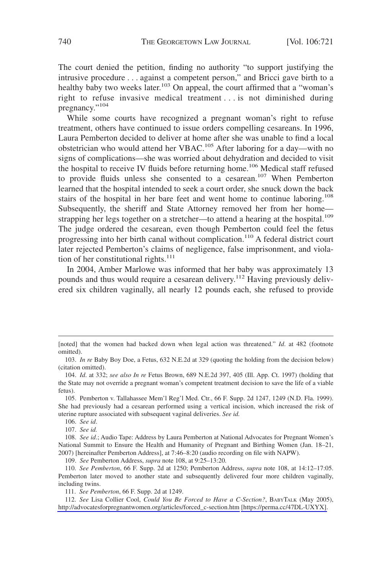The court denied the petition, finding no authority "to support justifying the intrusive procedure ... against a competent person," and Bricci gave birth to a healthy baby two weeks later.<sup>103</sup> On appeal, the court affirmed that a "woman's right to refuse invasive medical treatment ... is not diminished during pregnancy."<sup>104</sup>

While some courts have recognized a pregnant woman's right to refuse treatment, others have continued to issue orders compelling cesareans. In 1996, Laura Pemberton decided to deliver at home after she was unable to find a local obstetrician who would attend her VBAC.105 After laboring for a day—with no signs of complications—she was worried about dehydration and decided to visit the hospital to receive IV fluids before returning home.<sup>106</sup> Medical staff refused to provide fluids unless she consented to a cesarean.<sup>107</sup> When Pemberton learned that the hospital intended to seek a court order, she snuck down the back stairs of the hospital in her bare feet and went home to continue laboring.<sup>108</sup> Subsequently, the sheriff and State Attorney removed her from her home strapping her legs together on a stretcher—to attend a hearing at the hospital.<sup>109</sup> The judge ordered the cesarean, even though Pemberton could feel the fetus progressing into her birth canal without complication.<sup>110</sup> A federal district court later rejected Pemberton's claims of negligence, false imprisonment, and violation of her constitutional rights. $111$ 

In 2004, Amber Marlowe was informed that her baby was approximately 13 pounds and thus would require a cesarean delivery.<sup>112</sup> Having previously delivered six children vaginally, all nearly 12 pounds each, she refused to provide

106. *See id*.

107. *See id.* 

108. *See id*.; Audio Tape: Address by Laura Pemberton at National Advocates for Pregnant Women's National Summit to Ensure the Health and Humanity of Pregnant and Birthing Women (Jan. 18–21, 2007) [hereinafter Pemberton Address], at 7:46–8:20 (audio recording on file with NAPW).

109. *See* Pemberton Address, *supra* note 108, at 9:25–13:20.

110. *See Pemberton*, 66 F. Supp. 2d at 1250; Pemberton Address, *supra* note 108, at 14:12–17:05. Pemberton later moved to another state and subsequently delivered four more children vaginally, including twins.

111. *See Pemberton*, 66 F. Supp. 2d at 1249.

*See* Lisa Collier Cool, *Could You Be Forced to Have a C-Section?*, BABYTALK (May 2005), 112. [http://advocatesforpregnantwomen.org/articles/forced\\_c-section.htm](http://advocatesforpregnantwomen.org/articles/forced_c-section.htm) [\[https://perma.cc/47DL-UXYX\].](https://perma.cc/47DL-UXYX)

<sup>[</sup>noted] that the women had backed down when legal action was threatened." *Id*. at 482 (footnote omitted).

<sup>103.</sup> *In re* Baby Boy Doe, a Fetus, 632 N.E.2d at 329 (quoting the holding from the decision below) (citation omitted).

<sup>104.</sup> *Id*. at 332; *see also In re* Fetus Brown, 689 N.E.2d 397, 405 (Ill. App. Ct. 1997) (holding that the State may not override a pregnant woman's competent treatment decision to save the life of a viable fetus).

<sup>105.</sup> Pemberton v. Tallahassee Mem'l Reg'l Med. Ctr., 66 F. Supp. 2d 1247, 1249 (N.D. Fla. 1999). She had previously had a cesarean performed using a vertical incision, which increased the risk of uterine rupture associated with subsequent vaginal deliveries. *See id.*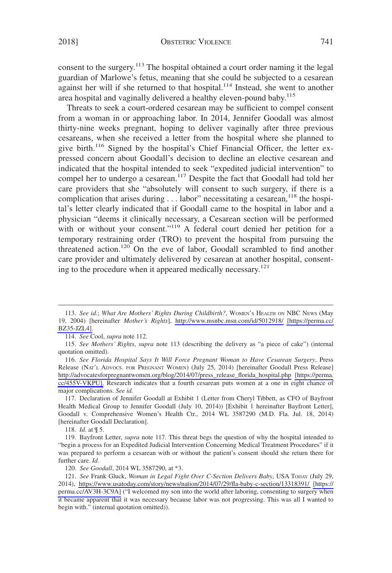consent to the surgery.<sup>113</sup> The hospital obtained a court order naming it the legal guardian of Marlowe's fetus, meaning that she could be subjected to a cesarean against her will if she returned to that hospital.<sup>114</sup> Instead, she went to another area hospital and vaginally delivered a healthy eleven-pound baby.<sup>115</sup>

Threats to seek a court-ordered cesarean may be sufficient to compel consent from a woman in or approaching labor. In 2014, Jennifer Goodall was almost thirty-nine weeks pregnant, hoping to deliver vaginally after three previous cesareans, when she received a letter from the hospital where she planned to give birth.<sup>116</sup> Signed by the hospital's Chief Financial Officer, the letter expressed concern about Goodall's decision to decline an elective cesarean and indicated that the hospital intended to seek "expedited judicial intervention" to compel her to undergo a cesarean.<sup>117</sup> Despite the fact that Goodall had told her care providers that she "absolutely will consent to such surgery, if there is a complication that arises during  $\dots$  labor" necessitating a cesarean,<sup>118</sup> the hospital's letter clearly indicated that if Goodall came to the hospital in labor and a physician "deems it clinically necessary, a Cesarean section will be performed with or without your consent."<sup>119</sup> A federal court denied her petition for a temporary restraining order (TRO) to prevent the hospital from pursuing the threatened action.<sup>120</sup> On the eve of labor, Goodall scrambled to find another care provider and ultimately delivered by cesarean at another hospital, consenting to the procedure when it appeared medically necessary.<sup>121</sup>

118. *Id.* at ¶ 5.

 <sup>113.</sup> *See id.*; *What Are Mothers' Rights During Childbirth?*, WOMEN'S HEALTH ON NBC NEWS (May 19, 2004) [hereinafter *Mother's Rights*], <http://www.msnbc.msn.com/id/5012918/>[\[https://perma.cc/](https://perma.cc/BZ35-JZL4)  [BZ35-JZL4\].](https://perma.cc/BZ35-JZL4)

<sup>114.</sup> *See* Cool, *supra* note 112.

<sup>115.</sup> *See Mothers' Rights*, *supra* note 113 (describing the delivery as "a piece of cake") (internal quotation omitted).

*See Florida Hospital Says It Will Force Pregnant Woman to Have Cesarean Surgery*, Press 116. Release (NAT'L ADVOCS. FOR PREGNANT WOMEN) (July 25, 2014) [hereinafter Goodall Press Release] [http://advocatesforpregnantwomen.org/blog/2014/07/press\\_release\\_florida\\_hospital.php](http://advocatesforpregnantwomen.org/blog/2014/07/press_release_florida_hospital.php) [\[https://perma.](https://perma.cc/455V-VKPU) [cc/455V-VKPU\].](https://perma.cc/455V-VKPU) Research indicates that a fourth cesarean puts women at a one in eight chance of major complications. *See id.* 

<sup>117.</sup> Declaration of Jennifer Goodall at Exhibit 1 (Letter from Cheryl Tibbett, as CFO of Bayfront Health Medical Group to Jennifer Goodall (July 10, 2014)) [Exhibit 1 hereinafter Bayfront Letter], Goodall v. Comprehensive Women's Health Ctr., 2014 WL 3587290 (M.D. Fla. Jul. 18, 2014) [hereinafter Goodall Declaration].

<sup>119.</sup> Bayfront Letter, *supra* note 117. This threat begs the question of why the hospital intended to "begin a process for an Expedited Judicial Intervention Concerning Medical Treatment Procedures" if it was prepared to perform a cesarean with or without the patient's consent should she return there for further care. *Id*.

<sup>120.</sup> *See Goodall*, 2014 WL 3587290, at \*3.

<sup>121.</sup> *See* Frank Gluck, *Woman in Legal Fight Over C-Section Delivers Baby*, USA TODAY (July 29, 2014), <https://www.usatoday.com/story/news/nation/2014/07/29/fla-baby-c-section/13318391/>[\[https://](https://perma.cc/AV3H-3C9A) [perma.cc/AV3H-3C9A\]](https://perma.cc/AV3H-3C9A) ("I welcomed my son into the world after laboring, consenting to surgery when it became apparent that it was necessary because labor was not progressing. This was all I wanted to begin with." (internal quotation omitted)).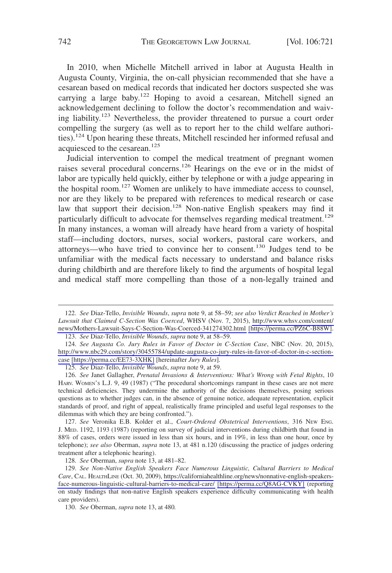In 2010, when Michelle Mitchell arrived in labor at Augusta Health in Augusta County, Virginia, the on-call physician recommended that she have a cesarean based on medical records that indicated her doctors suspected she was carrying a large baby.<sup>122</sup> Hoping to avoid a cesarean, Mitchell signed an acknowledgement declining to follow the doctor's recommendation and waiving liability.123 Nevertheless, the provider threatened to pursue a court order compelling the surgery (as well as to report her to the child welfare authorities).<sup>124</sup> Upon hearing these threats, Mitchell rescinded her informed refusal and acquiesced to the cesarean.<sup>125</sup>

Judicial intervention to compel the medical treatment of pregnant women raises several procedural concerns.126 Hearings on the eve or in the midst of labor are typically held quickly, either by telephone or with a judge appearing in the hospital room.127 Women are unlikely to have immediate access to counsel, nor are they likely to be prepared with references to medical research or case law that support their decision.<sup>128</sup> Non-native English speakers may find it particularly difficult to advocate for themselves regarding medical treatment.<sup>129</sup> In many instances, a woman will already have heard from a variety of hospital staff—including doctors, nurses, social workers, pastoral care workers, and attorneys—who have tried to convince her to consent.130 Judges tend to be unfamiliar with the medical facts necessary to understand and balance risks during childbirth and are therefore likely to find the arguments of hospital legal and medical staff more compelling than those of a non-legally trained and

127. *See* Veronika E.B. Kolder et al., *Court-Ordered Obstetrical Interventions*, 316 NEW ENG. J. MED. 1192, 1193 (1987) (reporting on survey of judicial interventions during childbirth that found in 88% of cases, orders were issued in less than six hours, and in 19%, in less than one hour, once by telephone); *see also* Oberman, *supra* note 13, at 481 n.120 (discussing the practice of judges ordering treatment after a telephonic hearing).

128. *See* Oberman, *supra* note 13, at 481–82.

129. See Non-Native English Speakers Face Numerous Linguistic, Cultural Barriers to Medical *Care*, CAL. HEALTHLINE (Oct. 30, 2009), [https://californiahealthline.org/news/nonnative-english-speakers](https://californiahealthline.org/news/nonnative-english-speakers-face-numerous-linguistic-cultural-barriers-to-medical-care/)[face-numerous-linguistic-cultural-barriers-to-medical-care/](https://californiahealthline.org/news/nonnative-english-speakers-face-numerous-linguistic-cultural-barriers-to-medical-care/) [\[https://perma.cc/Q8AG-CVKY\]](https://perma.cc/Q8AG-CVKY) (reporting on study findings that non-native English speakers experience difficulty communicating with health care providers).

130. *See* Oberman, *supra* note 13, at 480*.* 

 <sup>122.</sup> *See* Diaz-Tello, *Invisible Wounds*, *supra* note 9, at 58–59; *see also Verdict Reached in Mother's Lawsuit that Claimed C-Section Was Coerced*, WHSV (Nov. 7, 2015), [http://www.whsv.com/content/](http://www.whsv.com/content/news/Mothers-Lawsuit-Says-C-Section-Was-Coerced-341274302.html)  [news/Mothers-Lawsuit-Says-C-Section-Was-Coerced-341274302.html](http://www.whsv.com/content/news/Mothers-Lawsuit-Says-C-Section-Was-Coerced-341274302.html) [\[https://perma.cc/PZ6C-B88W\].](https://perma.cc/PZ6C-B88W) 123. *See* Diaz-Tello, *Invisible Wounds*, *supra* note 9, at 58–59.

 <sup>124.</sup> *See Augusta Co. Jury Rules in Favor of Doctor in C-Section Case*, NBC (Nov. 20, 2015), [http://www.nbc29.com/story/30455784/update-augusta-co-jury-rules-in-favor-of-doctor-in-c-section](http://www.nbc29.com/story/30455784/update-augusta-co-jury-rules-in-favor-of-doctor-in-c-section-case)[case](http://www.nbc29.com/story/30455784/update-augusta-co-jury-rules-in-favor-of-doctor-in-c-section-case) [\[https://perma.cc/EE73-3XHK\]](https://perma.cc/EE73-3XHK) [hereinafter *Jury Rules*].

<sup>125.</sup> *See* Diaz-Tello, *Invisible Wounds*, *supra* note 9, at 59.

<sup>126.</sup> *See* Janet Gallagher, *Prenatal Invasions & Interventions: What's Wrong with Fetal Rights*, 10 HARV. WOMEN'S L.J. 9, 49 (1987) ("The procedural shortcomings rampant in these cases are not mere technical deficiencies. They undermine the authority of the decisions themselves, posing serious questions as to whether judges can, in the absence of genuine notice, adequate representation, explicit standards of proof, and right of appeal, realistically frame principled and useful legal responses to the dilemmas with which they are being confronted.").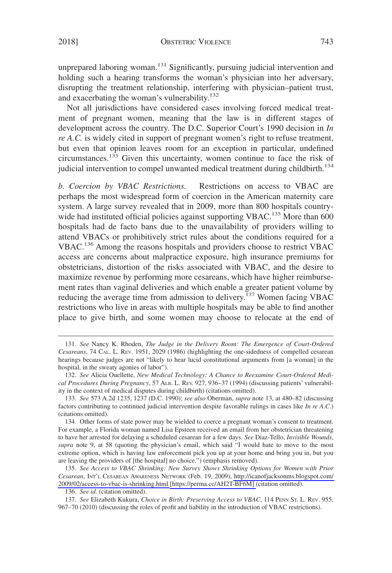<span id="page-22-0"></span>unprepared laboring woman.<sup>131</sup> Significantly, pursuing judicial intervention and holding such a hearing transforms the woman's physician into her adversary, disrupting the treatment relationship, interfering with physician–patient trust, and exacerbating the woman's vulnerability.<sup>132</sup>

Not all jurisdictions have considered cases involving forced medical treatment of pregnant women, meaning that the law is in different stages of development across the country. The D.C. Superior Court's 1990 decision in *In re A.C.* is widely cited in support of pregnant women's right to refuse treatment, but even that opinion leaves room for an exception in particular, undefined circumstances.133 Given this uncertainty, women continue to face the risk of judicial intervention to compel unwanted medical treatment during childbirth.<sup>134</sup>

*b. Coercion by VBAC Restrictions.* Restrictions on access to VBAC are perhaps the most widespread form of coercion in the American maternity care system. A large survey revealed that in 2009, more than 800 hospitals countrywide had instituted official policies against supporting VBAC.<sup>135</sup> More than 600 hospitals had de facto bans due to the unavailability of providers willing to attend VBACs or prohibitively strict rules about the conditions required for a VBAC.136 Among the reasons hospitals and providers choose to restrict VBAC access are concerns about malpractice exposure, high insurance premiums for obstetricians, distortion of the risks associated with VBAC, and the desire to maximize revenue by performing more cesareans, which have higher reimbursement rates than vaginal deliveries and which enable a greater patient volume by reducing the average time from admission to delivery.<sup>137</sup> Women facing VBAC restrictions who live in areas with multiple hospitals may be able to find another place to give birth, and some women may choose to relocate at the end of

135. See Access to VBAC Shrinking: New Survey Shows Shrinking Options for Women with Prior *Cesarean*, INT'L CESAREAN AWARENESS NETWORK (Feb. 19, 2009), [http://icanofjacksonms.blogspot.com/](http://icanofjacksonms.blogspot.com/2009/02/access-to-vbac-is-shrinking.html)  [2009/02/access-to-vbac-is-shrinking.html](http://icanofjacksonms.blogspot.com/2009/02/access-to-vbac-is-shrinking.html) [\[https://perma.cc/AH2T-BF6M\]](https://perma.cc/AH2T-BF6M) (citation omitted).

136. *See id.* (citation omitted)*.* 

137. *See* Elizabeth Kukura, *Choice in Birth: Preserving Access to VBAC*, 114 PENN ST. L. REV. 955, 967–70 (2010) (discussing the roles of profit and liability in the introduction of VBAC restrictions).

<sup>131.</sup> *See* Nancy K. Rhoden, *The Judge in the Delivery Room: The Emergence of Court-Ordered Cesareans*, 74 CAL. L. REV. 1951, 2029 (1986) (highlighting the one-sidedness of compelled cesarean hearings because judges are not "likely to hear lucid constitutional arguments from [a woman] in the hospital, in the sweaty agonies of labor").

<sup>132.</sup> *See* Alicia Ouellette, *New Medical Technology: A Chance to Reexamine Court-Ordered Medical Procedures During Pregnancy*, 57 ALB. L. REV. 927, 936–37 (1994) (discussing patients' vulnerability in the context of medical disputes during childbirth) (citations omitted).

<sup>133.</sup> *See* 573 A.2d 1235, 1237 (D.C. 1990); *see also* Oberman, *supra* note 13, at 480–82 (discussing factors contributing to continued judicial intervention despite favorable rulings in cases like *In re A.C.*) (citations omitted).

<sup>134.</sup> Other forms of state power may be wielded to coerce a pregnant woman's consent to treatment. For example, a Florida woman named Lisa Epsteen received an email from her obstetrician threatening to have her arrested for delaying a scheduled cesarean for a few days. *See* Diaz-Tello, *Invisible Wounds*, *supra* note 9, at 58 (quoting the physician's email, which said "I would hate to move to the most extreme option, which is having law enforcement pick you up at your home and bring you in, but you are leaving the providers of [the hospital] no choice.") (emphasis removed).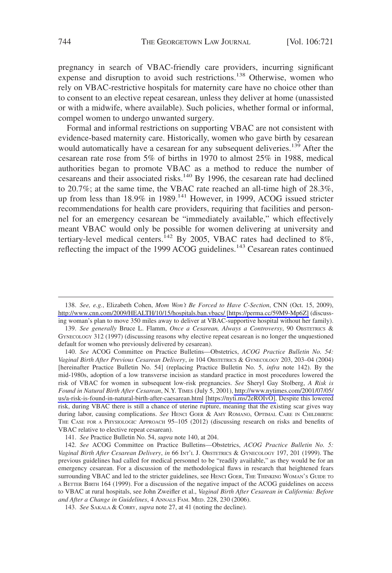pregnancy in search of VBAC-friendly care providers, incurring significant expense and disruption to avoid such restrictions.<sup>138</sup> Otherwise, women who rely on VBAC-restrictive hospitals for maternity care have no choice other than to consent to an elective repeat cesarean, unless they deliver at home (unassisted or with a midwife, where available). Such policies, whether formal or informal, compel women to undergo unwanted surgery.

Formal and informal restrictions on supporting VBAC are not consistent with evidence-based maternity care. Historically, women who gave birth by cesarean would automatically have a cesarean for any subsequent deliveries.<sup>139</sup> After the cesarean rate rose from 5% of births in 1970 to almost 25% in 1988, medical authorities began to promote VBAC as a method to reduce the number of cesareans and their associated risks.<sup>140</sup> By 1996, the cesarean rate had declined to 20.7%; at the same time, the VBAC rate reached an all-time high of 28.3%, up from less than 18.9% in 1989.<sup>141</sup> However, in 1999, ACOG issued stricter recommendations for health care providers, requiring that facilities and personnel for an emergency cesarean be "immediately available," which effectively meant VBAC would only be possible for women delivering at university and tertiary-level medical centers.<sup>142</sup> By 2005, VBAC rates had declined to 8%, reflecting the impact of the 1999 ACOG guidelines.<sup>143</sup> Cesarean rates continued

*See, e.g.*, Elizabeth Cohen, *Mom Won't Be Forced to Have C-Section*, CNN (Oct. 15, 2009), 138. <http://www.cnn.com/2009/HEALTH/10/15/hospitals.ban.vbacs/>[\[https://perma.cc/59M9-Mp6Z\]](https://perma.cc/59M9-Mp6Z) (discussing woman's plan to move 350 miles away to deliver at VBAC-supportive hospital without her family).

<sup>139.</sup> *See generally* Bruce L. Flamm, *Once a Cesarean, Always a Controversy*, 90 OBSTETRICS & GYNECOLOGY 312 (1997) (discussing reasons why elective repeat cesarean is no longer the unquestioned default for women who previously delivered by cesarean).

 <sup>140.</sup> *See* ACOG Committee on Practice Bulletins—Obstetrics, *ACOG Practice Bulletin No. 54: Vaginal Birth After Previous Cesarean Delivery*, *in* 104 OBSTETRICS & GYNECOLOGY 203, 203–04 (2004) [hereinafter Practice Bulletin No. 54] (replacing Practice Bulletin No. 5, *infra* note 142). By the mid-1980s, adoption of a low transverse incision as standard practice in most procedures lowered the risk of VBAC for women in subsequent low-risk pregnancies. *See* Sheryl Gay Stolberg, *A Risk is Found in Natural Birth After Cesarean*, N.Y. TIMES (July 5, 2001), [http://www.nytimes.com/2001/07/05/](http://www.nytimes.com/2001/07/05/us/a-risk-is-found-in-natural-birth-after-caesarean.html) [us/a-risk-is-found-in-natural-birth-after-caesarean.html](http://www.nytimes.com/2001/07/05/us/a-risk-is-found-in-natural-birth-after-caesarean.html) [\[https://nyti.ms/2eROIvO\].](https://nyti.ms/2eROIvO) Despite this lowere d risk, during VBAC there is still a chance of uterine rupture, meaning that the existing scar gives way during labor, causing complications. See HENCI GOER & AMY ROMANO, OPTIMAL CARE IN CHILDBIRTH: THE CASE FOR A PHYSIOLOGIC APPROACH 95–105 (2012) (discussing research on risks and benefits of VBAC relative to elective repeat cesarean).

<sup>141.</sup> *See* Practice Bulletin No. 54, *supra* note 140, at 204.

<sup>142.</sup> *See* ACOG Committee on Practice Bulletins—Obstetrics, *ACOG Practice Bulletin No. 5: Vaginal Birth After Cesarean Delivery*, *in* 66 INT'L J. OBSTETRICS & GYNECOLOGY 197, 201 (1999). The previous guidelines had called for medical personnel to be "readily available," as they would be for an emergency cesarean. For a discussion of the methodological flaws in research that heightened fears surrounding VBAC and led to the stricter guidelines, see HENCI GOER, THE THINKING WOMAN's GUIDE TO A BETTER BIRTH 164 (1999). For a discussion of the negative impact of the ACOG guidelines on access to VBAC at rural hospitals, see John Zweifler et al., *Vaginal Birth After Cesarean in California: Before and After a Change in Guidelines*,4ANNALS FAM. MED. 228, 230 (2006).

<sup>143.</sup> *See* SAKALA & CORRY, *supra* note 27, at 41 (noting the decline).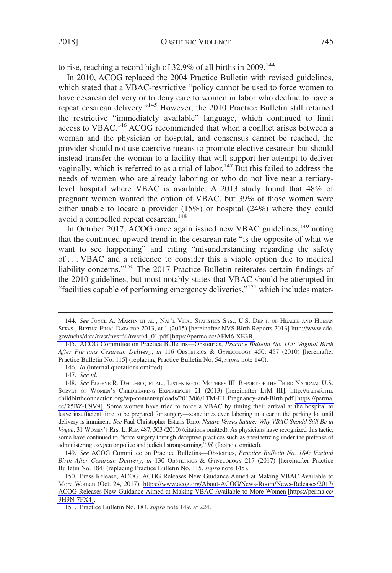to rise, reaching a record high of 32.9% of all births in 2009.144

In 2010, ACOG replaced the 2004 Practice Bulletin with revised guidelines, which stated that a VBAC-restrictive "policy cannot be used to force women to have cesarean delivery or to deny care to women in labor who decline to have a repeat cesarean delivery."145 However, the 2010 Practice Bulletin still retained the restrictive "immediately available" language, which continued to limit access to VBAC.146 ACOG recommended that when a conflict arises between a woman and the physician or hospital, and consensus cannot be reached, the provider should not use coercive means to promote elective cesarean but should instead transfer the woman to a facility that will support her attempt to deliver vaginally, which is referred to as a trial of labor.<sup>147</sup> But this failed to address the needs of women who are already laboring or who do not live near a tertiarylevel hospital where VBAC is available. A 2013 study found that 48% of pregnant women wanted the option of VBAC, but 39% of those women were either unable to locate a provider (15%) or hospital (24%) where they could avoid a compelled repeat cesarean.<sup>148</sup>

In October 2017, ACOG once again issued new VBAC guidelines,<sup>149</sup> noting that the continued upward trend in the cesarean rate "is the opposite of what we want to see happening" and citing "misunderstanding regarding the safety of ... VBAC and a reticence to consider this a viable option due to medical liability concerns."<sup>150</sup> The 2017 Practice Bulletin reiterates certain findings of the 2010 guidelines, but most notably states that VBAC should be attempted in "facilities capable of performing emergency deliveries,"<sup>151</sup> which includes mater-

<sup>144.</sup> See JOYCE A. MARTIN ET AL., NAT'L VITAL STATISTICS SYS., U.S. DEP'T. OF HEALTH AND HUMAN SERVS., BIRTHS: FINAL DATA FOR 2013, at 1 (2015) [hereinafter NVS Birth Reports 2013] [http://www.cdc.](http://www.cdc.gov/nchs/data/nvsr/nvsr64/nvsr64_01.pdf) [gov/nchs/data/nvsr/nvsr64/nvsr64\\_01.pdf](http://www.cdc.gov/nchs/data/nvsr/nvsr64/nvsr64_01.pdf) [\[https://perma.cc/AFM6-XE3B\].](https://perma.cc/AFM6-XE3B)

<sup>145.</sup> ACOG Committee on Practice Bulletins—Obstetrics, *Practice Bulletin No. 115: Vaginal Birth After Previous Cesarean Delivery*, *in* 116 OBSTETRICS & GYNECOLOGY 450, 457 (2010) [hereinafter Practice Bulletin No. 115] (replacing Practice Bulletin No. 54, *supra* note 140).

<sup>146.</sup> *Id* (internal quotations omitted).

<sup>147.</sup> *See id*.

 <sup>148.</sup> *See* EUGENE R. DECLERCQ ET AL., LISTENING TO MOTHERS III: REPORT OF THE THIRD NATIONAL U.S. SURVEY OF WOMEN'S CHILDBEARING EXPERIENCES 21 (2013) [hereinafter LTM III], [http://transform.](http://transform.childbirthconnection.org/wp-content/uploads/2013/06/LTM-III_Pregnancy-and-Birth.pdf)  [childbirthconnection.org/wp-content/uploads/2013/06/LTM-III\\_Pregnancy-and-Birth.pdf](http://transform.childbirthconnection.org/wp-content/uploads/2013/06/LTM-III_Pregnancy-and-Birth.pdf) [\[https://perma.](https://perma.cc/R5BZ-U9V9)  [cc/R5BZ-U9V9\]](https://perma.cc/R5BZ-U9V9). Some women have tried to force a VBAC by timing their arrival at the hospital to leave insufficient time to be prepared for surgery—sometimes even laboring in a car in the parking lot until delivery is imminent. *See* Paul Christopher Estaris Torio, *Nature Versus Suture: Why VBAC Should Still Be in Vogue*, 31 WOMEN'S RTS. L. REP. 487, 503 (2010) (citations omitted). As physicians have recognized this tactic, some have continued to "force surgery through deceptive practices such as anesthetizing under the pretense of administering oxygen or police and judicial strong-arming." *Id.* (footnote omitted).

<sup>149.</sup> *See* ACOG Committee on Practice Bulletins—Obstetrics, *Practice Bulletin No. 184: Vaginal Birth After Cesarean Delivery*, *in* 130 OBSTETRICS & GYNECOLOGY 217 (2017) [hereinafter Practice Bulletin No. 184] (replacing Practice Bulletin No. 115, *supra* note 145).

<sup>150.</sup> Press Release, ACOG, ACOG Releases New Guidance Aimed at Making VBAC Available to More Women (Oct. 24, 2017), [https://www.acog.org/About-ACOG/News-Room/News-Releases/2017/](https://www.acog.org/About-ACOG/News-Room/News-Releases/2017/ACOG-Releases-New-Guidance-Aimed-at-Making-VBAC-Available-to-More-Women)  [ACOG-Releases-New-Guidance-Aimed-at-Making-VBAC-Available-to-More-Women](https://www.acog.org/About-ACOG/News-Room/News-Releases/2017/ACOG-Releases-New-Guidance-Aimed-at-Making-VBAC-Available-to-More-Women) [\[https://perma.cc/](https://perma.cc/9H9N-7FX4)  [9H9N-7FX4\].](https://perma.cc/9H9N-7FX4)

<sup>151.</sup> Practice Bulletin No. 184, *supra* note 149, at 224.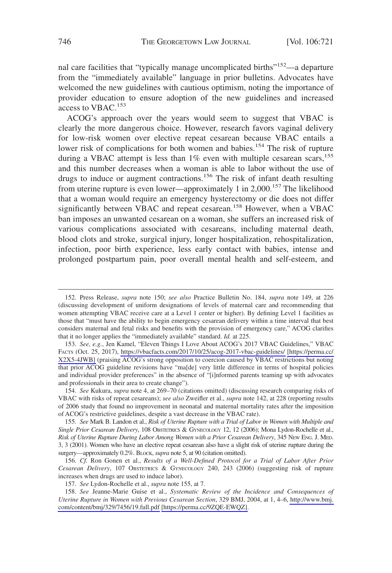nal care facilities that "typically manage uncomplicated births"152—a departure from the "immediately available" language in prior bulletins. Advocates have welcomed the new guidelines with cautious optimism, noting the importance of provider education to ensure adoption of the new guidelines and increased access to VBAC.<sup>153</sup>

ACOG's approach over the years would seem to suggest that VBAC is clearly the more dangerous choice. However, research favors vaginal delivery for low-risk women over elective repeat cesarean because VBAC entails a lower risk of complications for both women and babies.<sup>154</sup> The risk of rupture during a VBAC attempt is less than  $1\%$  even with multiple cesarean scars,<sup>155</sup> and this number decreases when a woman is able to labor without the use of drugs to induce or augment contractions.<sup>156</sup> The risk of infant death resulting from uterine rupture is even lower—approximately 1 in  $2,000$ <sup>157</sup>. The likelihood that a woman would require an emergency hysterectomy or die does not differ significantly between VBAC and repeat cesarean.<sup>158</sup> However, when a VBAC ban imposes an unwanted cesarean on a woman, she suffers an increased risk of various complications associated with cesareans, including maternal death, blood clots and stroke, surgical injury, longer hospitalization, rehospitalization, infection, poor birth experience, less early contact with babies, intense and prolonged postpartum pain, poor overall mental health and self-esteem, and

<sup>152.</sup> Press Release, *supra* note 150; *see also* Practice Bulletin No. 184, *supra* note 149, at 226 (discussing development of uniform designations of levels of maternal care and recommending that women attempting VBAC receive care at a Level 1 center or higher). By defining Level 1 facilities as those that "must have the ability to begin emergency cesarean delivery within a time interval that best considers maternal and fetal risks and benefits with the provision of emergency care," ACOG clarifies that it no longer applies the "immediately available" standard. *Id.* at 225.

 <sup>153.</sup> *See, e.g.*, Jen Kamel, "Eleven Things I Love About ACOG's 2017 VBAC Guidelines," VBAC FACTS (Oct. 25, 2017), <https://vbacfacts.com/2017/10/25/acog-2017-vbac-guidelines/>[\[https://perma.cc/](https://perma.cc/X2X5-4JWB)  [X2X5-4JWB\]](https://perma.cc/X2X5-4JWB) (praising ACOG's strong opposition to coercion caused by VBAC restrictions but noting that prior ACOG guideline revisions have "ma[de] very little difference in terms of hospital policies and individual provider preferences" in the absence of "[i]nformed parents teaming up with advocates and professionals in their area to create change").

<sup>154.</sup> *See* Kukura, *supra* note 4, at 269–70 (citations omitted) (discussing research comparing risks of VBAC with risks of repeat cesareans); *see also* Zweifler et al., *supra* note 142, at 228 (reporting results of 2006 study that found no improvement in neonatal and maternal mortality rates after the imposition of ACOG's restrictive guidelines, despite a vast decrease in the VBAC rate).

<sup>155.</sup> *See* Mark B. Landon et al., *Risk of Uterine Rupture with a Trial of Labor in Women with Multiple and Single Prior Cesarean Delivery*, 108 OBSTETRICS & GYNECOLOGY 12, 12 (2006); Mona Lydon-Rochelle et al., *Risk of Uterine Rupture During Labor Among Women with a Prior Cesarean Delivery*, 345 NEW ENG. J. MED. 3, 3 (2001). Women who have an elective repeat cesarean also have a slight risk of uterine rupture during the surgery—approximately 0.2%. BLOCK, *supra* note 5, at 90 (citation omitted).

<sup>156.</sup> *Cf.* Ron Gonen et al., *Results of a Well-Defined Protocol for a Trial of Labor After Prior Cesarean Delivery*, 107 OBSTETRICS & GYNECOLOGY 240, 243 (2006) (suggesting risk of rupture increases when drugs are used to induce labor).

<sup>157.</sup> *See* Lydon-Rochelle et al., *supra* note 155, at 7.

*See* Jeanne-Marie Guise et al., *Systematic Review of the Incidence and Consequences of*  158. *Uterine Rupture in Women with Previous Cesarean Section*, 329 BMJ, 2004, at 1, 4–6, [http://www.bmj.](http://www.bmj.com/content/bmj/329/7456/19.full.pdf) [com/content/bmj/329/7456/19.full.pdf](http://www.bmj.com/content/bmj/329/7456/19.full.pdf) [\[https://perma.cc/9ZQE-EWQZ\].](https://perma.cc/9ZQE-EWQZ)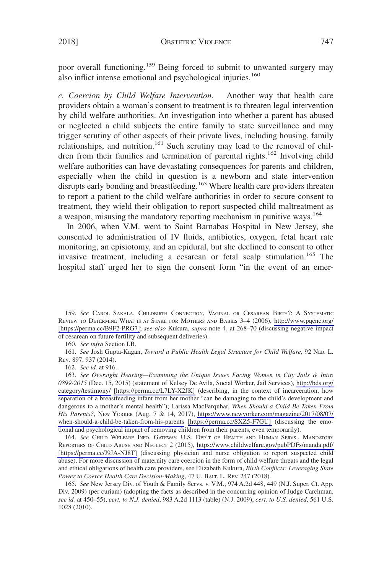<span id="page-26-0"></span>poor overall functioning.<sup>159</sup> Being forced to submit to unwanted surgery may also inflict intense emotional and psychological injuries.<sup>160</sup>

*c. Coercion by Child Welfare Intervention.* Another way that health care providers obtain a woman's consent to treatment is to threaten legal intervention by child welfare authorities. An investigation into whether a parent has abused or neglected a child subjects the entire family to state surveillance and may trigger scrutiny of other aspects of their private lives, including housing, family relationships, and nutrition.<sup>161</sup> Such scrutiny may lead to the removal of children from their families and termination of parental rights.<sup>162</sup> Involving child welfare authorities can have devastating consequences for parents and children, especially when the child in question is a newborn and state intervention disrupts early bonding and breastfeeding.<sup>163</sup> Where health care providers threaten to report a patient to the child welfare authorities in order to secure consent to treatment, they wield their obligation to report suspected child maltreatment as a weapon, misusing the mandatory reporting mechanism in punitive ways.<sup>164</sup>

In 2006, when V.M. went to Saint Barnabas Hospital in New Jersey, she consented to administration of IV fluids, antibiotics, oxygen, fetal heart rate monitoring, an episiotomy, and an epidural, but she declined to consent to other invasive treatment, including a cesarean or fetal scalp stimulation.<sup>165</sup> The hospital staff urged her to sign the consent form "in the event of an emer-

162. *See id.* at 916.

<sup>159.</sup> See CAROL SAKALA, CHILDBIRTH CONNECTION, VAGINAL OR CESAREAN BIRTH?: A SYSTEMATIC REVIEW TO DETERMINE WHAT IS AT STAKE FOR MOTHERS AND BABIES 3–4 (2006), <http://www.pqcnc.org/> [\[https://perma.cc/B9F2-PRG7\]](https://perma.cc/B9F2-PRG7); *see also* Kukura, *supra* note 4, at 268–70 (discussing negative impact of cesarean on future fertility and subsequent deliveries).

<sup>160.</sup> *See infra* Section I.B.

<sup>161.</sup> *See* Josh Gupta-Kagan, *Toward a Public Health Legal Structure for Child Welfare*, 92 NEB. L. REV. 897, 937 (2014).

 <sup>163.</sup> *See Oversight Hearing—Examining the Unique Issues Facing Women in City Jails & Intro 0899-2015* (Dec. 15, 2015) (statement of Kelsey De Avila, Social Worker, Jail Services), [http://bds.org/](http://bds.org/category/testimony/)  [category/testimony/](http://bds.org/category/testimony/) [\[https://perma.cc/L7LY-X2JK\]](https://perma.cc/L7LY-X2JK) (describing, in the context of incarceration, how separation of a breastfeeding infant from her mother "can be damaging to the child's development and dangerous to a mother's mental health"); Larissa MacFarquhar, *When Should a Child Be Taken From His Parents?*, NEW YORKER (Aug. 7 & 14, 2017), [https://www.newyorker.com/magazine/2017/08/07/](https://www.newyorker.com/magazine/2017/08/07/when-should-a-child-be-taken-from-his-parents)  [when-should-a-child-be-taken-from-his-parents](https://www.newyorker.com/magazine/2017/08/07/when-should-a-child-be-taken-from-his-parents) [\[https://perma.cc/SXZ5-F7GU\]](https://perma.cc/SXZ5-F7GU) (discussing the emotional and psychological impact of removing children from their parents, even temporarily).

<sup>164.</sup> See CHILD WELFARE INFO. GATEWAY, U.S. DEP'T OF HEALTH AND HUMAN SERVS., MANDATORY REPORTERS OF CHILD ABUSE AND NEGLECT 2 (2015), [https://www.childwelfare.gov/pubPDFs/manda.pdf/](https://www.childwelfare.gov/pubPDFs/manda.pdf) [\[https://perma.cc/J9JA-NJ8T\]](https://perma.cc/J9JA-NJ8T) (discussing physician and nurse obligation to report suspected child abuse). For more discussion of maternity care coercion in the form of child welfare threats and the legal and ethical obligations of health care providers, see Elizabeth Kukura, *Birth Conflicts: Leveraging State Power to Coerce Health Care Decision-Making*, 47 U. BALT. L. REV. 247 (2018).

<sup>165.</sup> *See* New Jersey Div. of Youth & Family Servs. v. V.M., 974 A.2d 448, 449 (N.J. Super. Ct. App. Div. 2009) (per curiam) (adopting the facts as described in the concurring opinion of Judge Carchman, *see id.* at 450–55), *cert. to N.J. denied*, 983 A.2d 1113 (table) (N.J. 2009), *cert. to U.S. denied*, 561 U.S. 1028 (2010).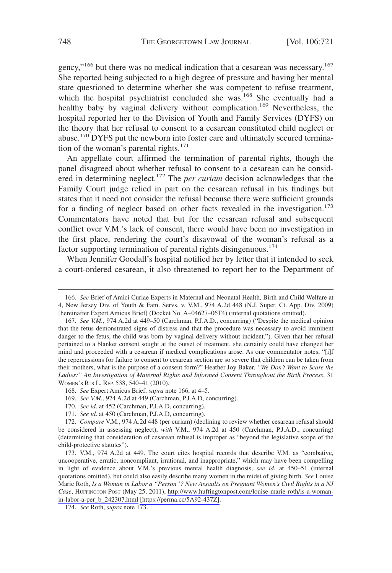gency,"<sup>166</sup> but there was no medical indication that a cesarean was necessary.<sup>167</sup> She reported being subjected to a high degree of pressure and having her mental state questioned to determine whether she was competent to refuse treatment, which the hospital psychiatrist concluded she was.<sup>168</sup> She eventually had a healthy baby by vaginal delivery without complication.<sup>169</sup> Nevertheless, the hospital reported her to the Division of Youth and Family Services (DYFS) on the theory that her refusal to consent to a cesarean constituted child neglect or abuse.<sup>170</sup> DYFS put the newborn into foster care and ultimately secured termination of the woman's parental rights. $171$ 

An appellate court affirmed the termination of parental rights, though the panel disagreed about whether refusal to consent to a cesarean can be considered in determining neglect.<sup>172</sup> The *per curiam* decision acknowledges that the Family Court judge relied in part on the cesarean refusal in his findings but states that it need not consider the refusal because there were sufficient grounds for a finding of neglect based on other facts revealed in the investigation.<sup>173</sup> Commentators have noted that but for the cesarean refusal and subsequent conflict over V.M.'s lack of consent, there would have been no investigation in the first place, rendering the court's disavowal of the woman's refusal as a factor supporting termination of parental rights disingenuous.<sup>174</sup>

When Jennifer Goodall's hospital notified her by letter that it intended to seek a court-ordered cesarean, it also threatened to report her to the Department of

- 168. *See* Expert Amicus Brief, *supra* note 166, at 4–5.
- 169. *See V.M.*, 974 A.2d at 449 (Carchman, P.J.A.D, concurring).
- 170. *See id*. at 452 (Carchman, P.J.A.D, concurring).
- 171. *See id*. at 450 (Carchman, P.J.A.D, concurring).

<sup>166.</sup> *See* Brief of Amici Curiae Experts in Maternal and Neonatal Health, Birth and Child Welfare at 4, New Jersey Div. of Youth & Fam. Servs. v. V.M., 974 A.2d 448 (N.J. Super. Ct. App. Div. 2009) [hereinafter Expert Amicus Brief] (Docket No. A–04627–06T4) (internal quotations omitted).

<sup>167.</sup> *See V.M.*, 974 A.2d at 449–50 (Carchman, P.J.A.D., concurring) ("Despite the medical opinion that the fetus demonstrated signs of distress and that the procedure was necessary to avoid imminent danger to the fetus, the child was born by vaginal delivery without incident."). Given that her refusal pertained to a blanket consent sought at the outset of treatment, she certainly could have changed her mind and proceeded with a cesarean if medical complications arose. As one commentator notes, "[i]f the repercussions for failure to consent to cesarean section are so severe that children can be taken from their mothers, what is the purpose of a consent form?" Heather Joy Baker, *"We Don't Want to Scare the Ladies:" An Investigation of Maternal Rights and Informed Consent Throughout the Birth Process*, 31 WOMEN'S RTS L. REP. 538, 540–41 (2010).

<sup>172.</sup> *Compare* V.M., 974 A.2d 448 (per curiam) (declining to review whether cesarean refusal should be considered in assessing neglect), *with* V.M., 974 A.2d at 450 (Carchman, P.J.A.D., concurring) (determining that consideration of cesarean refusal is improper as "beyond the legislative scope of the child-protective statutes").

<sup>173.</sup> V.M., 974 A.2d at 449. The court cites hospital records that describe V.M. as "combative, uncooperative, erratic, noncompliant, irrational, and inappropriate," which may have been compelling in light of evidence about V.M.'s previous mental health diagnosis, *see id*. at 450–51 (internal quotations omitted), but could also easily describe many women in the midst of giving birth. *See* Louise Marie Roth, *Is a Woman in Labor a "Person"? New Assaults on Pregnant Women's Civil Rights in a NJ Case*, HUFFINGTON POST (May 25, 2011), [http://www.huffingtonpost.com/louise-marie-roth/is-a-woman](http://www.huffingtonpost.com/louise-marie-roth/is-a-woman-in-labor-a-per_b_242307.html)[in-labor-a-per\\_b\\_242307.html](http://www.huffingtonpost.com/louise-marie-roth/is-a-woman-in-labor-a-per_b_242307.html) [\[https://perma.cc/5A92-437Z\].](https://perma.cc/5A92-437Z)

<sup>174.</sup> *See* Roth, *supra* note 173.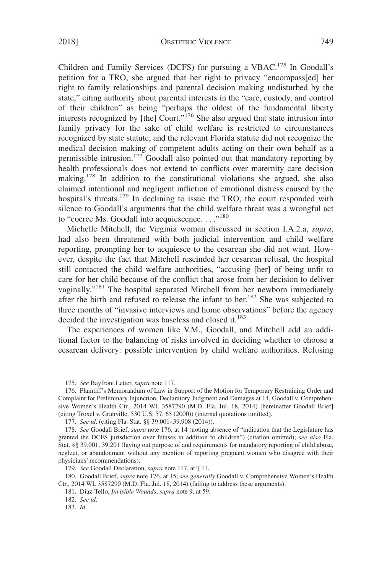Children and Family Services (DCFS) for pursuing a VBAC.175 In Goodall's petition for a TRO, she argued that her right to privacy "encompass[ed] her right to family relationships and parental decision making undisturbed by the state," citing authority about parental interests in the "care, custody, and control of their children" as being "perhaps the oldest of the fundamental liberty interests recognized by  $[the]$  Court."<sup>176</sup> She also argued that state intrusion into family privacy for the sake of child welfare is restricted to circumstances recognized by state statute, and the relevant Florida statute did not recognize the medical decision making of competent adults acting on their own behalf as a permissible intrusion.177 Goodall also pointed out that mandatory reporting by health professionals does not extend to conflicts over maternity care decision making.<sup>178</sup> In addition to the constitutional violations she argued, she also claimed intentional and negligent infliction of emotional distress caused by the hospital's threats.<sup>179</sup> In declining to issue the TRO, the court responded with silence to Goodall's arguments that the child welfare threat was a wrongful act to "coerce Ms. Goodall into acquiescence...."<sup>180</sup>

Michelle Mitchell, the Virginia woman discussed in section I.A.2.a, *supra*, had also been threatened with both judicial intervention and child welfare reporting, prompting her to acquiesce to the cesarean she did not want. However, despite the fact that Mitchell rescinded her cesarean refusal, the hospital still contacted the child welfare authorities, "accusing [her] of being unfit to care for her child because of the conflict that arose from her decision to deliver vaginally."181 The hospital separated Mitchell from her newborn immediately after the birth and refused to release the infant to her.<sup>182</sup> She was subjected to three months of "invasive interviews and home observations" before the agency decided the investigation was baseless and closed it. $^{183}$ 

The experiences of women like V.M., Goodall, and Mitchell add an additional factor to the balancing of risks involved in deciding whether to choose a cesarean delivery: possible intervention by child welfare authorities. Refusing

<sup>175.</sup> *See* Bayfront Letter, *supra* note 117.

<sup>176.</sup> Plaintiff's Memorandum of Law in Support of the Motion for Temporary Restraining Order and Complaint for Preliminary Injunction, Declaratory Judgment and Damages at 14, Goodall v. Comprehensive Women's Health Ctr., 2014 WL 3587290 (M.D. Fla. Jul. 18, 2014) [hereinafter Goodall Brief] (citing Troxel v. Granville, 530 U.S. 57, 65 (2000)) (internal quotations omitted).

<sup>177.</sup> *See id*. (citing Fla. Stat. §§ 39.001–39.908 (2014)).

<sup>178.</sup> *See* Goodall Brief, *supra* note 176, at 14 (noting absence of "indication that the Legislature has granted the DCFS jurisdiction over fetuses in addition to children") (citation omitted); *see also* Fla. Stat. §§ 39.001, 39.201 (laying out purpose of and requirements for mandatory reporting of child abuse, neglect, or abandonment without any mention of reporting pregnant women who disagree with their physicians' recommendations).

<sup>179.</sup> *See* Goodall Declaration, *supra* note 117, at ¶ 11.

<sup>180.</sup> Goodall Brief, *supra* note 176, at 15; *see generally* Goodall v. Comprehensive Women's Health Ctr., 2014 WL 3587290 (M.D. Fla. Jul. 18, 2014) (failing to address these arguments).

<sup>181.</sup> Diaz-Tello, *Invisible Wounds*, *supra* note 9, at 59.

<sup>182.</sup> *See id*.

<sup>183.</sup> *Id*.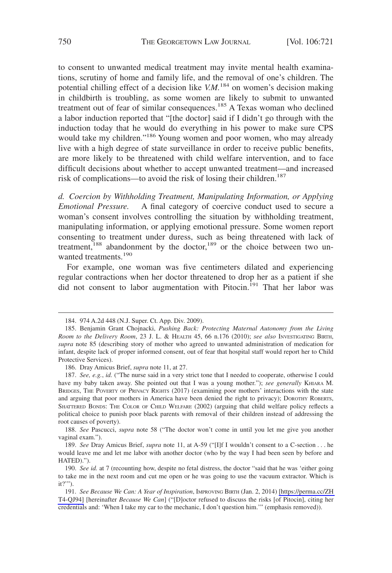<span id="page-29-0"></span>to consent to unwanted medical treatment may invite mental health examinations, scrutiny of home and family life, and the removal of one's children. The potential chilling effect of a decision like *V.M.*184 on women's decision making in childbirth is troubling, as some women are likely to submit to unwanted treatment out of fear of similar consequences.<sup>185</sup> A Texas woman who declined a labor induction reported that "[the doctor] said if I didn't go through with the induction today that he would do everything in his power to make sure CPS would take my children."186 Young women and poor women, who may already live with a high degree of state surveillance in order to receive public benefits, are more likely to be threatened with child welfare intervention, and to face difficult decisions about whether to accept unwanted treatment—and increased risk of complications—to avoid the risk of losing their children.<sup>187</sup>

*d. Coercion by Withholding Treatment, Manipulating Information, or Applying Emotional Pressure.* A final category of coercive conduct used to secure a woman's consent involves controlling the situation by withholding treatment, manipulating information, or applying emotional pressure. Some women report consenting to treatment under duress, such as being threatened with lack of treatment,<sup>188</sup> abandonment by the doctor,<sup>189</sup> or the choice between two unwanted treatments.<sup>190</sup>

For example, one woman was five centimeters dilated and experiencing regular contractions when her doctor threatened to drop her as a patient if she did not consent to labor augmentation with Pitocin.<sup>191</sup> That her labor was

188. *See* Pascucci, *supra* note 58 ("The doctor won't come in until you let me give you another vaginal exam.").

<sup>184. 974</sup> A.2d 448 (N.J. Super. Ct. App. Div. 2009).

<sup>185.</sup> Benjamin Grant Chojnacki, *Pushing Back: Protecting Maternal Autonomy from the Living Room to the Delivery Room*, 23 J. L. & HEALTH 45, 66 n.176 (2010); *see also* INVESTIGATING BIRTH, *supra* note 85 (describing story of mother who agreed to unwanted administration of medication for infant, despite lack of proper informed consent, out of fear that hospital staff would report her to Child Protective Services).

<sup>186.</sup> Dray Amicus Brief, *supra* note 11, at 27.

<sup>187.</sup> *See, e.g.*, *id.* ("The nurse said in a very strict tone that I needed to cooperate, otherwise I could have my baby taken away. She pointed out that I was a young mother."); *see generally* KHIARA M. BRIDGES, THE POVERTY OF PRIVACY RIGHTS (2017) (examining poor mothers' interactions with the state and arguing that poor mothers in America have been denied the right to privacy); DOROTHY ROBERTS, SHATTERED BONDS: THE COLOR OF CHILD WELFARE (2002) (arguing that child welfare policy reflects a political choice to punish poor black parents with removal of their children instead of addressing the root causes of poverty).

<sup>189.</sup> *See* Dray Amicus Brief, *supra* note 11, at A-59 ("[I]f I wouldn't consent to a C-section . . . he would leave me and let me labor with another doctor (who by the way I had been seen by before and HATED).").

<sup>190.</sup> *See id.* at 7 (recounting how, despite no fetal distress, the doctor "said that he was 'either going to take me in the next room and cut me open or he was going to use the vacuum extractor. Which is it?'").

*See Because We Can: A Year of Inspiration*, IMPROVING BIRTH (Jan. 2, 2014) [\[https://perma.cc/ZH](https://perma.cc/ZHT4-QJ94)  191. [T4-QJ94\]](https://perma.cc/ZHT4-QJ94) [hereinafter *Because We Can*] ("[D]octor refused to discuss the risks [of Pitocin], citing her credentials and: 'When I take my car to the mechanic, I don't question him.'" (emphasis removed)).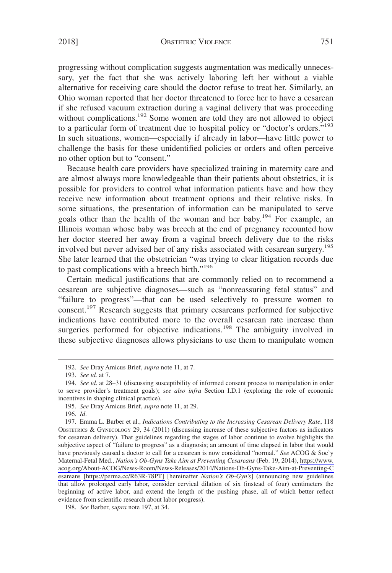progressing without complication suggests augmentation was medically unnecessary, yet the fact that she was actively laboring left her without a viable alternative for receiving care should the doctor refuse to treat her. Similarly, an Ohio woman reported that her doctor threatened to force her to have a cesarean if she refused vacuum extraction during a vaginal delivery that was proceeding without complications.<sup>192</sup> Some women are told they are not allowed to object to a particular form of treatment due to hospital policy or "doctor's orders."<sup>193</sup> In such situations, women—especially if already in labor—have little power to challenge the basis for these unidentified policies or orders and often perceive no other option but to "consent."

Because health care providers have specialized training in maternity care and are almost always more knowledgeable than their patients about obstetrics, it is possible for providers to control what information patients have and how they receive new information about treatment options and their relative risks. In some situations, the presentation of information can be manipulated to serve goals other than the health of the woman and her baby.<sup>194</sup> For example, an Illinois woman whose baby was breech at the end of pregnancy recounted how her doctor steered her away from a vaginal breech delivery due to the risks involved but never advised her of any risks associated with cesarean surgery.<sup>195</sup> She later learned that the obstetrician "was trying to clear litigation records due to past complications with a breech birth."196

Certain medical justifications that are commonly relied on to recommend a cesarean are subjective diagnoses—such as "nonreassuring fetal status" and "failure to progress"—that can be used selectively to pressure women to consent.<sup>197</sup> Research suggests that primary cesareans performed for subjective indications have contributed more to the overall cesarean rate increase than surgeries performed for objective indications.<sup>198</sup> The ambiguity involved in these subjective diagnoses allows physicians to use them to manipulate women

<sup>192.</sup> *See* Dray Amicus Brief, *supra* note 11, at 7.

<sup>193.</sup> *See id.* at 7.

<sup>194.</sup> *See id*. at 28–31 (discussing susceptibility of informed consent process to manipulation in order to serve provider's treatment goals); *see also infra* Section I.D.1 (exploring the role of economic incentives in shaping clinical practice).

<sup>195.</sup> *See* Dray Amicus Brief, *supra* note 11, at 29.

<sup>196.</sup> *Id*.

Emma L. Barber et al., *Indications Contributing to the Increasing Cesarean Delivery Rate*, 118 197. OBSTETRICS & GYNECOLOGY 29, 34 (2011) (discussing increase of these subjective factors as indicators for cesarean delivery). That guidelines regarding the stages of labor continue to evolve highlights the subjective aspect of "failure to progress" as a diagnosis; an amount of time elapsed in labor that would have previously caused a doctor to call for a cesarean is now considered "normal." *See* ACOG & Soc'y Maternal-Fetal Med., *Nation's Ob-Gyns Take Aim at Preventing Cesareans* (Feb. 19, 2014), [https://www.](https://www.acog.org/About-ACOG/News-Room/News-Releases/2014/Nations-Ob-Gyns-Take-Aim-at-Preventing-Cesareans) [acog.org/About-ACOG/News-Room/News-Releases/2014/Nations-Ob-Gyns-Take-Aim-at-Preventing-C](https://www.acog.org/About-ACOG/News-Room/News-Releases/2014/Nations-Ob-Gyns-Take-Aim-at-Preventing-Cesareans) [esareans](https://www.acog.org/About-ACOG/News-Room/News-Releases/2014/Nations-Ob-Gyns-Take-Aim-at-Preventing-Cesareans) [\[https://perma.cc/R63R-78PT\]](https://perma.cc/R63R-78PT) [hereinafter *Nation's Ob-Gyn's*] (announcing new guidelines that allow prolonged early labor, consider cervical dilation of six (instead of four) centimeters the beginning of active labor, and extend the length of the pushing phase, all of which better reflect evidence from scientific research about labor progress).

<sup>198.</sup> *See* Barber, *supra* note 197, at 34.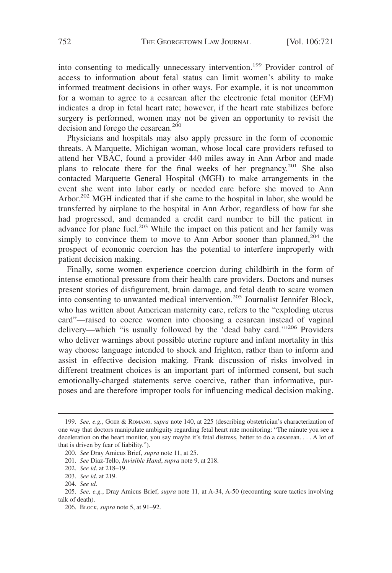into consenting to medically unnecessary intervention.199 Provider control of access to information about fetal status can limit women's ability to make informed treatment decisions in other ways. For example, it is not uncommon for a woman to agree to a cesarean after the electronic fetal monitor (EFM) indicates a drop in fetal heart rate; however, if the heart rate stabilizes before surgery is performed, women may not be given an opportunity to revisit the decision and forego the cesarean.<sup>200</sup>

Physicians and hospitals may also apply pressure in the form of economic threats. A Marquette, Michigan woman, whose local care providers refused to attend her VBAC, found a provider 440 miles away in Ann Arbor and made plans to relocate there for the final weeks of her pregnancy.<sup>201</sup> She also contacted Marquette General Hospital (MGH) to make arrangements in the event she went into labor early or needed care before she moved to Ann Arbor.<sup>202</sup> MGH indicated that if she came to the hospital in labor, she would be transferred by airplane to the hospital in Ann Arbor, regardless of how far she had progressed, and demanded a credit card number to bill the patient in advance for plane fuel.<sup>203</sup> While the impact on this patient and her family was simply to convince them to move to Ann Arbor sooner than planned, $204$  the prospect of economic coercion has the potential to interfere improperly with patient decision making.

Finally, some women experience coercion during childbirth in the form of intense emotional pressure from their health care providers. Doctors and nurses present stories of disfigurement, brain damage, and fetal death to scare women into consenting to unwanted medical intervention.<sup>205</sup> Journalist Jennifer Block, who has written about American maternity care, refers to the "exploding uterus card"—raised to coerce women into choosing a cesarean instead of vaginal delivery—which "is usually followed by the 'dead baby card.'"206 Providers who deliver warnings about possible uterine rupture and infant mortality in this way choose language intended to shock and frighten, rather than to inform and assist in effective decision making. Frank discussion of risks involved in different treatment choices is an important part of informed consent, but such emotionally-charged statements serve coercive, rather than informative, purposes and are therefore improper tools for influencing medical decision making.

<sup>199.</sup> *See, e.g.*, GOER & ROMANO, *supra* note 140, at 225 (describing obstetrician's characterization of one way that doctors manipulate ambiguity regarding fetal heart rate monitoring: "The minute you see a deceleration on the heart monitor, you say maybe it's fetal distress, better to do a cesarean. . . . A lot of that is driven by fear of liability.").

<sup>200.</sup> *See* Dray Amicus Brief, *supra* note 11, at 25.

<sup>201.</sup> *See* Diaz-Tello, *Invisible Hand*, *supra* note 9, at 218.

<sup>202.</sup> *See id*. at 218–19.

<sup>203.</sup> *See id*. at 219.

<sup>204.</sup> *See id*.

<sup>205.</sup> *See, e.g.*, Dray Amicus Brief, *supra* note 11, at A-34, A-50 (recounting scare tactics involving talk of death).

<sup>206.</sup> BLOCK, *supra* note 5, at 91–92.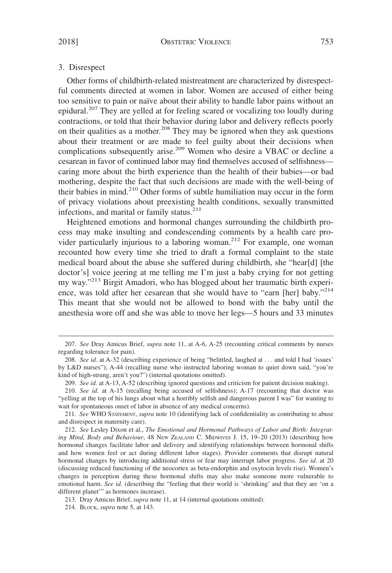# <span id="page-32-0"></span>3. Disrespect

Other forms of childbirth-related mistreatment are characterized by disrespectful comments directed at women in labor. Women are accused of either being too sensitive to pain or naïve about their ability to handle labor pains without an epidural.207 They are yelled at for feeling scared or vocalizing too loudly during contractions, or told that their behavior during labor and delivery reflects poorly on their qualities as a mother.<sup>208</sup> They may be ignored when they ask questions about their treatment or are made to feel guilty about their decisions when complications subsequently arise.<sup>209</sup> Women who desire a VBAC or decline a cesarean in favor of continued labor may find themselves accused of selfishness caring more about the birth experience than the health of their babies—or bad mothering, despite the fact that such decisions are made with the well-being of their babies in mind.210 Other forms of subtle humiliation may occur in the form of privacy violations about preexisting health conditions, sexually transmitted infections, and marital or family status.<sup>211</sup>

Heightened emotions and hormonal changes surrounding the childbirth process may make insulting and condescending comments by a health care provider particularly injurious to a laboring woman.<sup>212</sup> For example, one woman recounted how every time she tried to draft a formal complaint to the state medical board about the abuse she suffered during childbirth, she "hear[d] [the doctor's] voice jeering at me telling me I'm just a baby crying for not getting my way."<sup>213</sup> Birgit Amadori, who has blogged about her traumatic birth experience, was told after her cesarean that she would have to "earn [her] baby."<sup>214</sup> This meant that she would not be allowed to bond with the baby until the anesthesia wore off and she was able to move her legs—5 hours and 33 minutes

<sup>207.</sup> *See* Dray Amicus Brief, *supra* note 11, at A-6, A-25 (recounting critical comments by nurses regarding tolerance for pain).

<sup>208.</sup> *See id*. at A-32 (describing experience of being "belittled, laughed at . . . and told I had 'issues' by L&D nurses"); A-44 (recalling nurse who instructed laboring woman to quiet down said, "you're kind of high-strung, aren't you?") (internal quotations omitted).

<sup>209.</sup> *See id.* at A-13, A-52 (describing ignored questions and criticism for patient decision making).

<sup>210.</sup> *See id.* at A-15 (recalling being accused of selfishness); A-17 (recounting that doctor was "yelling at the top of his lungs about what a horribly selfish and dangerous parent I was" for wanting to wait for spontaneous onset of labor in absence of any medical concerns).

<sup>211.</sup> *See* WHO STATEMENT, *supra* note 10 (identifying lack of confidentiality as contributing to abuse and disrespect in maternity care).

<sup>212.</sup> *See* Lesley Dixon et al., *The Emotional and Hormonal Pathways of Labor and Birth: Integrating Mind, Body and Behaviour*, 48 NEW ZEALAND C. MIDWIVES J. 15, 19–20 (2013) (describing how hormonal changes facilitate labor and delivery and identifying relationships between hormonal shifts and how women feel or act during different labor stages). Provider comments that disrupt natural hormonal changes by introducing additional stress or fear may interrupt labor progress. *See id*. at 20 (discussing reduced functioning of the neocortex as beta-endorphin and oxytocin levels rise). Women's changes in perception during these hormonal shifts may also make someone more vulnerable to emotional harm. *See id.* (describing the "feeling that their world is 'shrinking' and that they are 'on a different planet'" as hormones increase).

<sup>213.</sup> Dray Amicus Brief, *supra* note 11, at 14 (internal quotations omitted).

<sup>214.</sup> BLOCK, *supra* note 5, at 143.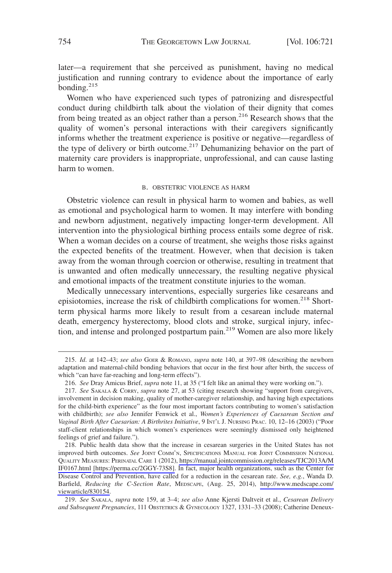<span id="page-33-0"></span>later—a requirement that she perceived as punishment, having no medical justification and running contrary to evidence about the importance of early bonding $^{215}$ 

Women who have experienced such types of patronizing and disrespectful conduct during childbirth talk about the violation of their dignity that comes from being treated as an object rather than a person.216 Research shows that the quality of women's personal interactions with their caregivers significantly informs whether the treatment experience is positive or negative—regardless of the type of delivery or birth outcome.217 Dehumanizing behavior on the part of maternity care providers is inappropriate, unprofessional, and can cause lasting harm to women.

### B. OBSTETRIC VIOLENCE AS HARM

Obstetric violence can result in physical harm to women and babies, as well as emotional and psychological harm to women. It may interfere with bonding and newborn adjustment, negatively impacting longer-term development. All intervention into the physiological birthing process entails some degree of risk. When a woman decides on a course of treatment, she weighs those risks against the expected benefits of the treatment. However, when that decision is taken away from the woman through coercion or otherwise, resulting in treatment that is unwanted and often medically unnecessary, the resulting negative physical and emotional impacts of the treatment constitute injuries to the woman.

Medically unnecessary interventions, especially surgeries like cesareans and episiotomies, increase the risk of childbirth complications for women.<sup>218</sup> Shortterm physical harms more likely to result from a cesarean include maternal death, emergency hysterectomy, blood clots and stroke, surgical injury, infection, and intense and prolonged postpartum pain.219 Women are also more likely

<sup>215.</sup> *Id*. at 142–43; *see also* GOER & ROMANO, *supra* note 140, at 397–98 (describing the newborn adaptation and maternal-child bonding behaviors that occur in the first hour after birth, the success of which "can have far-reaching and long-term effects").

<sup>216.</sup> *See* Dray Amicus Brief, *supra* note 11, at 35 ("I felt like an animal they were working on.").

<sup>217.</sup> *See* SAKALA & CORRY, *supra* note 27, at 53 (citing research showing "support from caregivers, involvement in decision making, quality of mother-caregiver relationship, and having high expectations for the child-birth experience" as the four most important factors contributing to women's satisfaction with childbirth); *see also* Jennifer Fenwick et al., *Women's Experiences of Caesarean Section and Vaginal Birth After Caesarian: A Birthrites Initiative*,9INT'L J. NURSING PRAC. 10, 12–16 (2003) ("Poor staff-client relationships in which women's experiences were seemingly dismissed only heightened feelings of grief and failure.").

<sup>218.</sup> Public health data show that the increase in cesarean surgeries in the United States has not improved birth outcomes. *See* JOINT COMM'N, SPECIFICATIONS MANUAL FOR JOINT COMMISSION NATIONAL QUALITY MEASURES: PERINATAL CARE 1 (2012), [https://manual.jointcommission.org/releases/TJC2013A/M](https://manual.jointcommission.org/releases/TJC2013A/MIF0167.html)  [IF0167.html](https://manual.jointcommission.org/releases/TJC2013A/MIF0167.html) [\[https://perma.cc/2GGY-73S8\].](https://perma.cc/2GGY-73S8) In fact, major health organizations, such as the Center for Disease Control and Prevention, have called for a reduction in the cesarean rate. *See, e.g.*, Wanda D. Barfield, *Reducing the C-Section Rate*, MEDSCAPE, (Aug. 25, 2014), [http://www.medscape.com/](http://www.medscape.com/viewarticle/830154)  [viewarticle/830154.](http://www.medscape.com/viewarticle/830154)

<sup>219.</sup> *See* SAKALA, *supra* note 159, at 3–4; *see also* Anne Kjersti Daltveit et al., *Cesarean Delivery and Subsequent Pregnancies*, 111 OBSTETRICS & GYNECOLOGY 1327, 1331–33 (2008); Catherine Deneux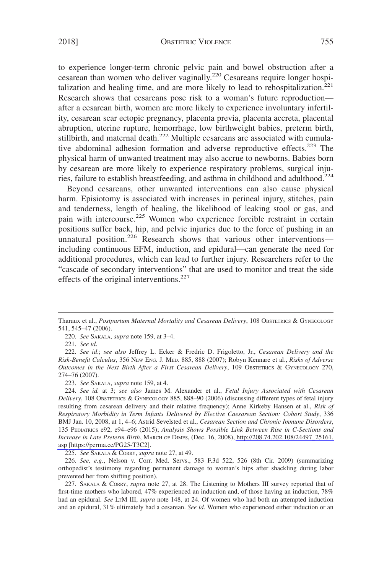to experience longer-term chronic pelvic pain and bowel obstruction after a cesarean than women who deliver vaginally.220 Cesareans require longer hospitalization and healing time, and are more likely to lead to rehospitalization.<sup>221</sup> Research shows that cesareans pose risk to a woman's future reproduction after a cesarean birth, women are more likely to experience involuntary infertility, cesarean scar ectopic pregnancy, placenta previa, placenta accreta, placental abruption, uterine rupture, hemorrhage, low birthweight babies, preterm birth, stillbirth, and maternal death.<sup>222</sup> Multiple cesareans are associated with cumulative abdominal adhesion formation and adverse reproductive effects.<sup>223</sup> The physical harm of unwanted treatment may also accrue to newborns. Babies born by cesarean are more likely to experience respiratory problems, surgical injuries, failure to establish breastfeeding, and asthma in childhood and adulthood.224

Beyond cesareans, other unwanted interventions can also cause physical harm. Episiotomy is associated with increases in perineal injury, stitches, pain and tenderness, length of healing, the likelihood of leaking stool or gas, and pain with intercourse.<sup>225</sup> Women who experience forcible restraint in certain positions suffer back, hip, and pelvic injuries due to the force of pushing in an unnatural position.<sup>226</sup> Research shows that various other interventions including continuous EFM, induction, and epidural—can generate the need for additional procedures, which can lead to further injury. Researchers refer to the "cascade of secondary interventions" that are used to monitor and treat the side effects of the original interventions.<sup>227</sup>

220. *See* SAKALA, *supra* note 159, at 3–4.

223. *See* SAKALA, *supra* note 159, at 4.

225. *See* SAKALA & CORRY, *supra* note 27, at 49.

226. *See, e.g.*, Nelson v. Corr. Med. Servs., 583 F.3d 522, 526 (8th Cir. 2009) (summarizing orthopedist's testimony regarding permanent damage to woman's hips after shackling during labor prevented her from shifting position).

Tharaux et al., *Postpartum Maternal Mortality and Cesarean Delivery*, 108 OBSTETRICS & GYNECOLOGY 541, 545–47 (2006).

<sup>221.</sup> *See id*.

<sup>222.</sup> *See id*.; *see also* Jeffrey L. Ecker & Fredric D. Frigoletto, Jr., *Cesarean Delivery and the Risk-Benefit Calculus*, 356 NEW ENG. J. MED. 885, 888 (2007); Robyn Kennare et al., *Risks of Adverse Outcomes in the Next Birth After a First Cesarean Delivery*, 109 OBSTETRICS & GYNECOLOGY 270, 274–76 (2007).

<sup>224.</sup> *See id.* at 3; *see also* James M. Alexander et al., *Fetal Injury Associated with Cesarean Delivery*, 108 OBSTETRICS & GYNECOLOGY 885, 888–90 (2006) (discussing different types of fetal injury resulting from cesarean delivery and their relative frequency); Anne Kirkeby Hansen et al., *Risk of Respiratory Morbidity in Term Infants Delivered by Elective Caesarean Section: Cohort Study*, 336 BMJ Jan. 10, 2008, at 1, 4–6; Astrid Sevelsted et al., *Cesarean Section and Chronic Immune Disorders*, 135 PEDIATRICS e92, e94–e96 (2015); *Analysis Shows Possible Link Between Rise in C-Sections and Increase in Late Preterm Birth*, MARCH OF DIMES, (Dec. 16, 2008), [http://208.74.202.108/24497\\_25161.](http://208.74.202.108/24497_25161.asp) [asp](http://208.74.202.108/24497_25161.asp) [\[https://perma.cc/PG25-T3C2\].](https://perma.cc/PG25-T3C2)

<sup>227.</sup> SAKALA & CORRY, *supra* note 27, at 28. The Listening to Mothers III survey reported that of first-time mothers who labored, 47% experienced an induction and, of those having an induction, 78% had an epidural. *See* LTM III, *supra* note 148, at 24. Of women who had both an attempted induction and an epidural, 31% ultimately had a cesarean. *See id.* Women who experienced either induction or an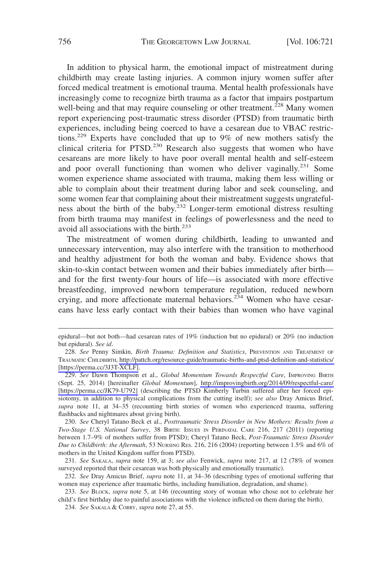In addition to physical harm, the emotional impact of mistreatment during childbirth may create lasting injuries. A common injury women suffer after forced medical treatment is emotional trauma. Mental health professionals have increasingly come to recognize birth trauma as a factor that impairs postpartum well-being and that may require counseling or other treatment.<sup>228</sup> Many women report experiencing post-traumatic stress disorder (PTSD) from traumatic birth experiences, including being coerced to have a cesarean due to VBAC restrictions.<sup>229</sup> Experts have concluded that up to 9% of new mothers satisfy the clinical criteria for PTSD.<sup>230</sup> Research also suggests that women who have cesareans are more likely to have poor overall mental health and self-esteem and poor overall functioning than women who deliver vaginally.<sup>231</sup> Some women experience shame associated with trauma, making them less willing or able to complain about their treatment during labor and seek counseling, and some women fear that complaining about their mistreatment suggests ungratefulness about the birth of the baby.232 Longer-term emotional distress resulting from birth trauma may manifest in feelings of powerlessness and the need to avoid all associations with the birth.<sup>233</sup>

The mistreatment of women during childbirth, leading to unwanted and unnecessary intervention, may also interfere with the transition to motherhood and healthy adjustment for both the woman and baby. Evidence shows that skin-to-skin contact between women and their babies immediately after birth and for the first twenty-four hours of life—is associated with more effective breastfeeding, improved newborn temperature regulation, reduced newborn crying, and more affectionate maternal behaviors.<sup>234</sup> Women who have cesareans have less early contact with their babies than women who have vaginal

epidural—but not both—had cesarean rates of 19% (induction but no epidural) or 20% (no induction but epidural). *See id*.

*See* Penny Simkin, *Birth Trauma: Definition and Statistics*, PREVENTION AND TREATMENT OF 228. TRAUMATIC CHILDBIRTH,<http://pattch.org/resource-guide/traumatic-births-and-ptsd-definition-and-statistics/> [\[https://perma.cc/3J3T-XCLF\]](https://perma.cc/3J3T-XCLF).

*See* Dawn Thompson et al., *Global Momentum Towards Respectful Care*, IMPROVING BIRTH 229. (Sept. 25, 2014) [hereinafter *Global Momentum*], <http://improvingbirth.org/2014/09/respectful-care/> [\[https://perma.cc/JK79-U792\]](https://perma.cc/JK79-U792) (describing the PTSD Kimberly Turbin suffered after her forced episiotomy, in addition to physical complications from the cutting itself); *see also* Dray Amicus Brief, *supra* note 11, at 34–35 (recounting birth stories of women who experienced trauma, suffering flashbacks and nightmares about giving birth).

<sup>230.</sup> *See* Cheryl Tatano Beck et al., *Posttraumatic Stress Disorder in New Mothers: Results from a Two-Stage U.S. National Survey*, 38 BIRTH: ISSUES IN PERINATAL CARE 216, 217 (2011) (reporting between 1.7–9% of mothers suffer from PTSD); Cheryl Tatano Beck, *Post-Traumatic Stress Disorder Due to Childbirth: the Aftermath*, 53 NURSING RES. 216, 216 (2004) (reporting between 1.5% and 6% of mothers in the United Kingdom suffer from PTSD).

<sup>231.</sup> *See* SAKALA, *supra* note 159, at 3; *see also* Fenwick, *supra* note 217, at 12 (78% of women surveyed reported that their cesarean was both physically and emotionally traumatic).

<sup>232.</sup> *See* Dray Amicus Brief, *supra* note 11, at 34–36 (describing types of emotional suffering that women may experience after traumatic births, including humiliation, degradation, and shame).

<sup>233.</sup> *See* BLOCK, *supra* note 5, at 146 (recounting story of woman who chose not to celebrate her child's first birthday due to painful associations with the violence inflicted on them during the birth).

<sup>234.</sup> *See* SAKALA & CORRY, *supra* note 27, at 55.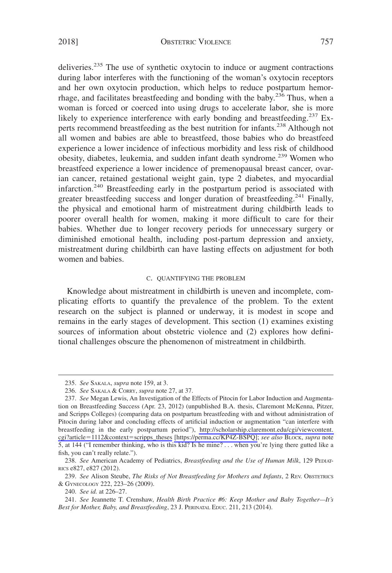deliveries.235 The use of synthetic oxytocin to induce or augment contractions during labor interferes with the functioning of the woman's oxytocin receptors and her own oxytocin production, which helps to reduce postpartum hemorrhage, and facilitates breastfeeding and bonding with the baby.<sup>236</sup> Thus, when a woman is forced or coerced into using drugs to accelerate labor, she is more likely to experience interference with early bonding and breastfeeding.<sup>237</sup> Experts recommend breastfeeding as the best nutrition for infants.<sup>238</sup> Although not all women and babies are able to breastfeed, those babies who do breastfeed experience a lower incidence of infectious morbidity and less risk of childhood obesity, diabetes, leukemia, and sudden infant death syndrome.239 Women who breastfeed experience a lower incidence of premenopausal breast cancer, ovarian cancer, retained gestational weight gain, type 2 diabetes, and myocardial infarction.<sup>240</sup> Breastfeeding early in the postpartum period is associated with greater breastfeeding success and longer duration of breastfeeding.<sup>241</sup> Finally, the physical and emotional harm of mistreatment during childbirth leads to poorer overall health for women, making it more difficult to care for their babies. Whether due to longer recovery periods for unnecessary surgery or diminished emotional health, including post-partum depression and anxiety, mistreatment during childbirth can have lasting effects on adjustment for both women and babies.

#### C. QUANTIFYING THE PROBLEM

Knowledge about mistreatment in childbirth is uneven and incomplete, complicating efforts to quantify the prevalence of the problem. To the extent research on the subject is planned or underway, it is modest in scope and remains in the early stages of development. This section (1) examines existing sources of information about obstetric violence and (2) explores how definitional challenges obscure the phenomenon of mistreatment in childbirth.

<sup>235.</sup> *See* SAKALA, *supra* note 159, at 3.

<sup>236.</sup> *See* SAKALA & CORRY, *supra* note 27, at 37.

<sup>237.</sup> *See* Megan Lewis, An Investigation of the Effects of Pitocin for Labor Induction and Augmentation on Breastfeeding Success (Apr. 23, 2012) (unpublished B.A. thesis, Claremont McKenna, Pitzer, and Scripps Colleges) (comparing data on postpartum breastfeeding with and without administration of Pitocin during labor and concluding effects of artificial induction or augmentation "can interfere with breastfeeding in the early postpartum period"), [http://scholarship.claremont.edu/cgi/viewcontent.](http://scholarship.claremont.edu/cgi/viewcontent.cgi?article=1112&context=scripps_theses)  cgi?article=1112&context=[scripps\\_theses](http://scholarship.claremont.edu/cgi/viewcontent.cgi?article=1112&context=scripps_theses) [\[https://perma.cc/KP4Z-BSPQ\]](https://perma.cc/KP4Z-BSPQ); *see also* BLOCK, *supra* note 5, at 144 ("I remember thinking, who is this kid? Is he mine?... when you're lying there gutted like a fish, you can't really relate.").

<sup>238.</sup> *See* American Academy of Pediatrics, *Breastfeeding and the Use of Human Milk*, 129 PEDIAT-RICS e827, e827 (2012).

<sup>239.</sup> *See* Alison Steube, *The Risks of Not Breastfeeding for Mothers and Infants*,2REV. OBSTETRICS & GYNECOLOGY 222, 223–26 (2009).

<sup>240.</sup> *See id.* at 226–27.

<sup>241.</sup> *See* Jeannette T. Crenshaw, *Health Birth Practice #6: Keep Mother and Baby Together—It's Best for Mother, Baby, and Breastfeeding*, 23 J. PERINATAL EDUC. 211, 213 (2014).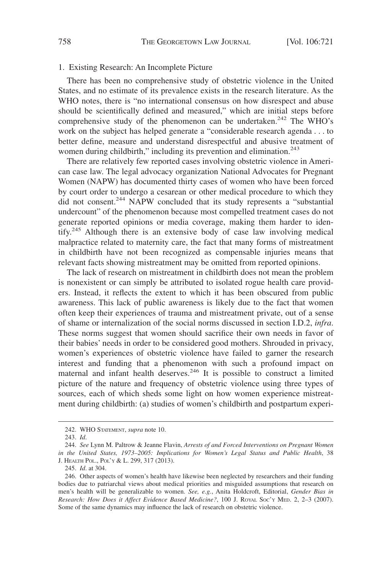# 1. Existing Research: An Incomplete Picture

There has been no comprehensive study of obstetric violence in the United States, and no estimate of its prevalence exists in the research literature. As the WHO notes, there is "no international consensus on how disrespect and abuse should be scientifically defined and measured," which are initial steps before comprehensive study of the phenomenon can be undertaken.<sup>242</sup> The WHO's work on the subject has helped generate a "considerable research agenda ... to better define, measure and understand disrespectful and abusive treatment of women during childbirth," including its prevention and elimination.<sup>243</sup>

There are relatively few reported cases involving obstetric violence in American case law. The legal advocacy organization National Advocates for Pregnant Women (NAPW) has documented thirty cases of women who have been forced by court order to undergo a cesarean or other medical procedure to which they did not consent.<sup>244</sup> NAPW concluded that its study represents a "substantial" undercount" of the phenomenon because most compelled treatment cases do not generate reported opinions or media coverage, making them harder to identify.<sup>245</sup> Although there is an extensive body of case law involving medical malpractice related to maternity care, the fact that many forms of mistreatment in childbirth have not been recognized as compensable injuries means that relevant facts showing mistreatment may be omitted from reported opinions.

The lack of research on mistreatment in childbirth does not mean the problem is nonexistent or can simply be attributed to isolated rogue health care providers. Instead, it reflects the extent to which it has been obscured from public awareness. This lack of public awareness is likely due to the fact that women often keep their experiences of trauma and mistreatment private, out of a sense of shame or internalization of the social norms discussed in section I.D.2, *infra*. These norms suggest that women should sacrifice their own needs in favor of their babies' needs in order to be considered good mothers. Shrouded in privacy, women's experiences of obstetric violence have failed to garner the research interest and funding that a phenomenon with such a profound impact on maternal and infant health deserves. $246$  It is possible to construct a limited picture of the nature and frequency of obstetric violence using three types of sources, each of which sheds some light on how women experience mistreatment during childbirth: (a) studies of women's childbirth and postpartum experi-

<sup>242.</sup> WHO STATEMENT, *supra* note 10.

<sup>243.</sup> *Id*.

<sup>244.</sup> *See* Lynn M. Paltrow & Jeanne Flavin, *Arrests of and Forced Interventions on Pregnant Women in the United States, 1973–2005: Implications for Women's Legal Status and Public Health*, 38 J. HEALTH POL., POL'Y & L. 299, 317 (2013).

<sup>245.</sup> *Id*. at 304.

<sup>246.</sup> Other aspects of women's health have likewise been neglected by researchers and their funding bodies due to patriarchal views about medical priorities and misguided assumptions that research on men's health will be generalizable to women. *See, e.g.*, Anita Holdcroft, Editorial, *Gender Bias in Research: How Does it Affect Evidence Based Medicine?*, 100 J. ROYAL SOC'Y MED. 2, 2–3 (2007). Some of the same dynamics may influence the lack of research on obstetric violence.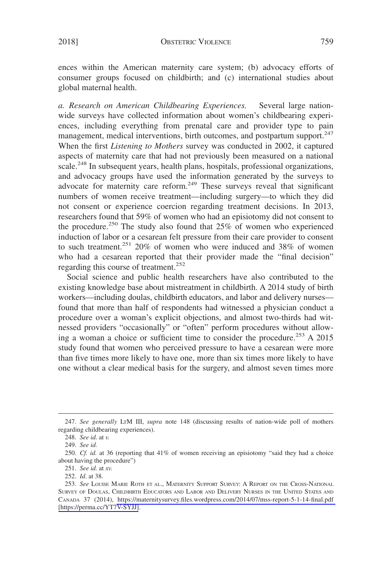ences within the American maternity care system; (b) advocacy efforts of consumer groups focused on childbirth; and (c) international studies about global maternal health.

*a. Research on American Childbearing Experiences.* Several large nationwide surveys have collected information about women's childbearing experiences, including everything from prenatal care and provider type to pain management, medical interventions, birth outcomes, and postpartum support. $247$ When the first *Listening to Mothers* survey was conducted in 2002, it captured aspects of maternity care that had not previously been measured on a national scale.<sup>248</sup> In subsequent years, health plans, hospitals, professional organizations, and advocacy groups have used the information generated by the surveys to advocate for maternity care reform.249 These surveys reveal that significant numbers of women receive treatment—including surgery—to which they did not consent or experience coercion regarding treatment decisions. In 2013, researchers found that 59% of women who had an episiotomy did not consent to the procedure.<sup>250</sup> The study also found that  $25\%$  of women who experienced induction of labor or a cesarean felt pressure from their care provider to consent to such treatment.251 20% of women who were induced and 38% of women who had a cesarean reported that their provider made the "final decision" regarding this course of treatment.<sup>252</sup>

Social science and public health researchers have also contributed to the existing knowledge base about mistreatment in childbirth. A 2014 study of birth workers—including doulas, childbirth educators, and labor and delivery nurses found that more than half of respondents had witnessed a physician conduct a procedure over a woman's explicit objections, and almost two-thirds had witnessed providers "occasionally" or "often" perform procedures without allowing a woman a choice or sufficient time to consider the procedure.<sup>253</sup> A 2015 study found that women who perceived pressure to have a cesarean were more than five times more likely to have one, more than six times more likely to have one without a clear medical basis for the surgery, and almost seven times more

<sup>247.</sup> *See generally* LTM III, *supra* note 148 (discussing results of nation-wide poll of mothers regarding childbearing experiences).

<sup>248.</sup> *See id.* at *v.* 

<sup>249.</sup> *See id.* 

<sup>250.</sup> *Cf. id.* at 36 (reporting that 41% of women receiving an episiotomy "said they had a choice about having the procedure")

<sup>251.</sup> *See id.* at *xv.* 

<sup>252.</sup> *Id*. at 38.

<sup>253.</sup> See LOUISE MARIE ROTH ET AL., MATERNITY SUPPORT SURVEY: A REPORT ON THE CROSS-NATIONAL SURVEY OF DOULAS, CHILDBIRTH EDUCATORS AND LABOR AND DELIVERY NURSES IN THE UNITED STATES AND CANADA 37 (2014), <https://maternitysurvey.files.wordpress.com/2014/07/mss-report-5-1-14-final.pdf> [\[https://perma.cc/YT7V-SYJJ\]](https://perma.cc/YT7V-SYJJ).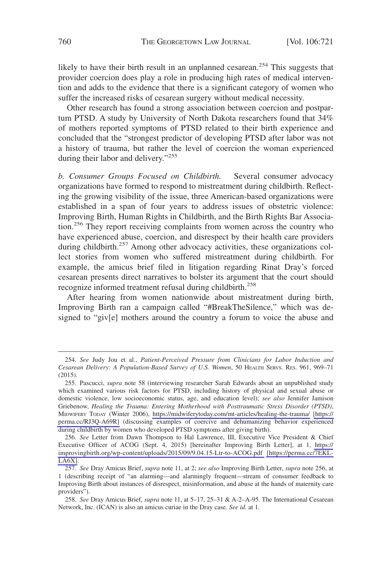likely to have their birth result in an unplanned cesarean.<sup>254</sup> This suggests that provider coercion does play a role in producing high rates of medical intervention and adds to the evidence that there is a significant category of women who suffer the increased risks of cesarean surgery without medical necessity.

Other research has found a strong association between coercion and postpartum PTSD. A study by University of North Dakota researchers found that 34% of mothers reported symptoms of PTSD related to their birth experience and concluded that the "strongest predictor of developing PTSD after labor was not a history of trauma, but rather the level of coercion the woman experienced during their labor and delivery."<sup>255</sup>

*b. Consumer Groups Focused on Childbirth.* Several consumer advocacy organizations have formed to respond to mistreatment during childbirth. Reflecting the growing visibility of the issue, three American-based organizations were established in a span of four years to address issues of obstetric violence: Improving Birth, Human Rights in Childbirth, and the Birth Rights Bar Association.<sup>256</sup> They report receiving complaints from women across the country who have experienced abuse, coercion, and disrespect by their health care providers during childbirth.<sup>257</sup> Among other advocacy activities, these organizations collect stories from women who suffered mistreatment during childbirth. For example, the amicus brief filed in litigation regarding Rinat Dray's forced cesarean presents direct narratives to bolster its argument that the court should recognize informed treatment refusal during childbirth.<sup>258</sup>

After hearing from women nationwide about mistreatment during birth, Improving Birth ran a campaign called "#BreakTheSilence," which was designed to "giv[e] mothers around the country a forum to voice the abuse and

<sup>254.</sup> *See* Judy Jou et al., *Patient-Perceived Pressure from Clinicians for Labor Induction and Cesarean Delivery: A Population-Based Survey of U.S. Women*, 50 HEALTH SERVS. RES. 961, 969–71  $(2015)$ .

 <sup>255.</sup> Pascucci, *supra* note 58 (interviewing researcher Sarah Edwards about an unpublished study which examined various risk factors for PTSD, including history of physical and sexual abuse or domestic violence, low socioeconomic status, age, and education level); *see also* Jennifer Jamison Griebenow, *Healing the Trauma: Entering Motherhood with Posttraumatic Stress Disorder (PTSD)*, MIDWIFERY TODAY (Winter 2006), <https://midwiferytoday.com/mt-articles/healing-the-trauma/>[\[https://](https://perma.cc/RJ3Q-A69R)  [perma.cc/RJ3Q-A69R\]](https://perma.cc/RJ3Q-A69R) (discussing examples of coercive and dehumanizing behavior experienced during childbirth by women who developed PTSD symptoms after giving birth).

<sup>256.</sup> See Letter from Dawn Thompson to Hal Lawrence, III, Executive Vice President & Chief Executive Officer of ACOG (Sept. 4, 2015) [hereinafter Improving Birth Letter], at 1, [https://](https://improvingbirth.org/wp-content/uploads/2015/09/9.04.15-Ltr-to-ACOG.pdf) [improvingbirth.org/wp-content/uploads/2015/09/9.04.15-Ltr-to-ACOG.pdf](https://improvingbirth.org/wp-content/uploads/2015/09/9.04.15-Ltr-to-ACOG.pdf) [\[https://perma.cc/7EKL-](https://perma.cc/7EKL-LA6X)[LA6X\]](https://perma.cc/7EKL-LA6X).

<sup>257.</sup> *See* Dray Amicus Brief, *supra* note 11, at 2; *see also* Improving Birth Letter, *supra* note 256, at 1 (describing receipt of "an alarming—and alarmingly frequent—stream of consumer feedback to Improving Birth about instances of disrespect, misinformation, and abuse at the hands of maternity care providers").

<sup>258.</sup> *See* Dray Amicus Brief, *supra* note 11, at 5–17, 25–31 & A-2–A-95. The International Cesarean Network, Inc. (ICAN) is also an amicus curiae in the Dray case. *See id.* at 1.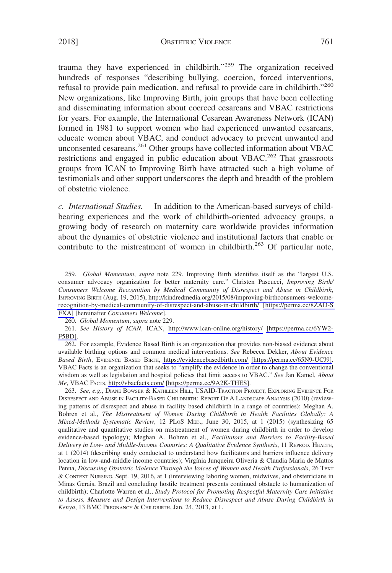trauma they have experienced in childbirth."<sup>259</sup> The organization received hundreds of responses "describing bullying, coercion, forced interventions, refusal to provide pain medication, and refusal to provide care in childbirth."<sup>260</sup> New organizations, like Improving Birth, join groups that have been collecting and disseminating information about coerced cesareans and VBAC restrictions for years. For example, the International Cesarean Awareness Network (ICAN) formed in 1981 to support women who had experienced unwanted cesareans, educate women about VBAC, and conduct advocacy to prevent unwanted and unconsented cesareans.<sup>261</sup> Other groups have collected information about VBAC restrictions and engaged in public education about VBAC.<sup>262</sup> That grassroots groups from ICAN to Improving Birth have attracted such a high volume of testimonials and other support underscores the depth and breadth of the problem of obstetric violence.

*c. International Studies.* In addition to the American-based surveys of childbearing experiences and the work of childbirth-oriented advocacy groups, a growing body of research on maternity care worldwide provides information about the dynamics of obstetric violence and institutional factors that enable or contribute to the mistreatment of women in childbirth.<sup>263</sup> Of particular note,

263. *See, e.g.*, DIANE BOWSER & KATHLEEN HILL, USAID-TRACTION PROJECT, EXPLORING EVIDENCE FOR DISRESPECT AND ABUSE IN FACILITY-BASED CHILDBIRTH: REPORT OF A LANDSCAPE ANALYSIS (2010) (reviewing patterns of disrespect and abuse in facility based childbirth in a range of countries); Meghan A. Bohren et al., *The Mistreatment of Women During Childbirth in Health Facilities Globally: A Mixed-Methods Systematic Review*, 12 PLOS MED., June 30, 2015, at 1 (2015) (synthesizing 65 qualitative and quantitative studies on mistreatment of women during childbirth in order to develop evidence-based typology); Meghan A. Bohren et al., *Facilitators and Barriers to Facility-Based Delivery in Low- and Middle-Income Countries: A Qualitative Evidence Synthesis*, 11 REPROD. HEALTH, at 1 (2014) (describing study conducted to understand how facilitators and barriers influence delivery location in low-and-middle income countries); Virgínia Junqueira Oliveria & Claudia Maria de Mattos Penna, *Discussing Obstetric Violence Through the Voices of Women and Health Professionals*, 26 TEXT & CONTEXT NURSING, Sept. 19, 2016, at 1 (interviewing laboring women, midwives, and obstetricians in Minas Gerais, Brazil and concluding hostile treatment presents continued obstacle to humanization of childbirth); Charlotte Warren et al., *Study Protocol for Promoting Respectful Maternity Care Initiative to Assess, Measure and Design Interventions to Reduce Disrespect and Abuse During Childbirth in Kenya*, 13 BMC PREGNANCY & CHILDBIRTH, Jan. 24, 2013, at 1.

*Global Momentum*, *supra* note 229. Improving Birth identifies itself as the "largest U.S. 259. consumer advocacy organization for better maternity care." Christen Pascucci, *Improving Birth/ Consumers Welcome Recognition by Medical Community of Disrespect and Abuse in Childbirth*, IMPROVING BIRTH (Aug. 19, 2015), [http://kindredmedia.org/2015/08/improving-birthconsumers-welcome](http://kindredmedia.org/2015/08/improving-birthconsumers-welcome-recognition-by-medical-community-of-disrespect-and-abuse-in-childbirth/)[recognition-by-medical-community-of-disrespect-and-abuse-in-childbirth/](http://kindredmedia.org/2015/08/improving-birthconsumers-welcome-recognition-by-medical-community-of-disrespect-and-abuse-in-childbirth/) [\[https://perma.cc/8ZAD-S](https://perma.cc/8ZAD-SFXA)  [FXA\]](https://perma.cc/8ZAD-SFXA) [hereinafter *Consumers Welcome*].

<sup>260.</sup> *Global Momentum*, *supra* note 229.

<sup>261.</sup> See History of ICAN, ICAN, <http://www.ican-online.org/history/>[\[https://perma.cc/6YW2](https://perma.cc/6YW2F5BD)-[F5BD\].](https://perma.cc/6YW2F5BD)

<sup>262.</sup> For example, Evidence Based Birth is an organization that provides non-biased evidence about available birthing options and common medical interventions. *See* Rebecca Dekker, *About Evidence Based Birth*, EVIDENCE BASED BIRTH, <https://evidencebasedbirth.com/>[\[https://perma.cc/65N9-UCJ9\].](https://perma.cc/65N9-UCJ9) VBAC Facts is an organization that seeks to "amplify the evidence in order to change the conventional wisdom as well as legislation and hospital policies that limit access to VBAC." *See* Jan Kamel, *About Me*, VBAC FACTS,<http://vbacfacts.com/> [\[https://perma.cc/9A2K-THES\]](https://perma.cc/9A2K-THES).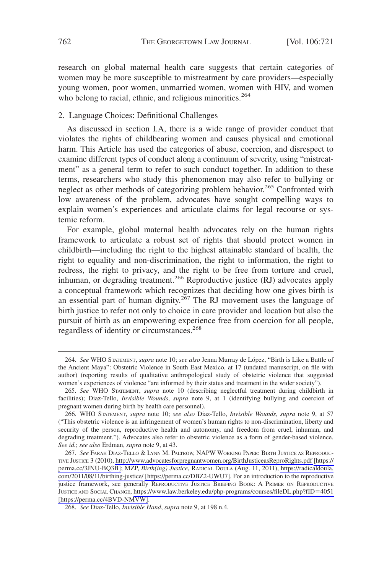research on global maternal health care suggests that certain categories of women may be more susceptible to mistreatment by care providers—especially young women, poor women, unmarried women, women with HIV, and women who belong to racial, ethnic, and religious minorities.<sup>264</sup>

# 2. Language Choices: Definitional Challenges

As discussed in section I.A, there is a wide range of provider conduct that violates the rights of childbearing women and causes physical and emotional harm. This Article has used the categories of abuse, coercion, and disrespect to examine different types of conduct along a continuum of severity, using "mistreatment" as a general term to refer to such conduct together. In addition to these terms, researchers who study this phenomenon may also refer to bullying or neglect as other methods of categorizing problem behavior.265 Confronted with low awareness of the problem, advocates have sought compelling ways to explain women's experiences and articulate claims for legal recourse or systemic reform.

For example, global maternal health advocates rely on the human rights framework to articulate a robust set of rights that should protect women in childbirth—including the right to the highest attainable standard of health, the right to equality and non-discrimination, the right to information, the right to redress, the right to privacy, and the right to be free from torture and cruel, inhuman, or degrading treatment.<sup>266</sup> Reproductive justice (RJ) advocates apply a conceptual framework which recognizes that deciding how one gives birth is an essential part of human dignity.<sup>267</sup> The RJ movement uses the language of birth justice to refer not only to choice in care provider and location but also the pursuit of birth as an empowering experience free from coercion for all people, regardless of identity or circumstances.<sup>268</sup>

<sup>264.</sup> *See* WHO STATEMENT, *supra* note 10; *see also* Jenna Murray de Lo´pez, "Birth is Like a Battle of the Ancient Maya": Obstetric Violence in South East Mexico, at 17 (undated manuscript, on file with author) (reporting results of qualitative anthropological study of obstetric violence that suggested women's experiences of violence "are informed by their status and treatment in the wider society").

<sup>265.</sup> *See* WHO STATEMENT, *supra* note 10 (describing neglectful treatment during childbirth in facilities); Diaz-Tello, *Invisible Wounds*, *supra* note 9, at 1 (identifying bullying and coercion of pregnant women during birth by health care personnel).

<sup>266.</sup> WHO STATEMENT, *supra* note 10; *see also* Diaz-Tello, *Invisible Wounds*, *supra* note 9, at 57 ("This obstetric violence is an infringement of women's human rights to non-discrimination, liberty and security of the person, reproductive health and autonomy, and freedom from cruel, inhuman, and degrading treatment."). Advocates also refer to obstetric violence as a form of gender-based violence. *See id.*; *see also* Erdman, *supra* note 9, at 43.

*See* FARAH DIAZ-TELLO & LYNN M. PALTROW, NAPW WORKING PAPER: BIRTH JUSTICE AS REPRODUC-267. TIVE JUSTICE 3 (2010),<http://www.advocatesforpregnantwomen.org/BirthJusticeasReproRights.pdf>[\[https://](https://perma.cc/3JNU-BQ3B)  [perma.cc/3JNU-BQ3B\];](https://perma.cc/3JNU-BQ3B) MZP, *Birth(ing) Justice*, RADICAL DOULA (Aug. 11, 2011), [https://radicaldoula.](https://radicaldoula.com/2011/08/11/birthing-justice/) [com/2011/08/11/birthing-justice/](https://radicaldoula.com/2011/08/11/birthing-justice/) [\[https://perma.cc/DBZ2-UWU7\].](https://perma.cc/DBZ2-UWU7) For an introduction to the reproductive justice framework, see generally REPRODUCTIVE JUSTICE BRIEFING BOOK: A PRIMER ON REPRODUCTIVE JUSTICE AND SOCIAL CHANGE, [https://www.law.berkeley.edu/php-programs/courses/fileDL.php?fID](https://www.law.berkeley.edu/php-programs/courses/fileDL.php?fID=4051)=4051 [\[https://perma.cc/4BVD-NMVW\]](https://perma.cc/4BVD-NMVW).

<sup>268.</sup> *See* Diaz-Tello, *Invisible Hand*, *supra* note 9, at 198 n.4.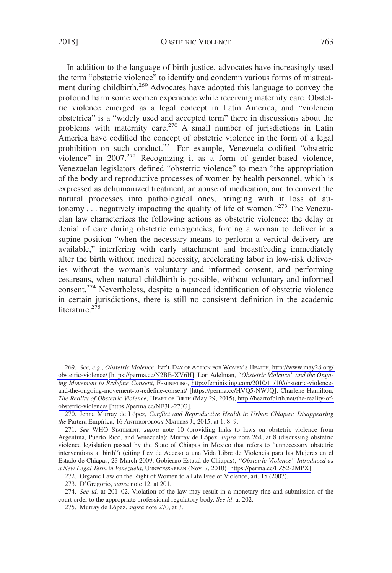In addition to the language of birth justice, advocates have increasingly used the term "obstetric violence" to identify and condemn various forms of mistreatment during childbirth.<sup>269</sup> Advocates have adopted this language to convey the profound harm some women experience while receiving maternity care. Obstetric violence emerged as a legal concept in Latin America, and "violencia obstetrica" is a "widely used and accepted term" there in discussions about the problems with maternity care.<sup>270</sup> A small number of jurisdictions in Latin America have codified the concept of obstetric violence in the form of a legal prohibition on such conduct.<sup>271</sup> For example, Venezuela codified "obstetric violence" in  $2007<sup>272</sup>$  Recognizing it as a form of gender-based violence, Venezuelan legislators defined "obstetric violence" to mean "the appropriation of the body and reproductive processes of women by health personnel, which is expressed as dehumanized treatment, an abuse of medication, and to convert the natural processes into pathological ones, bringing with it loss of autonomy . . . negatively impacting the quality of life of women."<sup>273</sup> The Venezuelan law characterizes the following actions as obstetric violence: the delay or denial of care during obstetric emergencies, forcing a woman to deliver in a supine position "when the necessary means to perform a vertical delivery are available," interfering with early attachment and breastfeeding immediately after the birth without medical necessity, accelerating labor in low-risk deliveries without the woman's voluntary and informed consent, and performing cesareans, when natural childbirth is possible, without voluntary and informed consent.274 Nevertheless, despite a nuanced identification of obstetric violence in certain jurisdictions, there is still no consistent definition in the academic literature. $275$ 

*See, e.g.*, *Obstetric Violence*, INT'L DAY OF ACTION FOR WOMEN'S HEALTH, [http://www.may28.org/](http://www.may28.org/obstetric-violence/)  269. [obstetric-violence/](http://www.may28.org/obstetric-violence/) [\[https://perma.cc/N2BB-XV6H\];](https://perma.cc/N2BB-XV6H) Lori Adelman, *"Obstetric Violence" and the Ongoing Movement to Redefine Consent*, FEMINISTING, [http://feministing.com/2010/11/10/obstetric-violence](http://feministing.com/2010/11/10/obstetric-violence-and-the-ongoing-movement-to-redefine-consent/)[and-the-ongoing-movement-to-redefine-consent/](http://feministing.com/2010/11/10/obstetric-violence-and-the-ongoing-movement-to-redefine-consent/) [\[https://perma.cc/HVQ5-NWJQ\];](https://perma.cc/HVQ5-NWJQ) Charlene Hamilton, *The Reality of Obstetric Violence*, HEART OF BIRTH (May 29, 2015), [http://heartofbirth.net/the-reality-of](http://heartofbirth.net/the-reality-of-obstetric-violence/)[obstetric-violence/](http://heartofbirth.net/the-reality-of-obstetric-violence/) [\[https://perma.cc/NE3L-27JG\]](https://perma.cc/NE3L-27JG).

<sup>270.</sup> Jenna Murray de Lo´pez, *Conflict and Reproductive Health in Urban Chiapas: Disappearing the Partera Empírica, 16 ANTHROPOLOGY MATTERS J., 2015, at 1, 8-9.* 

*See* WHO STATEMENT, *supra* note 10 (providing links to laws on obstetric violence from 271. Argentina, Puerto Rico, and Venezuela); Murray de López, *supra* note 264, at 8 (discussing obstetric violence legislation passed by the State of Chiapas in Mexico that refers to "unnecessary obstetric interventions at birth") (citing Ley de Acceso a una Vida Libre de Violencia para las Mujeres en el Estado de Chiapas, 23 March 2009, Gobierno Estatal de Chiapas); *"Obstetric Violence" Introduced as a New Legal Term in Venezuela*, UNNECESSAREAN (Nov. 7, 2010) [\[https://perma.cc/LZ52-2MPX\].](https://perma.cc/LZ52-2MPX)

<sup>272.</sup> Organic Law on the Right of Women to a Life Free of Violence, art. 15 (2007).

<sup>273.</sup> D'Gregorio, *supra* note 12, at 201.

<sup>274.</sup> *See id.* at 201–02. Violation of the law may result in a monetary fine and submission of the court order to the appropriate professional regulatory body. *See id*. at 202.

<sup>275.</sup> Murray de López, *supra* note 270, at 3.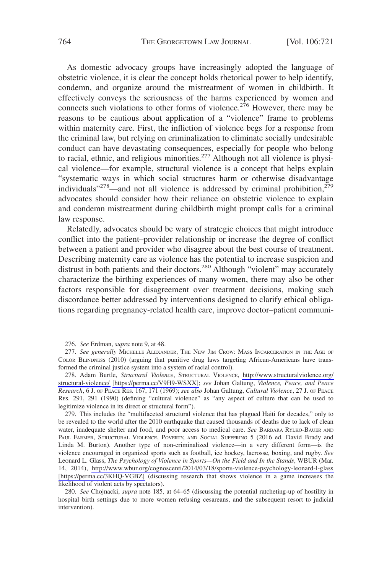As domestic advocacy groups have increasingly adopted the language of obstetric violence, it is clear the concept holds rhetorical power to help identify, condemn, and organize around the mistreatment of women in childbirth. It effectively conveys the seriousness of the harms experienced by women and connects such violations to other forms of violence.<sup>276</sup> However, there may be reasons to be cautious about application of a "violence" frame to problems within maternity care. First, the infliction of violence begs for a response from the criminal law, but relying on criminalization to eliminate socially undesirable conduct can have devastating consequences, especially for people who belong to racial, ethnic, and religious minorities.<sup>277</sup> Although not all violence is physical violence—for example, structural violence is a concept that helps explain "systematic ways in which social structures harm or otherwise disadvantage individuals"<sup>278</sup>—and not all violence is addressed by criminal prohibition,<sup> $279$ </sup> advocates should consider how their reliance on obstetric violence to explain and condemn mistreatment during childbirth might prompt calls for a criminal law response.

Relatedly, advocates should be wary of strategic choices that might introduce conflict into the patient–provider relationship or increase the degree of conflict between a patient and provider who disagree about the best course of treatment. Describing maternity care as violence has the potential to increase suspicion and distrust in both patients and their doctors.<sup>280</sup> Although "violent" may accurately characterize the birthing experiences of many women, there may also be other factors responsible for disagreement over treatment decisions, making such discordance better addressed by interventions designed to clarify ethical obligations regarding pregnancy-related health care, improve doctor–patient communi-

<sup>276.</sup> *See* Erdman, *supra* note 9, at 48.

<sup>277.</sup> *See generally* MICHELLE ALEXANDER, THE NEW JIM CROW: MASS INCARCERATION IN THE AGE OF COLOR BLINDNESS (2010) (arguing that punitive drug laws targeting African-Americans have transformed the criminal justice system into a system of racial control).

<sup>278.</sup> Adam Burtle, Structural Violence, STRUCTURAL VIOLENCE, [http://www.structuralviolence.org/](http://www.structuralviolence.org/structural-violence/) [structural-violence/](http://www.structuralviolence.org/structural-violence/) [\[https://perma.cc/V9H9-WSXX\];](https://perma.cc/V9H9-WSXX) *see* Johan Galtung, *Violence, Peace, and Peace Research*, 6 J. OF PEACE RES. 167, 171 (1969); *see also* Johan Galtung, *Cultural Violence*, 27 J. OF PEACE RES. 291, 291 (1990) (defining "cultural violence" as "any aspect of culture that can be used to legitimize violence in its direct or structural form").

<sup>279.</sup> This includes the "multifaceted structural violence that has plagued Haiti for decades," only to be revealed to the world after the 2010 earthquake that caused thousands of deaths due to lack of clean water, inadequate shelter and food, and poor access to medical care. *See* BARBARA RYLKO-BAUER AND PAUL FARMER, STRUCTURAL VIOLENCE, POVERTY, AND SOCIAL SUFFERING 5 (2016 ed. David Brady and Linda M. Burton). Another type of non-criminalized violence—in a very different form—is the violence encouraged in organized sports such as football, ice hockey, lacrosse, boxing, and rugby. *See*  Leonard L. Glass, *The Psychology of Violence in Sports—On the Field and In the Stands*, WBUR (Mar. 14, 2014), <http://www.wbur.org/cognoscenti/2014/03/18/sports-violence-psychology-leonard-l-glass> [\[https://perma.cc/3KHQ-VGBZ\]](https://perma.cc/3KHQ-VGBZ) (discussing research that shows violence in a game increases the likelihood of violent acts by spectators).

<sup>280.</sup> *See* Chojnacki, *supra* note 185, at 64–65 (discussing the potential ratcheting-up of hostility in hospital birth settings due to more women refusing cesareans, and the subsequent resort to judicial intervention).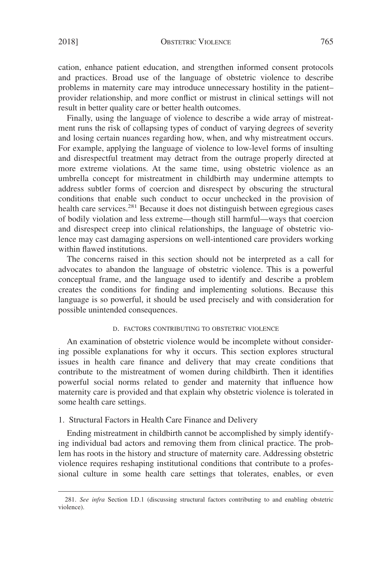cation, enhance patient education, and strengthen informed consent protocols and practices. Broad use of the language of obstetric violence to describe problems in maternity care may introduce unnecessary hostility in the patient– provider relationship, and more conflict or mistrust in clinical settings will not result in better quality care or better health outcomes.

Finally, using the language of violence to describe a wide array of mistreatment runs the risk of collapsing types of conduct of varying degrees of severity and losing certain nuances regarding how, when, and why mistreatment occurs. For example, applying the language of violence to low-level forms of insulting and disrespectful treatment may detract from the outrage properly directed at more extreme violations. At the same time, using obstetric violence as an umbrella concept for mistreatment in childbirth may undermine attempts to address subtler forms of coercion and disrespect by obscuring the structural conditions that enable such conduct to occur unchecked in the provision of health care services.<sup>281</sup> Because it does not distinguish between egregious cases of bodily violation and less extreme—though still harmful—ways that coercion and disrespect creep into clinical relationships, the language of obstetric violence may cast damaging aspersions on well-intentioned care providers working within flawed institutions.

The concerns raised in this section should not be interpreted as a call for advocates to abandon the language of obstetric violence. This is a powerful conceptual frame, and the language used to identify and describe a problem creates the conditions for finding and implementing solutions. Because this language is so powerful, it should be used precisely and with consideration for possible unintended consequences.

### D. FACTORS CONTRIBUTING TO OBSTETRIC VIOLENCE

An examination of obstetric violence would be incomplete without considering possible explanations for why it occurs. This section explores structural issues in health care finance and delivery that may create conditions that contribute to the mistreatment of women during childbirth. Then it identifies powerful social norms related to gender and maternity that influence how maternity care is provided and that explain why obstetric violence is tolerated in some health care settings.

# 1. Structural Factors in Health Care Finance and Delivery

Ending mistreatment in childbirth cannot be accomplished by simply identifying individual bad actors and removing them from clinical practice. The problem has roots in the history and structure of maternity care. Addressing obstetric violence requires reshaping institutional conditions that contribute to a professional culture in some health care settings that tolerates, enables, or even

<sup>281.</sup> *See infra* Section I.D.1 (discussing structural factors contributing to and enabling obstetric violence).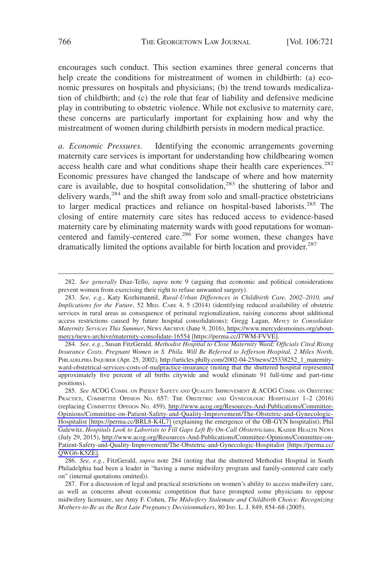encourages such conduct. This section examines three general concerns that help create the conditions for mistreatment of women in childbirth: (a) eco-nomic pressures on hospitals and physicians; (b) the trend towards medicalization of childbirth; and (c) the role that fear of liability and defensive medicine play in contributing to obstetric violence. While not exclusive to maternity care, these concerns are particularly important for explaining how and why the mistreatment of women during childbirth persists in modern medical practice.

*a. Economic Pressures.* Identifying the economic arrangements governing maternity care services is important for understanding how childbearing women access health care and what conditions shape their health care experiences.<sup>282</sup> Economic pressures have changed the landscape of where and how maternity care is available, due to hospital consolidation,<sup>283</sup> the shuttering of labor and delivery wards,<sup>284</sup> and the shift away from solo and small-practice obstetricians to larger medical practices and reliance on hospital-based laborists.<sup>285</sup> The closing of entire maternity care sites has reduced access to evidence-based maternity care by eliminating maternity wards with good reputations for womancentered and family-centered care.<sup>286</sup> For some women, these changes have dramatically limited the options available for birth location and provider.<sup>287</sup>

<sup>282.</sup> *See generally* Diaz-Tello, *supra* note 9 (arguing that economic and political considerations prevent women from exercising their right to refuse unwanted surgery).

*See, e.g.*, Katy Kozhimannil, *Rural-Urban Differences in Childbirth Care, 2002–2010, and*  283. *Implications for the Future*, 52 MED. CARE 4, 5 (2014) (identifying reduced availability of obstetric services in rural areas as consequence of perinatal regionalization, raising concerns about additional access restrictions caused by future hospital consolidations); Gregg Lagan, *Mercy to Consolidate Maternity Services This Summer*, NEWS ARCHIVE (June 9, 2016), [https://www.mercydesmoines.org/about](https://www.mercydesmoines.org/about-mercy/news-archive/maternity-consolidate-16554)[mercy/news-archive/maternity-consolidate-16554](https://www.mercydesmoines.org/about-mercy/news-archive/maternity-consolidate-16554) [\[https://perma.cc/J7WM-FVVE\]](https://perma.cc/J7WM-FVVE).

 <sup>284.</sup> *See, e.g.*, Susan FitzGerald, *Methodist Hospital to Close Maternity Ward; Officials Cited Rising Insurance Costs. Pregnant Women in S. Phila. Will Be Referred to Jefferson Hospital, 2 Miles North*, PHILADELPHIA INQUIRER (Apr. 25, 2002), [http://articles.philly.com/2002-04-25/news/25338252\\_1\\_maternity](http://articles.philly.com/2002-04-25/news/25338252_1_maternity-ward-obstetrical-services-costs-of-malpractice-insurance)[ward-obstetrical-services-costs-of-malpractice-insurance](http://articles.philly.com/2002-04-25/news/25338252_1_maternity-ward-obstetrical-services-costs-of-malpractice-insurance) (noting that the shuttered hospital represented approximately five percent of all births citywide and would eliminate 91 full-time and part-time positions).

 <sup>285.</sup> *See* ACOG COMM. ON PATIENT SAFETY AND QUALITY IMPROVEMENT & ACOG COMM. ON OBSTETRIC PRACTICE, COMMITTEE OPINION No. 657: THE OBSTETRIC AND GYNECOLOGIC HOSPITALIST 1-2 (2016) (replacing COMMITTEE OPINION NO. 459), [http://www.acog.org/Resources-And-Publications/Committee-](http://www.acog.org/Resources-And-Publications/Committee-Opinions/Committee-on-Patient-Safety-and-Quality-Improvement/The-Obstetric-and-Gynecologic-Hospitalist)[Opinions/Committee-on-Patient-Safety-and-Quality-Improvement/The-Obstetric-and-Gynecologic-](http://www.acog.org/Resources-And-Publications/Committee-Opinions/Committee-on-Patient-Safety-and-Quality-Improvement/The-Obstetric-and-Gynecologic-Hospitalist)[Hospitalist](http://www.acog.org/Resources-And-Publications/Committee-Opinions/Committee-on-Patient-Safety-and-Quality-Improvement/The-Obstetric-and-Gynecologic-Hospitalist) [\[https://perma.cc/BRL8-K4L7\]](https://perma.cc/BRL8-K4L7) (explaining the emergence of the OB-GYN hospitalist); Phil Galewitz, *Hospitals Look to Laborists to Fill Gaps Left By On-Call Obstetricians*, KAISER HEALTH NEWS (July 29, 2015), [http://www.acog.org/Resources-And-Publications/Committee-Opinions/Committee-on-](http://www.acog.org/Resources-And-Publications/Committee-Opinions/Committee-on-Patient-Safety-and-Quality-Improvement/The-Obstetric-and-Gynecologic-Hospitalist)[Patient-Safety-and-Quality-Improvement/The-Obstetric-and-Gynecologic-Hospitalist](http://www.acog.org/Resources-And-Publications/Committee-Opinions/Committee-on-Patient-Safety-and-Quality-Improvement/The-Obstetric-and-Gynecologic-Hospitalist) [\[https://perma.cc/](https://perma.cc/QWG6-K5ZE)  [QWG6-K5ZE\].](https://perma.cc/QWG6-K5ZE)

<sup>286.</sup> *See, e.g.*, FitzGerald, *supra* note 284 (noting that the shuttered Methodist Hospital in South Philadelphia had been a leader in "having a nurse midwifery program and family-centered care early on" (internal quotations omitted)).

<sup>287.</sup> For a discussion of legal and practical restrictions on women's ability to access midwifery care, as well as concerns about economic competition that have prompted some physicians to oppose midwifery licensure, see Amy F. Cohen, *The Midwifery Stalemate and Childbirth Choice: Recognizing Mothers-to-Be as the Best Late Pregnancy Decisionmakers*, 80 IND. L. J. 849, 854–68 (2005).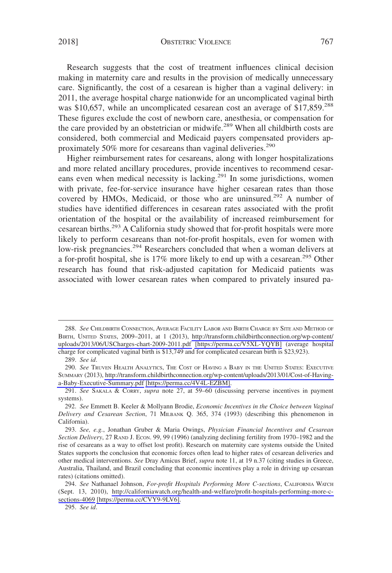Research suggests that the cost of treatment influences clinical decision making in maternity care and results in the provision of medically unnecessary care. Significantly, the cost of a cesarean is higher than a vaginal delivery: in 2011, the average hospital charge nationwide for an uncomplicated vaginal birth was \$10,657, while an uncomplicated cesarean cost an average of \$17,859.<sup>288</sup> These figures exclude the cost of newborn care, anesthesia, or compensation for the care provided by an obstetrician or midwife.289 When all childbirth costs are considered, both commercial and Medicaid payers compensated providers approximately 50% more for cesareans than vaginal deliveries.<sup>290</sup>

Higher reimbursement rates for cesareans, along with longer hospitalizations and more related ancillary procedures, provide incentives to recommend cesareans even when medical necessity is lacking.<sup>291</sup> In some jurisdictions, women with private, fee-for-service insurance have higher cesarean rates than those covered by HMOs, Medicaid, or those who are uninsured.<sup>292</sup> A number of studies have identified differences in cesarean rates associated with the profit orientation of the hospital or the availability of increased reimbursement for cesarean births.293 A California study showed that for-profit hospitals were more likely to perform cesareans than not-for-profit hospitals, even for women with low-risk pregnancies.<sup>294</sup> Researchers concluded that when a woman delivers at a for-profit hospital, she is  $17\%$  more likely to end up with a cesarean.<sup>295</sup> Other research has found that risk-adjusted capitation for Medicaid patients was associated with lower cesarean rates when compared to privately insured pa-

*See* CHILDBIRTH CONNECTION, AVERAGE FACILITY LABOR AND BIRTH CHARGE BY SITE AND METHOD OF 288. BIRTH, UNITED STATES, 2009–2011, at 1 (2013), [http://transform.childbirthconnection.org/wp-content/](http://transform.childbirthconnection.org/wp-content/uploads/2013/06/USCharges-chart-2009-2011.pdf) [uploads/2013/06/USCharges-chart-2009-2011.pdf](http://transform.childbirthconnection.org/wp-content/uploads/2013/06/USCharges-chart-2009-2011.pdf) [\[https://perma.cc/V5XL-YQYB\]](https://perma.cc/V5XL-YQYB) (average hospital charge for complicated vaginal birth is \$13,749 and for complicated cesarean birth is \$23,923).

<sup>289.</sup> *See id*.

*See* TRUVEN HEALTH ANALYTICS, THE COST OF HAVING A BABY IN THE UNITED STATES: EXECUTIVE 290. SUMMARY (2013), [http://transform.childbirthconnection.org/wp-content/uploads/2013/01/Cost-of-Having](http://transform.childbirthconnection.org/wp-content/uploads/2013/01/Cost-of-Having-a-Baby-Executive-Summary.pdf)[a-Baby-Executive-Summary.pdf](http://transform.childbirthconnection.org/wp-content/uploads/2013/01/Cost-of-Having-a-Baby-Executive-Summary.pdf) [\[https://perma.cc/4V4L-EZBM\].](https://perma.cc/4V4L-EZBM)

<sup>291.</sup> *See* SAKALA & CORRY, *supra* note 27, at 59–60 (discussing perverse incentives in payment systems).

<sup>292.</sup> *See* Emmett B. Keeler & Mollyann Brodie, *Economic Incentives in the Choice between Vaginal Delivery and Cesarean Section*, 71 MILBANK Q. 365, 374 (1993) (describing this phenomenon in California).

<sup>293.</sup> *See, e.g.*, Jonathan Gruber & Maria Owings, *Physician Financial Incentives and Cesarean Section Delivery*, 27 RAND J. ECON. 99, 99 (1996) (analyzing declining fertility from 1970–1982 and the rise of cesareans as a way to offset lost profit). Research on maternity care systems outside the United States supports the conclusion that economic forces often lead to higher rates of cesarean deliveries and other medical interventions. *See* Dray Amicus Brief, *supra* note 11, at 19 n.37 (citing studies in Greece, Australia, Thailand, and Brazil concluding that economic incentives play a role in driving up cesarean rates) (citations omitted).

<sup>. 294</sup> *See* Nathanael Johnson, *For-profit Hospitals Performing More C-sections*, CALIFORNIA WATCH (Sept. 13, 2010), [http://californiawatch.org/health-and-welfare/profit-hospitals-performing-more-c](http://californiawatch.org/health-and-welfare/profit-hospitals-performing-more-c-sections-4069)[sections-4069](http://californiawatch.org/health-and-welfare/profit-hospitals-performing-more-c-sections-4069) [\[https://perma.cc/CVY9-9LV6\].](https://perma.cc/CVY9-9LV6)

<sup>295.</sup> *See id*.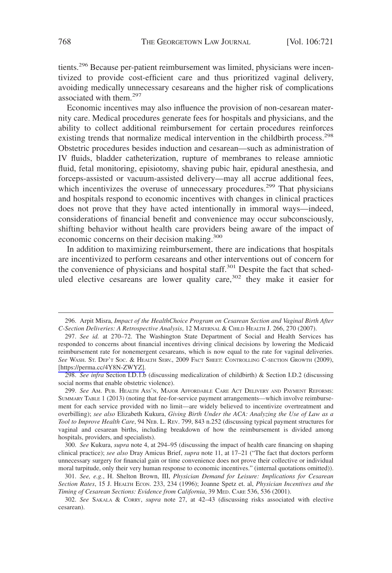tients.296 Because per-patient reimbursement was limited, physicians were incentivized to provide cost-efficient care and thus prioritized vaginal delivery, avoiding medically unnecessary cesareans and the higher risk of complications associated with them.<sup>297</sup>

Economic incentives may also influence the provision of non-cesarean maternity care. Medical procedures generate fees for hospitals and physicians, and the ability to collect additional reimbursement for certain procedures reinforces existing trends that normalize medical intervention in the childbirth process.<sup>298</sup> Obstetric procedures besides induction and cesarean—such as administration of IV fluids, bladder catheterization, rupture of membranes to release amniotic fluid, fetal monitoring, episiotomy, shaving pubic hair, epidural anesthesia, and forceps-assisted or vacuum-assisted delivery—may all accrue additional fees, which incentivizes the overuse of unnecessary procedures.<sup>299</sup> That physicians and hospitals respond to economic incentives with changes in clinical practices does not prove that they have acted intentionally in immoral ways—indeed, considerations of financial benefit and convenience may occur subconsciously, shifting behavior without health care providers being aware of the impact of economic concerns on their decision making.<sup>300</sup>

In addition to maximizing reimbursement, there are indications that hospitals are incentivized to perform cesareans and other interventions out of concern for the convenience of physicians and hospital staff.<sup>301</sup> Despite the fact that scheduled elective cesareans are lower quality care,  $302$  they make it easier for

<sup>296.</sup> Arpit Misra, *Impact of the HealthChoice Program on Cesarean Section and Vaginal Birth After C-Section Deliveries: A Retrospective Analysis*, 12 MATERNAL & CHILD HEALTH J. 266, 270 (2007).

<sup>297.</sup> See id. at 270–72. The Washington State Department of Social and Health Services has responded to concerns about financial incentives driving clinical decisions by lowering the Medicaid reimbursement rate for nonemergent cesareans, which is now equal to the rate for vaginal deliveries. See WASH. ST. DEP'T Soc. & HEALTH SERV., 2009 FACT SHEET: CONTROLLING C-SECTION GROWTH (2009), [\[https://perma.cc/4Y8N-ZWYZ\].](https://perma.cc/4Y8N-ZWYZ)

<sup>298.</sup> *See infra* Section I.D.1.b (discussing medicalization of childbirth) & Section I.D.2 (discussing social norms that enable obstetric violence).

<sup>299.</sup> *See* AM. PUB. HEALTH ASS'N, MAJOR AFFORDABLE CARE ACT DELIVERY AND PAYMENT REFORMS: SUMMARY TABLE 1 (2013) (noting that fee-for-service payment arrangements—which involve reimbursement for each service provided with no limit—are widely believed to incentivize overtreatment and overbilling); *see also* Elizabeth Kukura, *Giving Birth Under the ACA: Analyzing the Use of Law as a Tool to Improve Health Care*, 94 NEB. L. REV. 799, 843 n.252 (discussing typical payment structures for vaginal and cesarean births, including breakdown of how the reimbursement is divided among hospitals, providers, and specialists).

<sup>300.</sup> *See* Kukura, *supra* note 4, at 294–95 (discussing the impact of health care financing on shaping clinical practice); *see also* Dray Amicus Brief, *supra* note 11, at 17–21 ("The fact that doctors perform unnecessary surgery for financial gain or time convenience does not prove their collective or individual moral turpitude, only their very human response to economic incentives." (internal quotations omitted)).

<sup>301.</sup> *See, e.g.*, H. Shelton Brown, III, *Physician Demand for Leisure: Implications for Cesarean Section Rates*, 15 J. HEALTH ECON. 233, 234 (1996); Joanne Spetz et. al, *Physician Incentives and the Timing of Cesarean Sections: Evidence from California*, 39 MED. CARE 536, 536 (2001).

<sup>302.</sup> *See* SAKALA & CORRY, *supra* note 27, at 42–43 (discussing risks associated with elective cesarean).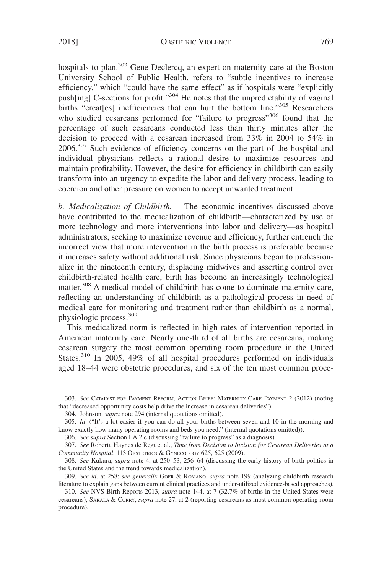hospitals to plan.<sup>303</sup> Gene Declercq, an expert on maternity care at the Boston University School of Public Health, refers to "subtle incentives to increase efficiency," which "could have the same effect" as if hospitals were "explicitly push[ing] C-sections for profit."<sup>304</sup> He notes that the unpredictability of vaginal births "creat[es] inefficiencies that can hurt the bottom line."<sup>305</sup> Researchers who studied cesareans performed for "failure to progress"<sup>306</sup> found that the percentage of such cesareans conducted less than thirty minutes after the decision to proceed with a cesarean increased from 33% in 2004 to 54% in 2006.<sup>307</sup> Such evidence of efficiency concerns on the part of the hospital and individual physicians reflects a rational desire to maximize resources and maintain profitability. However, the desire for efficiency in childbirth can easily transform into an urgency to expedite the labor and delivery process, leading to coercion and other pressure on women to accept unwanted treatment.

*b. Medicalization of Childbirth.* The economic incentives discussed above have contributed to the medicalization of childbirth—characterized by use of more technology and more interventions into labor and delivery—as hospital administrators, seeking to maximize revenue and efficiency, further entrench the incorrect view that more intervention in the birth process is preferable because it increases safety without additional risk. Since physicians began to professionalize in the nineteenth century, displacing midwives and asserting control over childbirth-related health care, birth has become an increasingly technological matter.<sup>308</sup> A medical model of childbirth has come to dominate maternity care, reflecting an understanding of childbirth as a pathological process in need of medical care for monitoring and treatment rather than childbirth as a normal, physiologic process.309

This medicalized norm is reflected in high rates of intervention reported in American maternity care. Nearly one-third of all births are cesareans, making cesarean surgery the most common operating room procedure in the United States.<sup>310</sup> In 2005, 49% of all hospital procedures performed on individuals aged 18–44 were obstetric procedures, and six of the ten most common proce-

306. *See supra* Section I.A.2.c (discussing "failure to progress" as a diagnosis).

<sup>303.</sup> *See* CATALYST FOR PAYMENT REFORM, ACTION BRIEF: MATERNITY CARE PAYMENT 2 (2012) (noting that "decreased opportunity costs help drive the increase in cesarean deliveries").

<sup>304.</sup> Johnson, *supra* note 294 (internal quotations omitted).

<sup>305.</sup> *Id*. ("It's a lot easier if you can do all your births between seven and 10 in the morning and know exactly how many operating rooms and beds you need." (internal quotations omitted)).

<sup>307.</sup> *See* Roberta Haynes de Regt et al., *Time from Decision to Incision for Cesarean Deliveries at a Community Hospital*, 113 OBSTETRICS & GYNECOLOGY 625, 625 (2009).

<sup>308.</sup> *See* Kukura, *supra* note 4, at 250–53, 256–64 (discussing the early history of birth politics in the United States and the trend towards medicalization).

<sup>309.</sup> *See id*. at 258; *see generally* GOER & ROMANO, *supra* note 199 (analyzing childbirth research literature to explain gaps between current clinical practices and under-utilized evidence-based approaches).

<sup>310.</sup> *See* NVS Birth Reports 2013, *supra* note 144, at 7 (32.7% of births in the United States were cesareans); SAKALA & CORRY, *supra* note 27, at 2 (reporting cesareans as most common operating room procedure).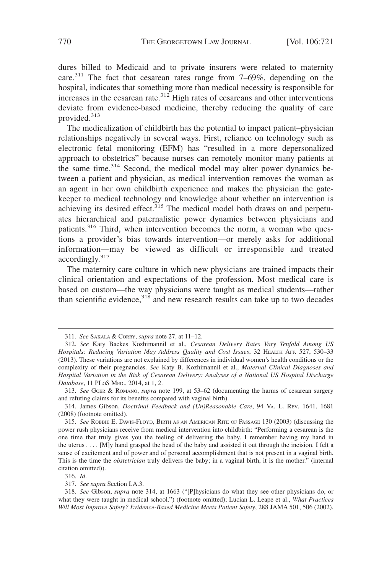dures billed to Medicaid and to private insurers were related to maternity care.<sup>311</sup> The fact that cesarean rates range from  $7-69\%$ , depending on the hospital, indicates that something more than medical necessity is responsible for increases in the cesarean rate. $312$  High rates of cesareans and other interventions deviate from evidence-based medicine, thereby reducing the quality of care provided.313

The medicalization of childbirth has the potential to impact patient–physician relationships negatively in several ways. First, reliance on technology such as electronic fetal monitoring (EFM) has "resulted in a more depersonalized approach to obstetrics" because nurses can remotely monitor many patients at the same time.<sup>314</sup> Second, the medical model may alter power dynamics between a patient and physician, as medical intervention removes the woman as an agent in her own childbirth experience and makes the physician the gatekeeper to medical technology and knowledge about whether an intervention is achieving its desired effect.<sup>315</sup> The medical model both draws on and perpetuates hierarchical and paternalistic power dynamics between physicians and patients.<sup>316</sup> Third, when intervention becomes the norm, a woman who questions a provider's bias towards intervention—or merely asks for additional information—may be viewed as difficult or irresponsible and treated  $accordingly.<sup>317</sup>$ 

The maternity care culture in which new physicians are trained impacts their clinical orientation and expectations of the profession. Most medical care is based on custom—the way physicians were taught as medical students—rather than scientific evidence,  $318$  and new research results can take up to two decades

316. *Id*.

317. *See supra* Section I.A.3.

<sup>311.</sup> *See* SAKALA & CORRY, *supra* note 27, at 11–12.

<sup>312.</sup> *See* Katy Backes Kozhimannil et al., *Cesarean Delivery Rates Vary Tenfold Among US Hospitals: Reducing Variation May Address Quality and Cost Issues*, 32 HEALTH AFF. 527, 530–33 (2013). These variations are not explained by differences in individual women's health conditions or the complexity of their pregnancies. *See* Katy B. Kozhimannil et al., *Maternal Clinical Diagnoses and Hospital Variation in the Risk of Cesarean Delivery: Analyses of a National US Hospital Discharge Database*, 11 PLOS MED., 2014, at 1, 2.

<sup>313.</sup> *See* GOER & ROMANO, *supra* note 199, at 53–62 (documenting the harms of cesarean surgery and refuting claims for its benefits compared with vaginal birth).

<sup>314.</sup> James Gibson, *Doctrinal Feedback and (Un)Reasonable Care*, 94 VA. L. REV. 1641, 1681 (2008) (footnote omitted).

<sup>315.</sup> *See* ROBBIE E. DAVIS-FLOYD, BIRTH AS AN AMERICAN RITE OF PASSAGE 130 (2003) (discussing the power rush physicians receive from medical intervention into childbirth: "Performing a cesarean is the one time that truly gives you the feeling of delivering the baby. I remember having my hand in the uterus.... [M]y hand grasped the head of the baby and assisted it out through the incision. I felt a sense of excitement and of power and of personal accomplishment that is not present in a vaginal birth. This is the time the *obstetrician* truly delivers the baby; in a vaginal birth, it is the mother." (internal citation omitted)).

<sup>318.</sup> *See* Gibson, *supra* note 314, at 1663 ("[P]hysicians do what they see other physicians do, or what they were taught in medical school.") (footnote omitted); Lucian L. Leape et al., *What Practices Will Most Improve Safety? Evidence-Based Medicine Meets Patient Safety*, 288 JAMA 501, 506 (2002).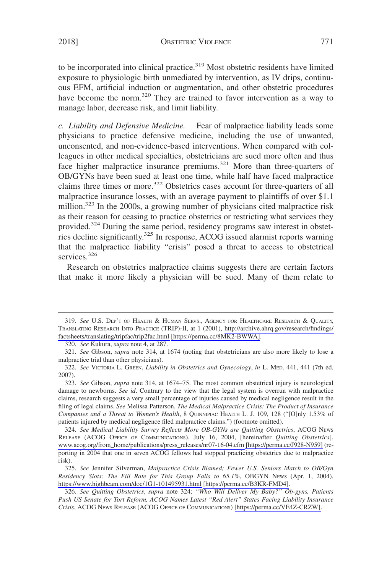to be incorporated into clinical practice.<sup>319</sup> Most obstetric residents have limited exposure to physiologic birth unmediated by intervention, as IV drips, continuous EFM, artificial induction or augmentation, and other obstetric procedures have become the norm.<sup>320</sup> They are trained to favor intervention as a way to manage labor, decrease risk, and limit liability.

*c. Liability and Defensive Medicine.* Fear of malpractice liability leads some physicians to practice defensive medicine, including the use of unwanted, unconsented, and non-evidence-based interventions. When compared with colleagues in other medical specialties, obstetricians are sued more often and thus face higher malpractice insurance premiums. $321$  More than three-quarters of OB/GYNs have been sued at least one time, while half have faced malpractice claims three times or more.<sup>322</sup> Obstetrics cases account for three-quarters of all malpractice insurance losses, with an average payment to plaintiffs of over \$1.1 million.<sup>323</sup> In the 2000s, a growing number of physicians cited malpractice risk as their reason for ceasing to practice obstetrics or restricting what services they provided.<sup>324</sup> During the same period, residency programs saw interest in obstetrics decline significantly.<sup>325</sup> In response, ACOG issued alarmist reports warning that the malpractice liability "crisis" posed a threat to access to obstetrical services.<sup>326</sup>

Research on obstetrics malpractice claims suggests there are certain factors that make it more likely a physician will be sued. Many of them relate to

<sup>319.</sup> See U.S. Dep't of Health & Human Servs., Agency for Healthcare Research & Quality, TRANSLATING RESEARCH INTO PRACTICE (TRIP)-II, at 1 (2001), [http://archive.ahrq.gov/research/findings/](http://archive.ahrq.gov/research/findings/factsheets/translating/tripfac/trip2fac.html)  [factsheets/translating/tripfac/trip2fac.html](http://archive.ahrq.gov/research/findings/factsheets/translating/tripfac/trip2fac.html) [\[https://perma.cc/8MK2-BWWA\].](https://perma.cc/8MK2-BWWA)

<sup>320.</sup> *See* Kukura, *supra* note 4, at 287.

<sup>321.</sup> *See* Gibson, *supra* note 314, at 1674 (noting that obstetricians are also more likely to lose a malpractice trial than other physicians).

<sup>322.</sup> *See* VICTORIA L. GREEN, *Liability in Obstetrics and Gynecology*, *in* L. MED. 441, 441 (7th ed. 2007).

<sup>323.</sup> *See* Gibson, *supra* note 314, at 1674–75. The most common obstetrical injury is neurological damage to newborns. *See id*. Contrary to the view that the legal system is overrun with malpractice claims, research suggests a very small percentage of injuries caused by medical negligence result in the filing of legal claims. *See* Melissa Patterson, *The Medical Malpractice Crisis: The Product of Insurance Companies and a Threat to Women's Health*,8QUINNIPIAC HEALTH L. J. 109, 128 ("[O]nly 1.53% of patients injured by medical negligence filed malpractice claims.") (footnote omitted).

*See Medical Liability Survey Reflects More OB-GYNs are Quitting Obstetrics*, ACOG NEWS 324. RELEASE (ACOG OFFICE OF COMMUNICATIONS), July 16, 2004, [hereinafter *Quitting Obstetrics*], [www.acog.org/from\\_home/publications/press\\_releases/nr07-16-04.cfm](www.acog.org/from_home/publications/press_releases/nr07-16-04.cfm) [\[https://perma.cc/J928-N959\]](https://perma.cc/J928-N959) (reporting in 2004 that one in seven ACOG fellows had stopped practicing obstetrics due to malpractice risk).

*See* Jennifer Silverman, *Malpractice Crisis Blamed; Fewer U.S. Seniors Match to OB/Gyn*  325. *Residency Slots: The Fill Rate for This Group Falls to 65.1%*, OBGYN NEWS (Apr. 1, 2004), <https://www.highbeam.com/doc/1G1-101495931.html>[\[https://perma.cc/B3KR-FMD4\].](https://perma.cc/B3KR-FMD4)

*See Quitting Obstetrics*, *supra* note 324; *"Who Will Deliver My Baby?" Ob-gyns, Patients*  326. *Push US Senate for Tort Reform, ACOG Names Latest "Red Alert" States Facing Liability Insurance Crisis*, ACOG NEWS RELEASE (ACOG OFFICE OF COMMUNICATIONS) [\[https://perma.cc/VE4Z-CRZW\].](https://perma.cc/VE4Z-CRZW)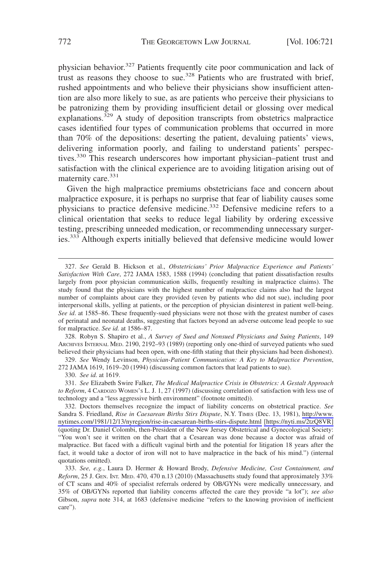physician behavior.327 Patients frequently cite poor communication and lack of trust as reasons they choose to sue.<sup>328</sup> Patients who are frustrated with brief, rushed appointments and who believe their physicians show insufficient attention are also more likely to sue, as are patients who perceive their physicians to be patronizing them by providing insufficient detail or glossing over medical explanations.<sup>329</sup> A study of deposition transcripts from obstetrics malpractice cases identified four types of communication problems that occurred in more than 70% of the depositions: deserting the patient, devaluing patients' views, delivering information poorly, and failing to understand patients' perspectives.<sup>330</sup> This research underscores how important physician–patient trust and satisfaction with the clinical experience are to avoiding litigation arising out of maternity care.<sup>331</sup>

Given the high malpractice premiums obstetricians face and concern about malpractice exposure, it is perhaps no surprise that fear of liability causes some physicians to practice defensive medicine.<sup>332</sup> Defensive medicine refers to a clinical orientation that seeks to reduce legal liability by ordering excessive testing, prescribing unneeded medication, or recommending unnecessary surgeries.333 Although experts initially believed that defensive medicine would lower

328. Robyn S. Shapiro et al., *A Survey of Sued and Nonsued Physicians and Suing Patients*, 149 ARCHIVES INTERNAL MED. 2190, 2192–93 (1989) (reporting only one-third of surveyed patients who sued believed their physicians had been open, with one-fifth stating that their physicians had been dishonest).

329. *See* Wendy Levinson, *Physician-Patient Communication: A Key to Malpractice Prevention*, 272 JAMA 1619, 1619–20 (1994) (discussing common factors that lead patients to sue).

330. *See id.* at 1619.

331. *See* Elizabeth Swire Falker, *The Medical Malpractice Crisis in Obstetrics: A Gestalt Approach to Reform*,4CARDOZO WOMEN'S L. J. 1, 27 (1997) (discussing correlation of satisfaction with less use of technology and a "less aggressive birth environment" (footnote omitted)).

Doctors themselves recognize the impact of liability concerns on obstetrical practice. *See*  332. Sandra S. Friedland, *Rise in Caesarean Births Stirs Dispute*, N.Y. TIMES (Dec. 13, 1981), [http://www.](http://www.nytimes.com/1981/12/13/nyregion/rise-in-caesarean-births-stirs-dispute.html) [nytimes.com/1981/12/13/nyregion/rise-in-caesarean-births-stirs-dispute.html](http://www.nytimes.com/1981/12/13/nyregion/rise-in-caesarean-births-stirs-dispute.html) [\[https://nyti.ms/2tzQ8VR\]](https://nyti.ms/2tzQ8VR) (quoting Dr. Daniel Colombi, then-President of the New Jersey Obstetrical and Gynecological Society: "You won't see it written on the chart that a Cesarean was done because a doctor was afraid of malpractice. But faced with a difficult vaginal birth and the potential for litigation 18 years after the fact, it would take a doctor of iron will not to have malpractice in the back of his mind.") (internal quotations omitted).

333. *See, e.g.*, Laura D. Hermer & Howard Brody, *Defensive Medicine, Cost Containment, and Reform*, 25 J. GEN. INT. MED. 470, 470 n.13 (2010) (Massachusetts study found that approximately 33% of CT scans and 40% of specialist referrals ordered by OB/GYNs were medically unnecessary, and 35% of OB/GYNs reported that liability concerns affected the care they provide "a lot"); *see also*  Gibson, *supra* note 314, at 1683 (defensive medicine "refers to the knowing provision of inefficient care").

<sup>327.</sup> *See* Gerald B. Hickson et al., *Obstetricians' Prior Malpractice Experience and Patients' Satisfaction With Care*, 272 JAMA 1583, 1588 (1994) (concluding that patient dissatisfaction results largely from poor physician communication skills, frequently resulting in malpractice claims). The study found that the physicians with the highest number of malpractice claims also had the largest number of complaints about care they provided (even by patients who did not sue), including poor interpersonal skills, yelling at patients, or the perception of physician disinterest in patient well-being. *See id*. at 1585–86. These frequently-sued physicians were not those with the greatest number of cases of perinatal and neonatal deaths, suggesting that factors beyond an adverse outcome lead people to sue for malpractice. *See id.* at 1586–87.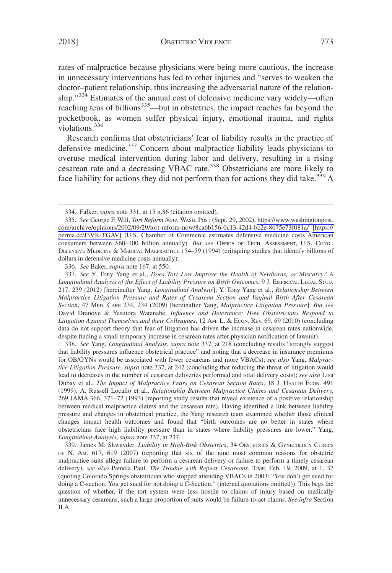rates of malpractice because physicians were being more cautious, the increase in unnecessary interventions has led to other injuries and "serves to weaken the doctor–patient relationship, thus increasing the adversarial nature of the relationship."334 Estimates of the annual cost of defensive medicine vary widely—often reaching tens of billions<sup>335</sup>—but in obstetrics, the impact reaches far beyond the pocketbook, as women suffer physical injury, emotional trauma, and rights violations.<sup>336</sup>

Research confirms that obstetricians' fear of liability results in the practice of defensive medicine.<sup>337</sup> Concern about malpractice liability leads physicians to overuse medical intervention during labor and delivery, resulting in a rising cesarean rate and a decreasing VBAC rate.338 Obstetricians are more likely to face liability for actions they did not perform than for actions they did take.<sup>339</sup> A

336. *See* Baker, *supra* note 167, at 550.

337. *See* Y. Tony Yang et al., *Does Tort Law Improve the Health of Newborns, or Miscarry? A Longitudinal Analysis of the Effect of Liability Pressure on Birth Outcomes*, 9 J. EMPIRICAL LEGAL STUD. 217, 239 (2012) [hereinafter Yang, *Longitudinal Analysis*]; Y. Tony Yang et al., *Relationship Between Malpractice Litigation Pressure and Rates of Cesarean Section and Vaginal Birth After Cesarean Section*, 47 MED. CARE 234, 234 (2009) [hereinafter Yang, *Malpractice Litigation Pressure*]. *But see*  David Dranove & Yasutora Watanabe, *Influence and Deterrence: How Obstetricians Respond to Litigation Against Themselves and their Colleagues*, 12 AM. L. & ECON. REV. 69, 69 (2010) (concluding data do not support theory that fear of litigation has driven the increase in cesarean rates nationwide, despite finding a small temporary increase in cesarean rates after physician notification of lawsuit).

338. *See* Yang, *Longitudinal Analysis*, *supra* note 337, at 218 (concluding results "strongly suggest that liability pressures influence obstetrical practice" and noting that a decrease in insurance premiums for OB/GYNs would be associated with fewer cesareans and more VBACs); *see also* Yang, *Malpractice Litigation Pressure*, *supra* note 337, at 242 (concluding that reducing the threat of litigation would lead to decreases in the number of cesarean deliveries performed and total delivery costs); *see also* Lisa Dubay et al., *The Impact of Malpractice Fears on Cesarean Section Rates*, 18 J. HEALTH ECON. 491 (1999); A. Russell Localio et al., *Relationship Between Malpractice Claims and Cesarean Delivery*, 269 JAMA 366, 371–72 (1993) (reporting study results that reveal existence of a positive relationship between medical malpractice claims and the cesarean rate). Having identified a link between liability pressure and changes in obstetrical practice, the Yang research team examined whether those clinical changes impact health outcomes and found that "birth outcomes are no better in states where obstetricians face high liability pressure than in states where liability pressures are lower." Yang, *Longitudinal Analysis*, *supra* note 337, at 237.

339. James M. Shwayder, *Liability in High-Risk Obstetrics*, 34 OBSTETRICS & GYNECOLOGY CLINICS OF N. AM. 617, 619 (2007) (reporting that six of the nine most common reasons for obstetric malpractice suits allege failure to perform a cesarean delivery or failure to perform a timely cesarean delivery); see also Pamela Paul, *The Trouble with Repeat Cesareans*, TIME, Feb. 19, 2009, at 1, 37 (quoting Colorado Springs obstetrician who stopped attending VBACs in 2003: "You don't get sued for doing a C-section. You get sued for not doing a C-Section." (internal quotations omitted)). This begs the question of whether, if the tort system were less hostile to claims of injury based on medically unnecessary cesareans, such a large proportion of suits would be failure-to-act claims. *See infra* Section II.A.

<sup>334.</sup> Falker, *supra* note 331, at 15 n.86 (citation omitted).

<sup>. 335</sup> *See* George F. Will, *Tort Reform Now*, WASH. POST (Sept. 29, 2002), [https://www.washingtonpost.](https://www.washingtonpost.com/archive/opinions/2002/09/29/tort-reform-now/8ca6b156-0c13-42d4-bc2e-8675e73f081a/)  [com/archive/opinions/2002/09/29/tort-reform-now/8ca6b156-0c13-42d4-bc2e-8675e73f081a/](https://www.washingtonpost.com/archive/opinions/2002/09/29/tort-reform-now/8ca6b156-0c13-42d4-bc2e-8675e73f081a/) [\[https://](https://perma.cc/J3VK-TGAV)  [perma.cc/J3VK-TGAV\]](https://perma.cc/J3VK-TGAV) (U.S. Chamber of Commerce estimates defensive medicine costs American consumers between \$60-100 billion annually). But see OFFICE OF TECH. ASSESSMENT, U.S. Cong., DEFENSIVE MEDICINE & MEDICAL MALPRACTICE 154–59 (1994) (critiquing studies that identify billions of dollars in defensive medicine costs annually).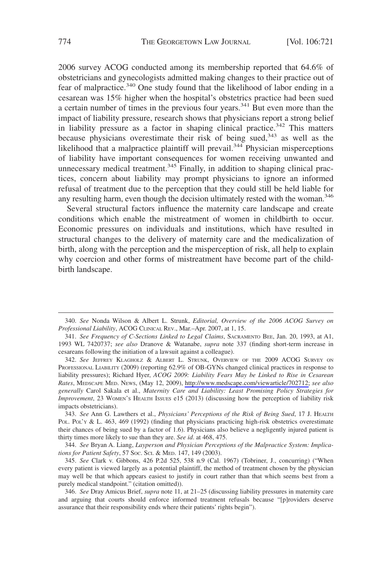2006 survey ACOG conducted among its membership reported that 64.6% of obstetricians and gynecologists admitted making changes to their practice out of fear of malpractice.340 One study found that the likelihood of labor ending in a cesarean was 15% higher when the hospital's obstetrics practice had been sued a certain number of times in the previous four years.<sup>341</sup> But even more than the impact of liability pressure, research shows that physicians report a strong belief in liability pressure as a factor in shaping clinical practice.<sup>342</sup> This matters because physicians overestimate their risk of being sued,<sup>343</sup> as well as the likelihood that a malpractice plaintiff will prevail.<sup>344</sup> Physician misperceptions of liability have important consequences for women receiving unwanted and unnecessary medical treatment. $345$  Finally, in addition to shaping clinical practices, concern about liability may prompt physicians to ignore an informed refusal of treatment due to the perception that they could still be held liable for any resulting harm, even though the decision ultimately rested with the woman.<sup>346</sup>

Several structural factors influence the maternity care landscape and create conditions which enable the mistreatment of women in childbirth to occur. Economic pressures on individuals and institutions, which have resulted in structural changes to the delivery of maternity care and the medicalization of birth, along with the perception and the misperception of risk, all help to explain why coercion and other forms of mistreatment have become part of the childbirth landscape.

<sup>340.</sup> *See* Nonda Wilson & Albert L. Strunk, *Editorial, Overview of the 2006 ACOG Survey on Professional Liability*, ACOG CLINICAL REV., Mar.–Apr. 2007, at 1, 15.

<sup>341.</sup> *See Frequency of C-Sections Linked to Legal Claims*, SACRAMENTO BEE, Jan. 20, 1993, at A1, 1993 WL 7420737; *see also* Dranove & Watanabe, *supra* note 337 (finding short-term increase in cesareans following the initiation of a lawsuit against a colleague).

*See* JEFFREY KLAGHOLZ & ALBERT L. STRUNK, OVERVIEW OF THE 2009 ACOG SURVEY ON 342. PROFESSIONAL LIABILITY (2009) (reporting 62.9% of OB-GYNs changed clinical practices in response to liability pressures); Richard Hyer, *ACOG 2009: Liability Fears May be Linked to Rise in Cesarean Rates*, MEDSCAPE MED. NEWS, (May 12, 2009), [http://www.medscape.com/viewarticle/702712;](http://www.medscape.com/viewarticle/702712) *see also generally* Carol Sakala et al., *Maternity Care and Liability: Least Promising Policy Strategies for Improvement*, 23 WOMEN'S HEALTH ISSUES e15 (2013) (discussing how the perception of liability risk impacts obstetricians).

<sup>343.</sup> *See* Ann G. Lawthers et al., *Physicians' Perceptions of the Risk of Being Sued*, 17 J. HEALTH POL. POL'Y & L. 463, 469 (1992) (finding that physicians practicing high-risk obstetrics overestimate their chances of being sued by a factor of 1.6). Physicians also believe a negligently injured patient is thirty times more likely to sue than they are. *See id*. at 468, 475.

<sup>344.</sup> *See* Bryan A. Liang, *Layperson and Physician Perceptions of the Malpractice System: Implications for Patient Safety*, 57 SOC. SCI.&MED. 147, 149 (2003).

<sup>345.</sup> *See* Clark v. Gibbons, 426 P.2d 525, 538 n.9 (Cal. 1967) (Tobriner, J., concurring) ("When every patient is viewed largely as a potential plaintiff, the method of treatment chosen by the physician may well be that which appears easiest to justify in court rather than that which seems best from a purely medical standpoint." (citation omitted)).

<sup>346.</sup> *See* Dray Amicus Brief, *supra* note 11, at 21–25 (discussing liability pressures in maternity care and arguing that courts should enforce informed treatment refusals because "[p]roviders deserve assurance that their responsibility ends where their patients' rights begin").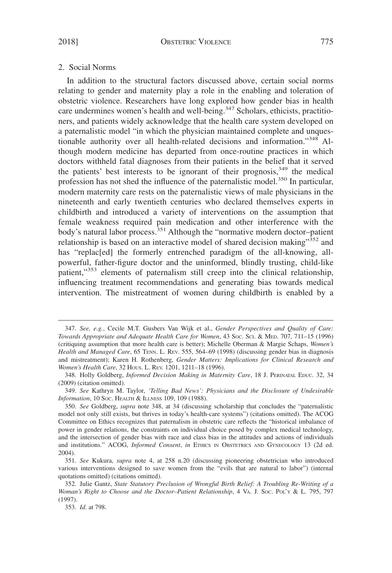# 2. Social Norms

In addition to the structural factors discussed above, certain social norms relating to gender and maternity play a role in the enabling and toleration of obstetric violence. Researchers have long explored how gender bias in health care undermines women's health and well-being.<sup>347</sup> Scholars, ethicists, practitioners, and patients widely acknowledge that the health care system developed on a paternalistic model "in which the physician maintained complete and unquestionable authority over all health-related decisions and information."348 Although modern medicine has departed from once-routine practices in which doctors withheld fatal diagnoses from their patients in the belief that it served the patients' best interests to be ignorant of their prognosis,  $349$  the medical profession has not shed the influence of the paternalistic model.<sup>350</sup> In particular, modern maternity care rests on the paternalistic views of male physicians in the nineteenth and early twentieth centuries who declared themselves experts in childbirth and introduced a variety of interventions on the assumption that female weakness required pain medication and other interference with the body's natural labor process.<sup>351</sup> Although the "normative modern doctor-patient" relationship is based on an interactive model of shared decision making"<sup>352</sup> and has "replac[ed] the formerly entrenched paradigm of the all-knowing, allpowerful, father-figure doctor and the uninformed, blindly trusting, child-like patient,"<sup>353</sup> elements of paternalism still creep into the clinical relationship, influencing treatment recommendations and generating bias towards medical intervention. The mistreatment of women during childbirth is enabled by a

<sup>347.</sup> *See, e.g.*, Cecile M.T. Gusbers Van Wijk et al., *Gender Perspectives and Quality of Care: Towards Appropriate and Adequate Health Care for Women*, 43 SOC. SCI.&MED. 707, 711–15 (1996) (critiquing assumption that more health care is better); Michelle Oberman & Margie Schaps, *Women's*  Health and Managed Care, 65 TENN. L. REV. 555, 564-69 (1998) (discussing gender bias in diagnosis and mistreatment); Karen H. Rothenberg, *Gender Matters: Implications for Clinical Research and Women's Health Care*, 32 HOUS. L. REV. 1201, 1211–18 (1996).

<sup>348.</sup> Holly Goldberg, *Informed Decision Making in Maternity Care*, 18 J. PERINATAL EDUC. 32, 34 (2009) (citation omitted).

<sup>349.</sup> *See* Kathryn M. Taylor, *'Telling Bad News': Physicians and the Disclosure of Undesirable Information*, 10 Soc. HEALTH & ILLNESS 109, 109 (1988).

<sup>350.</sup> *See* Goldberg, *supra* note 348, at 34 (discussing scholarship that concludes the "paternalistic model not only still exists, but thrives in today's health-care systems") (citations omitted). The ACOG Committee on Ethics recognizes that paternalism in obstetric care reflects the "historical imbalance of power in gender relations, the constraints on individual choice posed by complex medical technology, and the intersection of gender bias with race and class bias in the attitudes and actions of individuals and institutions." ACOG, *Informed Consent*, *in* ETHICS IN OBSTETRICS AND GYNECOLOGY 13 (2d ed. 2004).

<sup>351.</sup> *See* Kukura, *supra* note 4, at 258 n.20 (discussing pioneering obstetrician who introduced various interventions designed to save women from the "evils that are natural to labor") (internal quotations omitted) (citations omitted).

<sup>352.</sup> Julie Gantz, *State Statutory Preclusion of Wrongful Birth Relief: A Troubling Re-Writing of a Woman's Right to Choose and the Doctor–Patient Relationship*,4VA. J. SOC. POL'Y & L. 795, 797 (1997).

<sup>353.</sup> *Id*. at 798.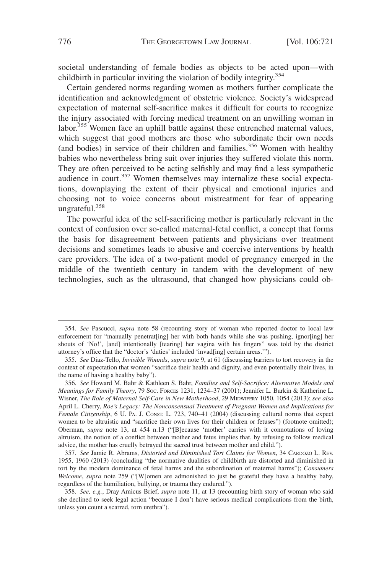societal understanding of female bodies as objects to be acted upon—with childbirth in particular inviting the violation of bodily integrity.354

Certain gendered norms regarding women as mothers further complicate the identification and acknowledgment of obstetric violence. Society's widespread expectation of maternal self-sacrifice makes it difficult for courts to recognize the injury associated with forcing medical treatment on an unwilling woman in labor.<sup>355</sup> Women face an uphill battle against these entrenched maternal values, which suggest that good mothers are those who subordinate their own needs (and bodies) in service of their children and families.<sup>356</sup> Women with healthy babies who nevertheless bring suit over injuries they suffered violate this norm. They are often perceived to be acting selfishly and may find a less sympathetic audience in court.<sup>357</sup> Women themselves may internalize these social expectations, downplaying the extent of their physical and emotional injuries and choosing not to voice concerns about mistreatment for fear of appearing ungrateful.<sup>358</sup>

The powerful idea of the self-sacrificing mother is particularly relevant in the context of confusion over so-called maternal-fetal conflict, a concept that forms the basis for disagreement between patients and physicians over treatment decisions and sometimes leads to abusive and coercive interventions by health care providers. The idea of a two-patient model of pregnancy emerged in the middle of the twentieth century in tandem with the development of new technologies, such as the ultrasound, that changed how physicians could ob-

357. *See* Jamie R. Abrams, *Distorted and Diminished Tort Claims for Women*, 34 CARDOZO L. REV. 1955, 1960 (2013) (concluding "the normative dualities of childbirth are distorted and diminished in tort by the modern dominance of fetal harms and the subordination of maternal harms"); *Consumers Welcome*, *supra* note 259 ("[W]omen are admonished to just be grateful they have a healthy baby, regardless of the humiliation, bullying, or trauma they endured.").

358. *See, e.g.*, Dray Amicus Brief, *supra* note 11, at 13 (recounting birth story of woman who said she declined to seek legal action "because I don't have serious medical complications from the birth, unless you count a scarred, torn urethra").

<sup>354.</sup> *See* Pascucci, *supra* note 58 (recounting story of woman who reported doctor to local law enforcement for "manually penetrat[ing] her with both hands while she was pushing, ignor[ing] her shouts of 'No!', [and] intentionally [tearing] her vagina with his fingers" was told by the district attorney's office that the "doctor's 'duties' included 'invad[ing] certain areas.'").

<sup>355.</sup> *See* Diaz-Tello, *Invisible Wounds*, *supra* note 9, at 61 (discussing barriers to tort recovery in the context of expectation that women "sacrifice their health and dignity, and even potentially their lives, in the name of having a healthy baby").

<sup>356.</sup> *See* Howard M. Bahr & Kathleen S. Bahr, *Families and Self-Sacrifice: Alternative Models and Meanings for Family Theory*, 79 SOC. FORCES 1231, 1234–37 (2001); Jennifer L. Barkin & Katherine L. Wisner, *The Role of Maternal Self-Care in New Motherhood*, 29 MIDWIFERY 1050, 1054 (2013); *see also*  April L. Cherry, *Roe's Legacy: The Nonconsensual Treatment of Pregnant Women and Implications for Female Citizenship*, 6 U. PA. J. CONST. L. 723, 740–41 (2004) (discussing cultural norms that expect women to be altruistic and "sacrifice their own lives for their children or fetuses") (footnote omitted); Oberman, *supra* note 13, at 454 n.13 ("[B]ecause 'mother' carries with it connotations of loving altruism, the notion of a conflict between mother and fetus implies that, by refusing to follow medical advice, the mother has cruelly betrayed the sacred trust between mother and child.").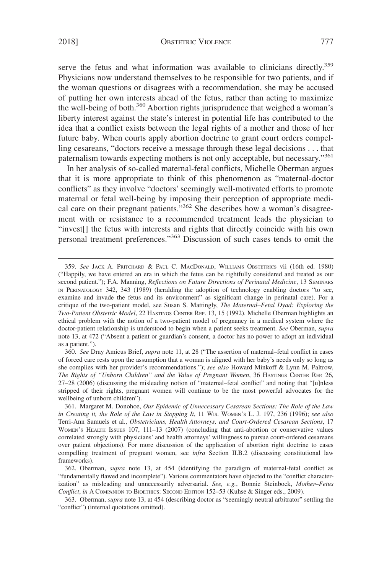serve the fetus and what information was available to clinicians directly.<sup>359</sup> Physicians now understand themselves to be responsible for two patients, and if the woman questions or disagrees with a recommendation, she may be accused of putting her own interests ahead of the fetus, rather than acting to maximize the well-being of both.<sup>360</sup> Abortion rights jurisprudence that weighed a woman's liberty interest against the state's interest in potential life has contributed to the idea that a conflict exists between the legal rights of a mother and those of her future baby. When courts apply abortion doctrine to grant court orders compelling cesareans, "doctors receive a message through these legal decisions ... that paternalism towards expecting mothers is not only acceptable, but necessary."<sup>361</sup>

In her analysis of so-called maternal-fetal conflicts, Michelle Oberman argues that it is more appropriate to think of this phenomenon as "maternal-doctor conflicts" as they involve "doctors' seemingly well-motivated efforts to promote maternal or fetal well-being by imposing their perception of appropriate medical care on their pregnant patients. $^{362}$  She describes how a woman's disagreement with or resistance to a recommended treatment leads the physician to "invest[] the fetus with interests and rights that directly coincide with his own personal treatment preferences."363 Discussion of such cases tends to omit the

<sup>359.</sup> *See* JACK A. PRITCHARD & PAUL C. MACDONALD, WILLIAMS OBSTETRICS vii (16th ed. 1980) ("Happily, we have entered an era in which the fetus can be rightfully considered and treated as our second patient."); F.A. Manning, *Reflections on Future Directions of Perinatal Medicine*, 13 SEMINARS IN PERINATOLOGY 342, 343 (1989) (heralding the adoption of technology enabling doctors "to see, examine and invade the fetus and its environment" as significant change in perinatal care). For a critique of the two-patient model, see Susan S. Mattingly, *The Maternal–Fetal Dyad: Exploring the Two-Patient Obstetric Model*, 22 HASTINGS CENTER REP. 13, 15 (1992). Michelle Oberman highlights an ethical problem with the notion of a two-patient model of pregnancy in a medical system where the doctor-patient relationship is understood to begin when a patient seeks treatment. *See* Oberman, *supra*  note 13, at 472 ("Absent a patient or guardian's consent, a doctor has no power to adopt an individual as a patient.").

<sup>360.</sup> *See* Dray Amicus Brief, *supra* note 11, at 28 ("The assertion of maternal–fetal conflict in cases of forced care rests upon the assumption that a woman is aligned with her baby's needs only so long as she complies with her provider's recommendations."); *see also* Howard Minkoff & Lynn M. Paltrow, *The Rights of "Unborn Children" and the Value of Pregnant Women*, 36 HASTINGS CENTER REP. 26, 27–28 (2006) (discussing the misleading notion of "maternal–fetal conflict" and noting that "[u]nless stripped of their rights, pregnant women will continue to be the most powerful advocates for the wellbeing of unborn children").

<sup>361.</sup> Margaret M. Donohoe, *Our Epidemic of Unnecessary Cesarean Sections: The Role of the Law in Creating it, the Role of the Law in Stopping It*, 11 WIS. WOMEN'S L. J. 197, 236 (1996); *see also*  Terri-Ann Samuels et al., *Obstetricians, Health Attorneys, and Court-Ordered Cesarean Sections*, 17 WOMEN'S HEALTH ISSUES 107, 111–13 (2007) (concluding that anti-abortion or conservative values correlated strongly with physicians' and health attorneys' willingness to pursue court-ordered cesareans over patient objections). For more discussion of the application of abortion right doctrine to cases compelling treatment of pregnant women, see *infra* Section II.B.2 (discussing constitutional law frameworks).

<sup>362.</sup> Oberman, *supra* note 13, at 454 (identifying the paradigm of maternal-fetal conflict as "fundamentally flawed and incomplete"). Various commentators have objected to the "conflict characterization" as misleading and unnecessarily adversarial. *See, e.g.*, Bonnie Steinbock, *Mother–Fetus Conflict*, *in* A COMPANION TO BIOETHICS: SECOND EDITION 152–53 (Kuhse & Singer eds., 2009).

<sup>363.</sup> Oberman, *supra* note 13, at 454 (describing doctor as "seemingly neutral arbitrator" settling the "conflict") (internal quotations omitted).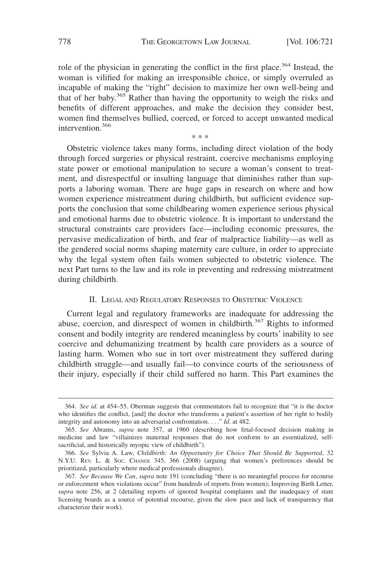role of the physician in generating the conflict in the first place.<sup>364</sup> Instead, the woman is vilified for making an irresponsible choice, or simply overruled as incapable of making the "right" decision to maximize her own well-being and that of her baby.365 Rather than having the opportunity to weigh the risks and benefits of different approaches, and make the decision they consider best, women find themselves bullied, coerced, or forced to accept unwanted medical intervention.<sup>366</sup>

\*\*\*

Obstetric violence takes many forms, including direct violation of the body through forced surgeries or physical restraint, coercive mechanisms employing state power or emotional manipulation to secure a woman's consent to treatment, and disrespectful or insulting language that diminishes rather than supports a laboring woman. There are huge gaps in research on where and how women experience mistreatment during childbirth, but sufficient evidence supports the conclusion that some childbearing women experience serious physical and emotional harms due to obstetric violence. It is important to understand the structural constraints care providers face—including economic pressures, the pervasive medicalization of birth, and fear of malpractice liability—as well as the gendered social norms shaping maternity care culture, in order to appreciate why the legal system often fails women subjected to obstetric violence. The next Part turns to the law and its role in preventing and redressing mistreatment during childbirth.

### II. LEGAL AND REGULATORY RESPONSES TO OBSTETRIC VIOLENCE

Current legal and regulatory frameworks are inadequate for addressing the abuse, coercion, and disrespect of women in childbirth.<sup>367</sup> Rights to informed consent and bodily integrity are rendered meaningless by courts' inability to see coercive and dehumanizing treatment by health care providers as a source of lasting harm. Women who sue in tort over mistreatment they suffered during childbirth struggle—and usually fail—to convince courts of the seriousness of their injury, especially if their child suffered no harm. This Part examines the

<sup>364.</sup> *See id.* at 454–55. Oberman suggests that commentators fail to recognize that "it is the doctor who identifies the conflict, [and] the doctor who transforms a patient's assertion of her right to bodily integrity and autonomy into an adversarial confrontation. . . ." *Id*. at 482.

<sup>365.</sup> *See* Abrams, *supra* note 357, at 1960 (describing how fetal-focused decision making in medicine and law "villainizes maternal responses that do not conform to an essentialized, selfsacrificial, and historically myopic view of childbirth").

<sup>366.</sup> *See* Sylvia A. Law, *Childbirth: An Opportunity for Choice That Should Be Supported*, 32 N.Y.U. REV. L. & SOC. CHANGE 345, 366 (2008) (arguing that women's preferences should be prioritized, particularly where medical professionals disagree).

<sup>367.</sup> *See Because We Can*, *supra* note 191 (concluding "there is no meaningful process for recourse or enforcement when violations occur" from hundreds of reports from women); Improving Birth Letter, *supra* note 256, at 2 (detailing reports of ignored hospital complaints and the inadequacy of state licensing boards as a source of potential recourse, given the slow pace and lack of transparency that characterize their work).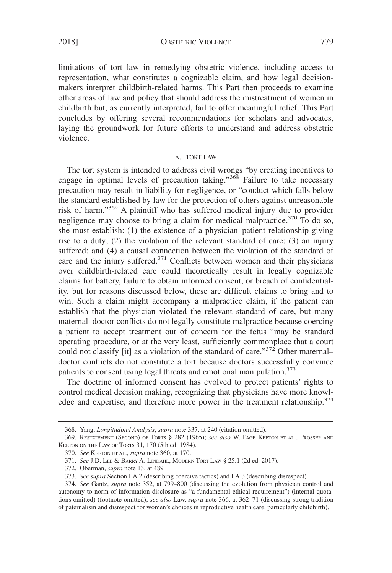limitations of tort law in remedying obstetric violence, including access to representation, what constitutes a cognizable claim, and how legal decisionmakers interpret childbirth-related harms. This Part then proceeds to examine other areas of law and policy that should address the mistreatment of women in childbirth but, as currently interpreted, fail to offer meaningful relief. This Part concludes by offering several recommendations for scholars and advocates, laying the groundwork for future efforts to understand and address obstetric violence.

### A. TORT LAW

The tort system is intended to address civil wrongs "by creating incentives to engage in optimal levels of precaution taking."368 Failure to take necessary precaution may result in liability for negligence, or "conduct which falls below the standard established by law for the protection of others against unreasonable risk of harm."369 A plaintiff who has suffered medical injury due to provider negligence may choose to bring a claim for medical malpractice. $370$  To do so, she must establish: (1) the existence of a physician–patient relationship giving rise to a duty; (2) the violation of the relevant standard of care; (3) an injury suffered; and (4) a causal connection between the violation of the standard of care and the injury suffered.<sup>371</sup> Conflicts between women and their physicians over childbirth-related care could theoretically result in legally cognizable claims for battery, failure to obtain informed consent, or breach of confidentiality, but for reasons discussed below, these are difficult claims to bring and to win. Such a claim might accompany a malpractice claim, if the patient can establish that the physician violated the relevant standard of care, but many maternal–doctor conflicts do not legally constitute malpractice because coercing a patient to accept treatment out of concern for the fetus "may be standard operating procedure, or at the very least, sufficiently commonplace that a court could not classify [it] as a violation of the standard of care."<sup>372</sup> Other maternal– doctor conflicts do not constitute a tort because doctors successfully convince patients to consent using legal threats and emotional manipulation.<sup>373</sup>

The doctrine of informed consent has evolved to protect patients' rights to control medical decision making, recognizing that physicians have more knowledge and expertise, and therefore more power in the treatment relationship.<sup>374</sup>

<sup>368.</sup> Yang, *Longitudinal Analysis*, *supra* note 337, at 240 (citation omitted).

<sup>369.</sup> RESTATEMENT (SECOND) OF TORTS § 282 (1965); *see also* W. PAGE KEETON ET AL., PROSSER AND KEETON ON THE LAW OF TORTS 31, 170 (5th ed. 1984).

<sup>370.</sup> *See* KEETON ET AL., *supra* note 360, at 170.

<sup>371.</sup> *See* J.D. LEE & BARRY A. LINDAHL, MODERN TORT LAW § 25:1 (2d ed. 2017).

<sup>372.</sup> Oberman, *supra* note 13, at 489*.* 

<sup>373.</sup> *See supra* Section I.A.2 (describing coercive tactics) and I.A.3 (describing disrespect).

<sup>374.</sup> *See* Gantz, *supra* note 352, at 799–800 (discussing the evolution from physician control and autonomy to norm of information disclosure as "a fundamental ethical requirement") (internal quotations omitted) (footnote omitted); *see also* Law, *supra* note 366, at 362–71 (discussing strong tradition of paternalism and disrespect for women's choices in reproductive health care, particularly childbirth).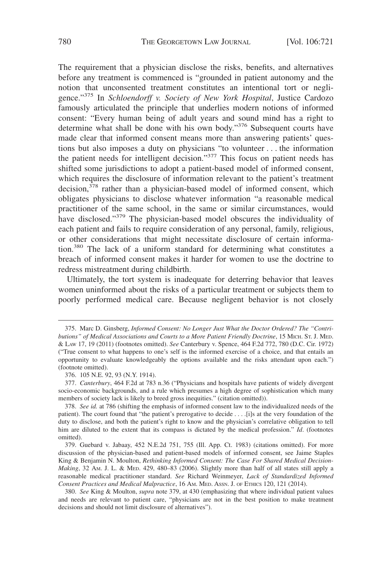The requirement that a physician disclose the risks, benefits, and alternatives before any treatment is commenced is "grounded in patient autonomy and the notion that unconsented treatment constitutes an intentional tort or negligence."375 In *Schloendorff v. Society of New York Hospital*, Justice Cardozo famously articulated the principle that underlies modern notions of informed consent: "Every human being of adult years and sound mind has a right to determine what shall be done with his own body."376 Subsequent courts have made clear that informed consent means more than answering patients' questions but also imposes a duty on physicians "to volunteer ... the information the patient needs for intelligent decision."377 This focus on patient needs has shifted some jurisdictions to adopt a patient-based model of informed consent, which requires the disclosure of information relevant to the patient's treatment decision,<sup>378</sup> rather than a physician-based model of informed consent, which obligates physicians to disclose whatever information "a reasonable medical practitioner of the same school, in the same or similar circumstances, would have disclosed."379 The physician-based model obscures the individuality of each patient and fails to require consideration of any personal, family, religious, or other considerations that might necessitate disclosure of certain information.380 The lack of a uniform standard for determining what constitutes a breach of informed consent makes it harder for women to use the doctrine to redress mistreatment during childbirth.

Ultimately, the tort system is inadequate for deterring behavior that leaves women uninformed about the risks of a particular treatment or subjects them to poorly performed medical care. Because negligent behavior is not closely

<sup>375.</sup> Marc D. Ginsberg, *Informed Consent: No Longer Just What the Doctor Ordered? The "Contributions" of Medical Associations and Courts to a More Patient Friendly Doctrine*, 15 MICH. ST. J. MED. & LAW 17, 19 (2011) (footnotes omitted). *See* Canterbury v. Spence, 464 F.2d 772, 780 (D.C. Cir. 1972) ("True consent to what happens to one's self is the informed exercise of a choice, and that entails an opportunity to evaluate knowledgeably the options available and the risks attendant upon each.") (footnote omitted).

<sup>376. 105</sup> N.E. 92, 93 (N.Y. 1914).

<sup>377.</sup> *Canterbury*, 464 F.2d at 783 n.36 ("Physicians and hospitals have patients of widely divergent socio-economic backgrounds, and a rule which presumes a high degree of sophistication which many members of society lack is likely to breed gross inequities." (citation omitted)).

<sup>378.</sup> *See id.* at 786 (shifting the emphasis of informed consent law to the individualized needs of the patient). The court found that "the patient's prerogative to decide... .[i]s at the very foundation of the duty to disclose, and both the patient's right to know and the physician's correlative obligation to tell him are diluted to the extent that its compass is dictated by the medical profession." *Id*. (footnotes omitted).

<sup>379.</sup> Guebard v. Jabaay, 452 N.E.2d 751, 755 (Ill. App. Ct. 1983) (citations omitted). For more discussion of the physician-based and patient-based models of informed consent, see Jaime Staples King & Benjamin N. Moulton, *Rethinking Informed Consent: The Case For Shared Medical Decision-Making*, 32 AM. J. L. & MED. 429, 480–83 (2006). Slightly more than half of all states still apply a reasonable medical practitioner standard. *See* Richard Weinmeyer, *Lack of Standardized Informed Consent Practices and Medical Malpractice*, 16 AM. MED. ASSN. J. OF ETHICS 120, 121 (2014).

<sup>380.</sup> *See* King & Moulton, *supra* note 379, at 430 (emphasizing that where individual patient values and needs are relevant to patient care, "physicians are not in the best position to make treatment decisions and should not limit disclosure of alternatives").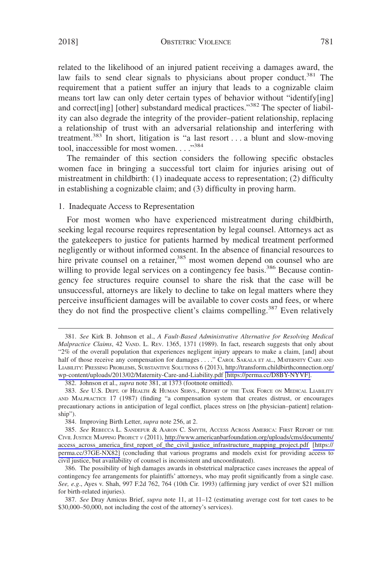related to the likelihood of an injured patient receiving a damages award, the law fails to send clear signals to physicians about proper conduct.<sup>381</sup> The requirement that a patient suffer an injury that leads to a cognizable claim means tort law can only deter certain types of behavior without "identify[ing] and correct [ing] [other] substandard medical practices."<sup>382</sup> The specter of liability can also degrade the integrity of the provider–patient relationship, replacing a relationship of trust with an adversarial relationship and interfering with treatment.<sup>383</sup> In short, litigation is "a last resort ... a blunt and slow-moving tool, inaccessible for most women...." $384$ 

The remainder of this section considers the following specific obstacles women face in bringing a successful tort claim for injuries arising out of mistreatment in childbirth: (1) inadequate access to representation; (2) difficulty in establishing a cognizable claim; and (3) difficulty in proving harm.

### 1. Inadequate Access to Representation

For most women who have experienced mistreatment during childbirth, seeking legal recourse requires representation by legal counsel. Attorneys act as the gatekeepers to justice for patients harmed by medical treatment performed negligently or without informed consent. In the absence of financial resources to hire private counsel on a retainer,<sup>385</sup> most women depend on counsel who are willing to provide legal services on a contingency fee basis.<sup>386</sup> Because contingency fee structures require counsel to share the risk that the case will be unsuccessful, attorneys are likely to decline to take on legal matters where they perceive insufficient damages will be available to cover costs and fees, or where they do not find the prospective client's claims compelling.<sup>387</sup> Even relatively

*See* Kirk B. Johnson et al., *A Fault-Based Administrative Alternative for Resolving Medical*  381. *Malpractice Claims*, 42 VAND. L. REV. 1365, 1371 (1989). In fact, research suggests that only about "2% of the overall population that experiences negligent injury appears to make a claim, [and] about half of those receive any compensation for damages . . . . " CAROL SAKALA ET AL., MATERNITY CARE AND LIABILITY: PRESSING PROBLEMS, SUBSTANTIVE SOLUTIONS 6 (2013), [http://transform.childbirthconnection.org/](http://transform.childbirthconnection.org/wp-content/uploads/2013/02/Maternity-Care-and-Liability.pdf)  [wp-content/uploads/2013/02/Maternity-Care-and-Liability.pdf](http://transform.childbirthconnection.org/wp-content/uploads/2013/02/Maternity-Care-and-Liability.pdf) [\[https://perma.cc/D8BY-NYVF\].](https://perma.cc/D8BY-NYVF)

<sup>382.</sup> Johnson et al., *supra* note 381, at 1373 (footnote omitted).

<sup>383.</sup> *See* U.S. DEPT. OF HEALTH & HUMAN SERVS., REPORT OF THE TASK FORCE ON MEDICAL LIABILITY AND MALPRACTICE 17 (1987) (finding "a compensation system that creates distrust, or encourages precautionary actions in anticipation of legal conflict, places stress on [the physician–patient] relationship").

<sup>384.</sup> Improving Birth Letter, *supra* note 256, at 2.

*See* REBECCA L. SANDEFUR & AARON C. SMYTH, ACCESS ACROSS AMERICA: FIRST REPORT OF THE 385. CIVIL JUSTICE MAPPING PROJECT *v* (2011), [http://www.americanbarfoundation.org/uploads/cms/documents/](http://www.americanbarfoundation.org/uploads/cms/documents/access_across_america_first_report_of_the_civil_justice_infrastructure_mapping_project.pdf) [access\\_across\\_america\\_first\\_report\\_of\\_the\\_civil\\_justice\\_infrastructure\\_mapping\\_project.pdf](http://www.americanbarfoundation.org/uploads/cms/documents/access_across_america_first_report_of_the_civil_justice_infrastructure_mapping_project.pdf) [https:// [perma.cc/37GE-NX82\]](https://perma.cc/37GE-NX82) (concluding that various programs and models exist for providing access to civil justice, but availability of counsel is inconsistent and uncoordinated).

<sup>386.</sup> The possibility of high damages awards in obstetrical malpractice cases increases the appeal of contingency fee arrangements for plaintiffs' attorneys, who may profit significantly from a single case. *See, e.g*., Ayes v. Shah, 997 F.2d 762, 764 (10th Cir. 1993) (affirming jury verdict of over \$21 million for birth-related injuries).

<sup>387.</sup> *See* Dray Amicus Brief, *supra* note 11, at 11–12 (estimating average cost for tort cases to be \$30,000–50,000, not including the cost of the attorney's services).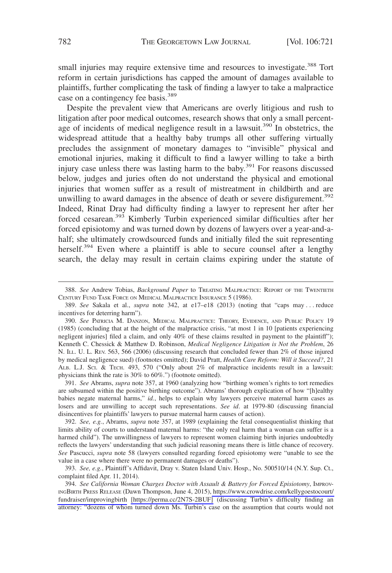small injuries may require extensive time and resources to investigate.<sup>388</sup> Tort reform in certain jurisdictions has capped the amount of damages available to plaintiffs, further complicating the task of finding a lawyer to take a malpractice case on a contingency fee basis.<sup>389</sup>

Despite the prevalent view that Americans are overly litigious and rush to litigation after poor medical outcomes, research shows that only a small percentage of incidents of medical negligence result in a lawsuit.<sup>390</sup> In obstetrics, the widespread attitude that a healthy baby trumps all other suffering virtually precludes the assignment of monetary damages to "invisible" physical and emotional injuries, making it difficult to find a lawyer willing to take a birth injury case unless there was lasting harm to the baby.<sup>391</sup> For reasons discussed below, judges and juries often do not understand the physical and emotional injuries that women suffer as a result of mistreatment in childbirth and are unwilling to award damages in the absence of death or severe disfigurement.<sup>392</sup> Indeed, Rinat Dray had difficulty finding a lawyer to represent her after her forced cesarean.393 Kimberly Turbin experienced similar difficulties after her forced episiotomy and was turned down by dozens of lawyers over a year-and-ahalf; she ultimately crowdsourced funds and initially filed the suit representing herself.<sup>394</sup> Even where a plaintiff is able to secure counsel after a lengthy search, the delay may result in certain claims expiring under the statute of

391. *See* Abrams, *supra* note 357, at 1960 (analyzing how "birthing women's rights to tort remedies are subsumed within the positive birthing outcome"). Abrams' thorough explication of how "[h]ealthy babies negate maternal harms," *id.*, helps to explain why lawyers perceive maternal harm cases as losers and are unwilling to accept such representations. *See id*. at 1979-80 (discussing financial disincentives for plaintiffs' lawyers to pursue maternal harm causes of action).

392. *See, e.g.*, Abrams, *supra* note 357, at 1989 (explaining the fetal consequentialist thinking that limits ability of courts to understand maternal harms: "the only real harm that a woman can suffer is a harmed child"). The unwillingness of lawyers to represent women claiming birth injuries undoubtedly reflects the lawyers' understanding that such judicial reasoning means there is little chance of recovery. *See* Pascucci, *supra* note 58 (lawyers consulted regarding forced episiotomy were "unable to see the value in a case where there were no permanent damages or deaths").

393. *See, e.g.*, Plaintiff's Affidavit, Dray v. Staten Island Univ. Hosp., No. 500510/14 (N.Y. Sup. Ct., complaint filed Apr. 11, 2014).

 394. *See California Woman Charges Doctor with Assault & Battery for Forced Episiotomy*, IMPROV-INGBIRTH PRESS RELEASE (Dawn Thompson, June 4, 2015), [https://www.crowdrise.com/kellygoestocourt/](https://www.crowdrise.com/kellygoestocourt/fundraiser/improvingbirth)  [fundraiser/improvingbirth](https://www.crowdrise.com/kellygoestocourt/fundraiser/improvingbirth) [\[https://perma.cc/2N7S-2BUF\]](https://perma.cc/2N7S-2BUF) (discussing Turbin's difficulty finding an attorney: "dozens of whom turned down Ms. Turbin's case on the assumption that courts would not

<sup>388.</sup> *See* Andrew Tobias, *Background Paper* to TREATING MALPRACTICE: REPORT OF THE TWENTIETH CENTURY FUND TASK FORCE ON MEDICAL MALPRACTICE INSURANCE 5 (1986).

<sup>389.</sup> *See* Sakala et al., *supra* note 342, at e17–e18 (2013) (noting that "caps may... reduce incentives for deterring harm").

<sup>390.</sup> *See* PATRICIA M. DANZON, MEDICAL MALPRACTICE: THEORY, EVIDENCE, AND PUBLIC POLICY 19 (1985) (concluding that at the height of the malpractice crisis, "at most 1 in 10 [patients experiencing negligent injuries] filed a claim, and only 40% of these claims resulted in payment to the plaintiff"); Kenneth C. Chessick & Matthew D. Robinson, *Medical Negligence Litigation is Not the Problem*, 26 N. ILL. U. L. REV. 563, 566 (2006) (discussing research that concluded fewer than 2% of those injured by medical negligence sued) (footnotes omitted); David Pratt, *Health Care Reform: Will it Succeed?*, 21 ALB. L.J. SCI. & TECH. 493, 570 ("Only about 2% of malpractice incidents result in a lawsuit: physicians think the rate is 30% to 60%.") (footnote omitted).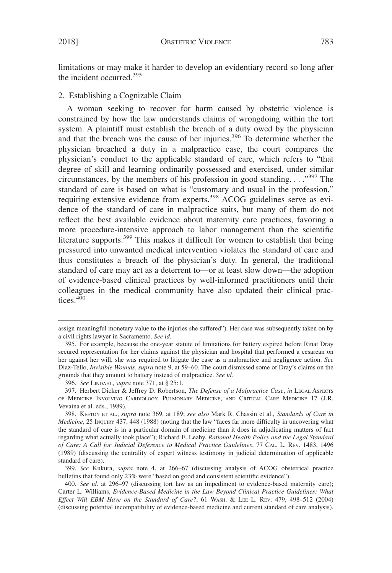limitations or may make it harder to develop an evidentiary record so long after the incident occurred.<sup>395</sup>

# 2. Establishing a Cognizable Claim

A woman seeking to recover for harm caused by obstetric violence is constrained by how the law understands claims of wrongdoing within the tort system. A plaintiff must establish the breach of a duty owed by the physician and that the breach was the cause of her injuries.<sup>396</sup> To determine whether the physician breached a duty in a malpractice case, the court compares the physician's conduct to the applicable standard of care, which refers to "that degree of skill and learning ordinarily possessed and exercised, under similar circumstances, by the members of his profession in good standing...."397 The standard of care is based on what is "customary and usual in the profession," requiring extensive evidence from experts.<sup>398</sup> ACOG guidelines serve as evidence of the standard of care in malpractice suits, but many of them do not reflect the best available evidence about maternity care practices, favoring a more procedure-intensive approach to labor management than the scientific literature supports.399 This makes it difficult for women to establish that being pressured into unwanted medical intervention violates the standard of care and thus constitutes a breach of the physician's duty. In general, the traditional standard of care may act as a deterrent to—or at least slow down—the adoption of evidence-based clinical practices by well-informed practitioners until their colleagues in the medical community have also updated their clinical practices $400$ 

396. *See* LINDAHL, *supra* note 371, at § 25:1.

399. *See* Kukura, *supra* note 4, at 266–67 (discussing analysis of ACOG obstetrical practice bulletins that found only 23% were "based on good and consistent scientific evidence").

assign meaningful monetary value to the injuries she suffered"). Her case was subsequently taken on by a civil rights lawyer in Sacramento. *See id.* 

<sup>395.</sup> For example, because the one-year statute of limitations for battery expired before Rinat Dray secured representation for her claims against the physician and hospital that performed a cesarean on her against her will, she was required to litigate the case as a malpractice and negligence action. *See*  Diaz-Tello, *Invisible Wounds*, *supra* note 9, at 59–60. The court dismissed some of Dray's claims on the grounds that they amount to battery instead of malpractice. *See id.* 

<sup>397.</sup> Herbert Dicker & Jeffrey D. Robertson, *The Defense of a Malpractice Case*, *in* LEGAL ASPECTS OF MEDICINE INVOLVING CARDIOLOGY, PULMONARY MEDICINE, AND CRITICAL CARE MEDICINE 17 (J.R. Vevaina et al. eds., 1989).

<sup>398.</sup> KEETON ET AL., *supra* note 369, at 189; *see also* Mark R. Chassin et al., *Standards of Care in Medicine*, 25 INQUIRY 437, 448 (1988) (noting that the law "faces far more difficulty in uncovering what the standard of care is in a particular domain of medicine than it does in adjudicating matters of fact regarding what actually took place"); Richard E. Leahy, *Rational Health Policy and the Legal Standard of Care: A Call for Judicial Deference to Medical Practice Guidelines*, 77 CAL. L. REV. 1483, 1496 (1989) (discussing the centrality of expert witness testimony in judicial determination of applicable standard of care).

<sup>400.</sup> *See id.* at 296–97 (discussing tort law as an impediment to evidence-based maternity care); Carter L. Williams, *Evidence-Based Medicine in the Law Beyond Clinical Practice Guidelines: What Effect Will EBM Have on the Standard of Care?*, 61 WASH.&LEE L. REV. 479, 498–512 (2004) (discussing potential incompatibility of evidence-based medicine and current standard of care analysis).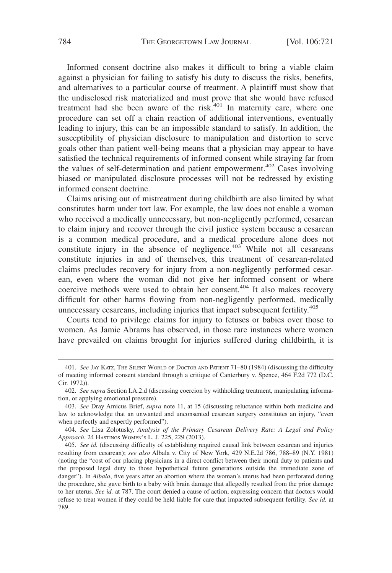Informed consent doctrine also makes it difficult to bring a viable claim against a physician for failing to satisfy his duty to discuss the risks, benefits, and alternatives to a particular course of treatment. A plaintiff must show that the undisclosed risk materialized and must prove that she would have refused treatment had she been aware of the risk. $401$  In maternity care, where one procedure can set off a chain reaction of additional interventions, eventually leading to injury, this can be an impossible standard to satisfy. In addition, the susceptibility of physician disclosure to manipulation and distortion to serve goals other than patient well-being means that a physician may appear to have satisfied the technical requirements of informed consent while straying far from the values of self-determination and patient empowerment.<sup>402</sup> Cases involving biased or manipulated disclosure processes will not be redressed by existing informed consent doctrine.

Claims arising out of mistreatment during childbirth are also limited by what constitutes harm under tort law. For example, the law does not enable a woman who received a medically unnecessary, but non-negligently performed, cesarean to claim injury and recover through the civil justice system because a cesarean is a common medical procedure, and a medical procedure alone does not constitute injury in the absence of negligence. $403$  While not all cesareans constitute injuries in and of themselves, this treatment of cesarean-related claims precludes recovery for injury from a non-negligently performed cesarean, even where the woman did not give her informed consent or where coercive methods were used to obtain her consent.<sup>404</sup> It also makes recovery difficult for other harms flowing from non-negligently performed, medically unnecessary cesareans, including injuries that impact subsequent fertility.<sup>405</sup>

Courts tend to privilege claims for injury to fetuses or babies over those to women. As Jamie Abrams has observed, in those rare instances where women have prevailed on claims brought for injuries suffered during childbirth, it is

<sup>401.</sup> *See* JAY KATZ, THE SILENT WORLD OF DOCTOR AND PATIENT 71–80 (1984) (discussing the difficulty of meeting informed consent standard through a critique of Canterbury v. Spence, 464 F.2d 772 (D.C. Cir. 1972)).

<sup>402.</sup> *See supra* Section I.A.2.d (discussing coercion by withholding treatment, manipulating information, or applying emotional pressure).

<sup>403.</sup> *See* Dray Amicus Brief, *supra* note 11, at 15 (discussing reluctance within both medicine and law to acknowledge that an unwanted and unconsented cesarean surgery constitutes an injury, "even when perfectly and expertly performed").

<sup>404.</sup> *See* Lisa Zolotusky, *Analysis of the Primary Cesarean Delivery Rate: A Legal and Policy Approach*, 24 HASTINGS WOMEN'S L. J. 225, 229 (2013).

<sup>405.</sup> *See id.* (discussing difficulty of establishing required causal link between cesarean and injuries resulting from cesarean); *see also* Albala v. City of New York, 429 N.E.2d 786, 788–89 (N.Y. 1981) (noting the "cost of our placing physicians in a direct conflict between their moral duty to patients and the proposed legal duty to those hypothetical future generations outside the immediate zone of danger"). In *Albala*, five years after an abortion where the woman's uterus had been perforated during the procedure, she gave birth to a baby with brain damage that allegedly resulted from the prior damage to her uterus. *See id.* at 787. The court denied a cause of action, expressing concern that doctors would refuse to treat women if they could be held liable for care that impacted subsequent fertility. *See id.* at 789.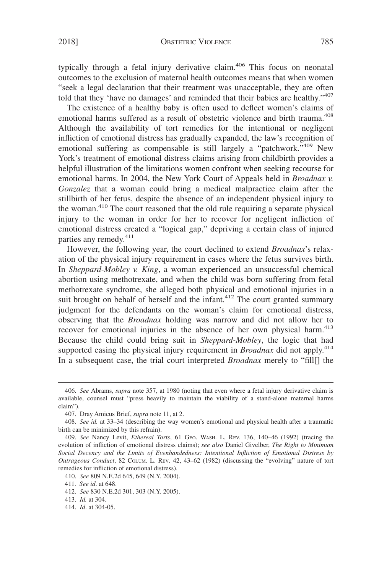typically through a fetal injury derivative claim.406 This focus on neonatal outcomes to the exclusion of maternal health outcomes means that when women "seek a legal declaration that their treatment was unacceptable, they are often told that they 'have no damages' and reminded that their babies are healthy."<sup>407</sup>

The existence of a healthy baby is often used to deflect women's claims of emotional harms suffered as a result of obstetric violence and birth trauma.<sup>408</sup> Although the availability of tort remedies for the intentional or negligent infliction of emotional distress has gradually expanded, the law's recognition of emotional suffering as compensable is still largely a "patchwork."<sup>409</sup> New York's treatment of emotional distress claims arising from childbirth provides a helpful illustration of the limitations women confront when seeking recourse for emotional harms. In 2004, the New York Court of Appeals held in *Broadnax v. Gonzalez* that a woman could bring a medical malpractice claim after the stillbirth of her fetus, despite the absence of an independent physical injury to the woman.<sup>410</sup> The court reasoned that the old rule requiring a separate physical injury to the woman in order for her to recover for negligent infliction of emotional distress created a "logical gap," depriving a certain class of injured parties any remedy.<sup>411</sup>

However, the following year, the court declined to extend *Broadnax*'s relaxation of the physical injury requirement in cases where the fetus survives birth. In *Sheppard-Mobley v. King*, a woman experienced an unsuccessful chemical abortion using methotrexate, and when the child was born suffering from fetal methotrexate syndrome, she alleged both physical and emotional injuries in a suit brought on behalf of herself and the infant. $412$  The court granted summary judgment for the defendants on the woman's claim for emotional distress, observing that the *Broadnax* holding was narrow and did not allow her to recover for emotional injuries in the absence of her own physical harm.<sup>413</sup> Because the child could bring suit in *Sheppard-Mobley*, the logic that had supported easing the physical injury requirement in *Broadnax* did not apply.<sup>414</sup> In a subsequent case, the trial court interpreted *Broadnax* merely to "fill[] the

<sup>406.</sup> *See* Abrams, *supra* note 357, at 1980 (noting that even where a fetal injury derivative claim is available, counsel must "press heavily to maintain the viability of a stand-alone maternal harms claim").

<sup>407.</sup> Dray Amicus Brief, *supra* note 11, at 2.

<sup>408.</sup> *See id.* at 33–34 (describing the way women's emotional and physical health after a traumatic birth can be minimized by this refrain).

<sup>409.</sup> *See* Nancy Levit, *Ethereal Torts*, 61 GEO. WASH. L. REV. 136, 140–46 (1992) (tracing the evolution of infliction of emotional distress claims); *see also* Daniel Givelber, *The Right to Minimum Social Decency and the Limits of Evenhandedness: Intentional Infliction of Emotional Distress by Outrageous Conduct*, 82 COLUM. L. REV. 42, 43–62 (1982) (discussing the "evolving" nature of tort remedies for infliction of emotional distress).

<sup>410.</sup> *See* 809 N.E.2d 645, 649 (N.Y. 2004).

<sup>411.</sup> *See id*. at 648.

<sup>412.</sup> *See* 830 N.E.2d 301, 303 (N.Y. 2005).

<sup>413.</sup> *Id.* at 304.

<sup>414.</sup> *Id*. at 304-05.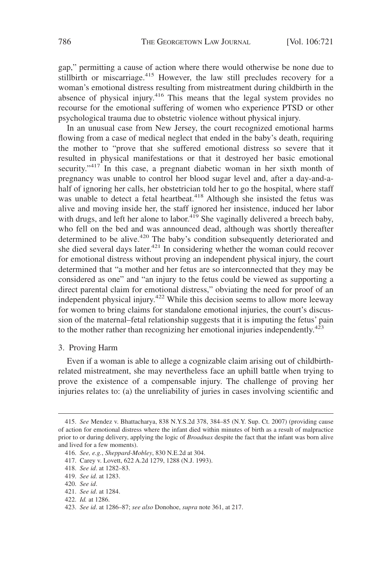gap," permitting a cause of action where there would otherwise be none due to stillbirth or miscarriage.<sup>415</sup> However, the law still precludes recovery for a woman's emotional distress resulting from mistreatment during childbirth in the absence of physical injury.<sup>416</sup> This means that the legal system provides no recourse for the emotional suffering of women who experience PTSD or other psychological trauma due to obstetric violence without physical injury.

In an unusual case from New Jersey, the court recognized emotional harms flowing from a case of medical neglect that ended in the baby's death, requiring the mother to "prove that she suffered emotional distress so severe that it resulted in physical manifestations or that it destroyed her basic emotional security."<sup>417</sup> In this case, a pregnant diabetic woman in her sixth month of pregnancy was unable to control her blood sugar level and, after a day-and-ahalf of ignoring her calls, her obstetrician told her to go the hospital, where staff was unable to detect a fetal heartbeat.<sup>418</sup> Although she insisted the fetus was alive and moving inside her, the staff ignored her insistence, induced her labor with drugs, and left her alone to labor.<sup>419</sup> She vaginally delivered a breech baby, who fell on the bed and was announced dead, although was shortly thereafter determined to be alive.<sup>420</sup> The baby's condition subsequently deteriorated and she died several days later.<sup>421</sup> In considering whether the woman could recover for emotional distress without proving an independent physical injury, the court determined that "a mother and her fetus are so interconnected that they may be considered as one" and "an injury to the fetus could be viewed as supporting a direct parental claim for emotional distress," obviating the need for proof of an independent physical injury.<sup>422</sup> While this decision seems to allow more leeway for women to bring claims for standalone emotional injuries, the court's discussion of the maternal–fetal relationship suggests that it is imputing the fetus' pain to the mother rather than recognizing her emotional injuries independently.<sup>423</sup>

### 3. Proving Harm

Even if a woman is able to allege a cognizable claim arising out of childbirthrelated mistreatment, she may nevertheless face an uphill battle when trying to prove the existence of a compensable injury. The challenge of proving her injuries relates to: (a) the unreliability of juries in cases involving scientific and

<sup>415.</sup> *See* Mendez v. Bhattacharya, 838 N.Y.S.2d 378, 384–85 (N.Y. Sup. Ct. 2007) (providing cause of action for emotional distress where the infant died within minutes of birth as a result of malpractice prior to or during delivery, applying the logic of *Broadnax* despite the fact that the infant was born alive and lived for a few moments).

<sup>416.</sup> *See, e.g.*, *Sheppard-Mobley*, 830 N.E.2d at 304.

<sup>417.</sup> Carey v. Lovett, 622 A.2d 1279, 1288 (N.J. 1993).

<sup>418.</sup> *See id*. at 1282–83.

<sup>419.</sup> *See id.* at 1283.

<sup>420.</sup> *See id*.

<sup>421.</sup> *See id*. at 1284.

<sup>422.</sup> *Id.* at 1286.

<sup>423.</sup> *See id*. at 1286–87; *see also* Donohoe, *supra* note 361, at 217.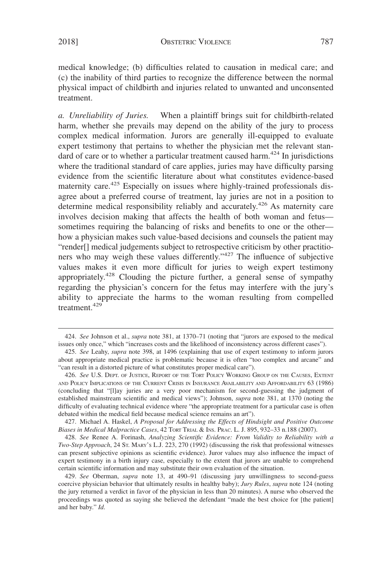medical knowledge; (b) difficulties related to causation in medical care; and (c) the inability of third parties to recognize the difference between the normal physical impact of childbirth and injuries related to unwanted and unconsented treatment.

*a. Unreliability of Juries.* When a plaintiff brings suit for childbirth-related harm, whether she prevails may depend on the ability of the jury to process complex medical information. Jurors are generally ill-equipped to evaluate expert testimony that pertains to whether the physician met the relevant standard of care or to whether a particular treatment caused harm.<sup>424</sup> In jurisdictions where the traditional standard of care applies, juries may have difficulty parsing evidence from the scientific literature about what constitutes evidence-based maternity care.<sup>425</sup> Especially on issues where highly-trained professionals disagree about a preferred course of treatment, lay juries are not in a position to determine medical responsibility reliably and accurately.<sup>426</sup> As maternity care involves decision making that affects the health of both woman and fetus sometimes requiring the balancing of risks and benefits to one or the other how a physician makes such value-based decisions and counsels the patient may "render[] medical judgements subject to retrospective criticism by other practitioners who may weigh these values differently."427 The influence of subjective values makes it even more difficult for juries to weigh expert testimony appropriately.428 Clouding the picture further, a general sense of sympathy regarding the physician's concern for the fetus may interfere with the jury's ability to appreciate the harms to the woman resulting from compelled treatment.<sup>429</sup>

<sup>424.</sup> *See* Johnson et al., *supra* note 381, at 1370–71 (noting that "jurors are exposed to the medical issues only once," which "increases costs and the likelihood of inconsistency across different cases").

<sup>425.</sup> *See* Leahy, *supra* note 398, at 1496 (explaining that use of expert testimony to inform jurors about appropriate medical practice is problematic because it is often "too complex and arcane" and "can result in a distorted picture of what constitutes proper medical care").

<sup>426.</sup> *See* U.S. DEPT. OF JUSTICE, REPORT OF THE TORT POLICY WORKING GROUP ON THE CAUSES, EXTENT AND POLICY IMPLICATIONS OF THE CURRENT CRISIS IN INSURANCE AVAILABILITY AND AFFORDABILITY 63 (1986) (concluding that "[l]ay juries are a very poor mechanism for second-guessing the judgment of established mainstream scientific and medical views"); Johnson, *supra* note 381, at 1370 (noting the difficulty of evaluating technical evidence where "the appropriate treatment for a particular case is often debated within the medical field because medical science remains an art").

<sup>427.</sup> Michael A. Haskel, *A Proposal for Addressing the Effects of Hindsight and Positive Outcome Biases in Medical Malpractice Cases*, 42 TORT TRIAL & INS. PRAC. L. J. 895, 932–33 n.188 (2007).

<sup>428.</sup> *See* Renee A. Forinash, *Analyzing Scientific Evidence: From Validity to Reliability with a Two-Step Approach*, 24 ST. MARY'S L.J. 223, 270 (1992) (discussing the risk that professional witnesses can present subjective opinions as scientific evidence). Juror values may also influence the impact of expert testimony in a birth injury case, especially to the extent that jurors are unable to comprehend certain scientific information and may substitute their own evaluation of the situation.

<sup>429.</sup> *See* Oberman, *supra* note 13, at 490–91 (discussing jury unwillingness to second-guess coercive physician behavior that ultimately results in healthy baby); *Jury Rules*, *supra* note 124 (noting the jury returned a verdict in favor of the physician in less than 20 minutes). A nurse who observed the proceedings was quoted as saying she believed the defendant "made the best choice for [the patient] and her baby." *Id*.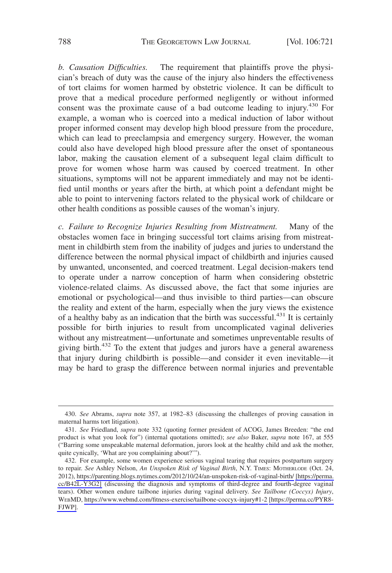*b. Causation Difficulties.* The requirement that plaintiffs prove the physician's breach of duty was the cause of the injury also hinders the effectiveness of tort claims for women harmed by obstetric violence. It can be difficult to prove that a medical procedure performed negligently or without informed consent was the proximate cause of a bad outcome leading to injury.430 For example, a woman who is coerced into a medical induction of labor without proper informed consent may develop high blood pressure from the procedure, which can lead to preeclampsia and emergency surgery. However, the woman could also have developed high blood pressure after the onset of spontaneous labor, making the causation element of a subsequent legal claim difficult to prove for women whose harm was caused by coerced treatment. In other situations, symptoms will not be apparent immediately and may not be identified until months or years after the birth, at which point a defendant might be able to point to intervening factors related to the physical work of childcare or other health conditions as possible causes of the woman's injury.

*c. Failure to Recognize Injuries Resulting from Mistreatment.* Many of the obstacles women face in bringing successful tort claims arising from mistreatment in childbirth stem from the inability of judges and juries to understand the difference between the normal physical impact of childbirth and injuries caused by unwanted, unconsented, and coerced treatment. Legal decision-makers tend to operate under a narrow conception of harm when considering obstetric violence-related claims. As discussed above, the fact that some injuries are emotional or psychological—and thus invisible to third parties—can obscure the reality and extent of the harm, especially when the jury views the existence of a healthy baby as an indication that the birth was successful.<sup>431</sup> It is certainly possible for birth injuries to result from uncomplicated vaginal deliveries without any mistreatment—unfortunate and sometimes unpreventable results of giving birth.<sup>432</sup> To the extent that judges and jurors have a general awareness that injury during childbirth is possible—and consider it even inevitable—it may be hard to grasp the difference between normal injuries and preventable

<sup>430.</sup> *See* Abrams, *supra* note 357, at 1982–83 (discussing the challenges of proving causation in maternal harms tort litigation).

<sup>431.</sup> *See* Friedland, *supra* note 332 (quoting former president of ACOG, James Breeden: "the end product is what you look for") (internal quotations omitted); *see also* Baker, *supra* note 167, at 555 ("Barring some unspeakable maternal deformation, jurors look at the healthy child and ask the mother, quite cynically, 'What are you complaining about?'").

<sup>432.</sup> For example, some women experience serious vaginal tearing that requires postpartum surgery to repair. *See* Ashley Nelson, *An Unspoken Risk of Vaginal Birth*, N.Y. TIMES: MOTHERLODE (Oct. 24, 2012),<https://parenting.blogs.nytimes.com/2012/10/24/an-unspoken-risk-of-vaginal-birth/> [\[https://perma.](https://perma.cc/B42L-Y3G2)  [cc/B42L-Y3G2\]](https://perma.cc/B42L-Y3G2) (discussing the diagnosis and symptoms of third-degree and fourth-degree vaginal tears). Other women endure tailbone injuries during vaginal delivery. *See Tailbone (Coccyx) Injury*, WEBMD,<https://www.webmd.com/fitness-exercise/tailbone-coccyx-injury#1-2>[\[https://perma.cc/PYR8](https://perma.cc/PYR8-FJWP) [FJWP\].](https://perma.cc/PYR8-FJWP)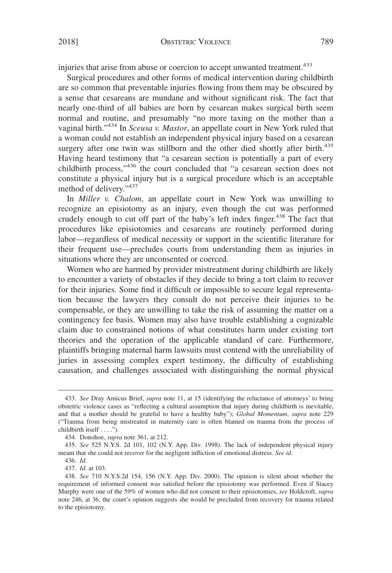injuries that arise from abuse or coercion to accept unwanted treatment.<sup>433</sup>

Surgical procedures and other forms of medical intervention during childbirth are so common that preventable injuries flowing from them may be obscured by a sense that cesareans are mundane and without significant risk. The fact that nearly one-third of all babies are born by cesarean makes surgical birth seem normal and routine, and presumably "no more taxing on the mother than a vaginal birth."434 In *Sceusa v. Mastor*, an appellate court in New York ruled that a woman could not establish an independent physical injury based on a cesarean surgery after one twin was stillborn and the other died shortly after birth.<sup>435</sup> Having heard testimony that "a cesarean section is potentially a part of every childbirth process,"436 the court concluded that "a cesarean section does not constitute a physical injury but is a surgical procedure which is an acceptable method of delivery."437

In *Miller v. Chalom*, an appellate court in New York was unwilling to recognize an episiotomy as an injury, even though the cut was performed crudely enough to cut off part of the baby's left index finger.<sup>438</sup> The fact that procedures like episiotomies and cesareans are routinely performed during labor—regardless of medical necessity or support in the scientific literature for their frequent use—precludes courts from understanding them as injuries in situations where they are unconsented or coerced.

Women who are harmed by provider mistreatment during childbirth are likely to encounter a variety of obstacles if they decide to bring a tort claim to recover for their injuries. Some find it difficult or impossible to secure legal representation because the lawyers they consult do not perceive their injuries to be compensable, or they are unwilling to take the risk of assuming the matter on a contingency fee basis. Women may also have trouble establishing a cognizable claim due to constrained notions of what constitutes harm under existing tort theories and the operation of the applicable standard of care. Furthermore, plaintiffs bringing maternal harm lawsuits must contend with the unreliability of juries in assessing complex expert testimony, the difficulty of establishing causation, and challenges associated with distinguishing the normal physical

436. *Id.* 

437. *Id*. at 103.

<sup>433.</sup> *See* Dray Amicus Brief, *supra* note 11, at 15 (identifying the reluctance of attorneys' to bring obstetric violence cases as "reflecting a cultural assumption that injury during childbirth is inevitable, and that a mother should be grateful to have a healthy baby"); *Global Momentum*, *supra* note 229 ("Trauma from being mistreated in maternity care is often blamed on trauma from the process of childbirth itself... .").

<sup>434.</sup> Donohoe, *supra* note 361, at 212.

<sup>435.</sup> *See* 525 N.Y.S. 2d 101, 102 (N.Y. App. Div. 1998). The lack of independent physical injury meant that she could not recover for the negligent infliction of emotional distress. *See id*.

<sup>438.</sup> *See* 710 N.Y.S.2d 154, 156 (N.Y. App. Div. 2000). The opinion is silent about whether the requirement of informed consent was satisfied before the episiotomy was performed. Even if Stacey Murphy were one of the 59% of women who did not consent to their episiotomies, *see* Holdcroft, *supra*  note 246, at 36, the court's opinion suggests she would be precluded from recovery for trauma related to the episiotomy.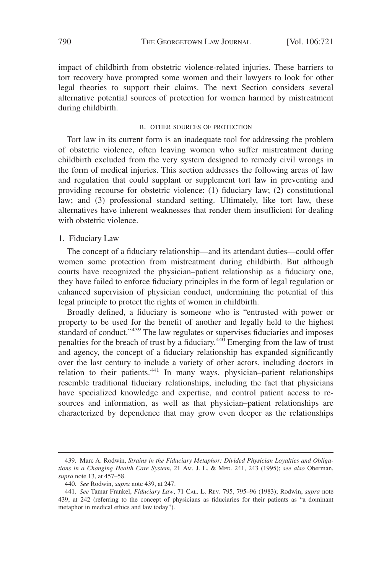impact of childbirth from obstetric violence-related injuries. These barriers to tort recovery have prompted some women and their lawyers to look for other legal theories to support their claims. The next Section considers several alternative potential sources of protection for women harmed by mistreatment during childbirth.

#### B. OTHER SOURCES OF PROTECTION

Tort law in its current form is an inadequate tool for addressing the problem of obstetric violence, often leaving women who suffer mistreatment during childbirth excluded from the very system designed to remedy civil wrongs in the form of medical injuries. This section addresses the following areas of law and regulation that could supplant or supplement tort law in preventing and providing recourse for obstetric violence: (1) fiduciary law; (2) constitutional law; and (3) professional standard setting. Ultimately, like tort law, these alternatives have inherent weaknesses that render them insufficient for dealing with obstetric violence.

### 1. Fiduciary Law

The concept of a fiduciary relationship—and its attendant duties—could offer women some protection from mistreatment during childbirth. But although courts have recognized the physician–patient relationship as a fiduciary one, they have failed to enforce fiduciary principles in the form of legal regulation or enhanced supervision of physician conduct, undermining the potential of this legal principle to protect the rights of women in childbirth.

Broadly defined, a fiduciary is someone who is "entrusted with power or property to be used for the benefit of another and legally held to the highest standard of conduct."439 The law regulates or supervises fiduciaries and imposes penalties for the breach of trust by a fiduciary.<sup>440</sup> Emerging from the law of trust and agency, the concept of a fiduciary relationship has expanded significantly over the last century to include a variety of other actors, including doctors in relation to their patients.<sup>441</sup> In many ways, physician–patient relationships resemble traditional fiduciary relationships, including the fact that physicians have specialized knowledge and expertise, and control patient access to resources and information, as well as that physician–patient relationships are characterized by dependence that may grow even deeper as the relationships

<sup>439.</sup> Marc A. Rodwin, *Strains in the Fiduciary Metaphor: Divided Physician Loyalties and Obligations in a Changing Health Care System*, 21 AM. J. L. & MED. 241, 243 (1995); *see also* Oberman, *supra* note 13, at 457–58.

<sup>440.</sup> *See* Rodwin, *supra* note 439, at 247.

<sup>441.</sup> *See* Tamar Frankel, *Fiduciary Law*, 71 CAL. L. REV. 795, 795–96 (1983); Rodwin, *supra* note 439, at 242 (referring to the concept of physicians as fiduciaries for their patients as "a dominant metaphor in medical ethics and law today").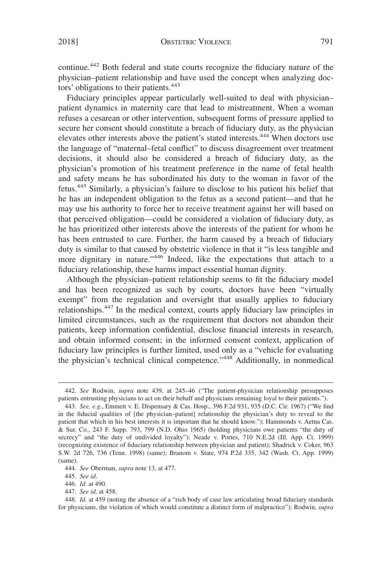continue.442 Both federal and state courts recognize the fiduciary nature of the physician–patient relationship and have used the concept when analyzing doctors' obligations to their patients.<sup>443</sup>

Fiduciary principles appear particularly well-suited to deal with physician– patient dynamics in maternity care that lead to mistreatment. When a woman refuses a cesarean or other intervention, subsequent forms of pressure applied to secure her consent should constitute a breach of fiduciary duty, as the physician elevates other interests above the patient's stated interests.444 When doctors use the language of "maternal–fetal conflict" to discuss disagreement over treatment decisions, it should also be considered a breach of fiduciary duty, as the physician's promotion of his treatment preference in the name of fetal health and safety means he has subordinated his duty to the woman in favor of the fetus.445 Similarly, a physician's failure to disclose to his patient his belief that he has an independent obligation to the fetus as a second patient—and that he may use his authority to force her to receive treatment against her will based on that perceived obligation—could be considered a violation of fiduciary duty, as he has prioritized other interests above the interests of the patient for whom he has been entrusted to care. Further, the harm caused by a breach of fiduciary duty is similar to that caused by obstetric violence in that it "is less tangible and more dignitary in nature."446 Indeed, like the expectations that attach to a fiduciary relationship, these harms impact essential human dignity.

Although the physician–patient relationship seems to fit the fiduciary model and has been recognized as such by courts, doctors have been "virtually exempt" from the regulation and oversight that usually applies to fiduciary relationships.447 In the medical context, courts apply fiduciary law principles in limited circumstances, such as the requirement that doctors not abandon their patients, keep information confidential, disclose financial interests in research, and obtain informed consent; in the informed consent context, application of fiduciary law principles is further limited, used only as a "vehicle for evaluating the physician's technical clinical competence."448 Additionally, in nonmedical

<sup>442.</sup> *See* Rodwin, *supra* note 439, at 245–46 ("The patient-physician relationship presupposes patients entrusting physicians to act on their behalf and physicians remaining loyal to their patients.").

<sup>443.</sup> *See, e.g.*, Emmett v. E. Dispensary & Cas. Hosp., 396 F.2d 931, 935 (D.C. Cir. 1967) ("We find in the fiducial qualities of [the physician–patient] relationship the physician's duty to reveal to the patient that which in his best interests it is important that he should know."); Hammonds v. Aetna Cas. & Sur. Co., 243 F. Supp. 793, 799 (N.D. Ohio 1965) (holding physicians owe patients "the duty of secrecy" and "the duty of undivided loyalty"); Neade v. Portes, 710 N.E.2d (Ill. App. Ct. 1999) (recognizing existence of fiduciary relationship between physician and patient); Shadrick v. Coker, 963 S.W. 2d 726, 736 (Tenn. 1998) (same); Branom v. State, 974 P.2d 335, 342 (Wash. Ct. App. 1999) (same).

<sup>444.</sup> *See* Oberman, *supra* note 13, at 477.

<sup>445.</sup> *See id*.

<sup>446.</sup> *Id*. at 490.

<sup>447.</sup> *See id.* at 458.

<sup>448.</sup> *Id*. at 459 (noting the absence of a "rich body of case law articulating broad fiduciary standards for physicians, the violation of which would constitute a distinct form of malpractice"); Rodwin, *supra*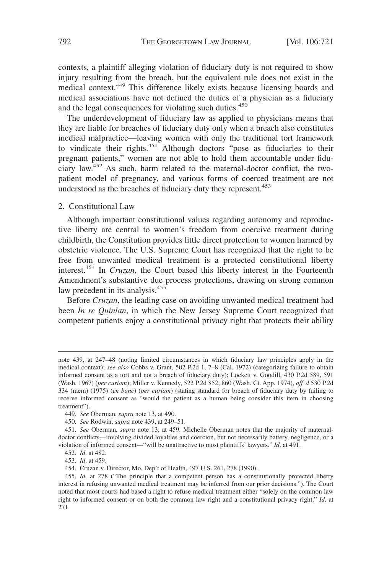contexts, a plaintiff alleging violation of fiduciary duty is not required to show injury resulting from the breach, but the equivalent rule does not exist in the medical context.449 This difference likely exists because licensing boards and medical associations have not defined the duties of a physician as a fiduciary and the legal consequences for violating such duties.<sup>450</sup>

The underdevelopment of fiduciary law as applied to physicians means that they are liable for breaches of fiduciary duty only when a breach also constitutes medical malpractice—leaving women with only the traditional tort framework to vindicate their rights.<sup>451</sup> Although doctors "pose as fiduciaries to their pregnant patients," women are not able to hold them accountable under fiduciary law.<sup>452</sup> As such, harm related to the maternal-doctor conflict, the twopatient model of pregnancy, and various forms of coerced treatment are not understood as the breaches of fiduciary duty they represent.<sup>453</sup>

# 2. Constitutional Law

Although important constitutional values regarding autonomy and reproductive liberty are central to women's freedom from coercive treatment during childbirth, the Constitution provides little direct protection to women harmed by obstetric violence. The U.S. Supreme Court has recognized that the right to be free from unwanted medical treatment is a protected constitutional liberty interest.454 In *Cruzan*, the Court based this liberty interest in the Fourteenth Amendment's substantive due process protections, drawing on strong common law precedent in its analysis.<sup>455</sup>

Before *Cruzan*, the leading case on avoiding unwanted medical treatment had been *In re Quinlan*, in which the New Jersey Supreme Court recognized that competent patients enjoy a constitutional privacy right that protects their ability

note 439, at 247–48 (noting limited circumstances in which fiduciary law principles apply in the medical context); *see also* Cobbs v. Grant, 502 P.2d 1, 7–8 (Cal. 1972) (categorizing failure to obtain informed consent as a tort and not a breach of fiduciary duty); Lockett v. Goodill, 430 P.2d 589, 591 (Wash. 1967) (*per curiam*); Miller v. Kennedy, 522 P.2d 852, 860 (Wash. Ct. App. 1974), *aff'd* 530 P.2d 334 (mem) (1975) (*en banc*) (*per curiam*) (stating standard for breach of fiduciary duty by failing to receive informed consent as "would the patient as a human being consider this item in choosing treatment").

<sup>449.</sup> *See* Oberman, *supra* note 13, at 490.

<sup>450.</sup> *See* Rodwin, *supra* note 439, at 249–51.

<sup>451.</sup> *See* Oberman, *supra* note 13, at 459. Michelle Oberman notes that the majority of maternaldoctor conflicts—involving divided loyalties and coercion, but not necessarily battery, negligence, or a violation of informed consent—"will be unattractive to most plaintiffs' lawyers." *Id*. at 491.

<sup>452.</sup> *Id*. at 482.

<sup>453.</sup> *Id*. at 459.

<sup>454.</sup> Cruzan v. Director, Mo. Dep't of Health, 497 U.S. 261, 278 (1990).

<sup>455.</sup> *Id.* at 278 ("The principle that a competent person has a constitutionally protected liberty interest in refusing unwanted medical treatment may be inferred from our prior decisions."). The Court noted that most courts had based a right to refuse medical treatment either "solely on the common law right to informed consent or on both the common law right and a constitutional privacy right." *Id*. at 271.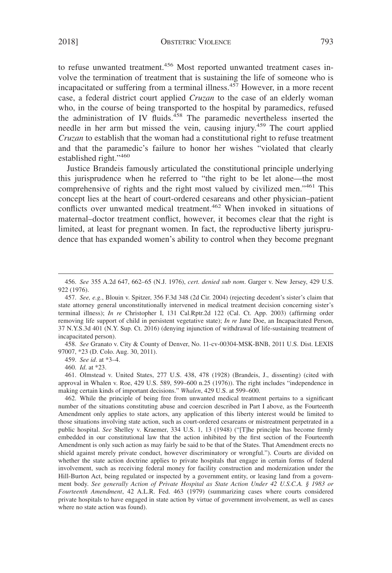2018] OBSTETRIC VIOLENCE 793

to refuse unwanted treatment.<sup>456</sup> Most reported unwanted treatment cases involve the termination of treatment that is sustaining the life of someone who is incapacitated or suffering from a terminal illness.<sup>457</sup> However, in a more recent case, a federal district court applied *Cruzan* to the case of an elderly woman who, in the course of being transported to the hospital by paramedics, refused the administration of IV fluids.<sup>458</sup> The paramedic nevertheless inserted the needle in her arm but missed the vein, causing injury.<sup>459</sup> The court applied *Cruzan* to establish that the woman had a constitutional right to refuse treatment and that the paramedic's failure to honor her wishes "violated that clearly established right."460

Justice Brandeis famously articulated the constitutional principle underlying this jurisprudence when he referred to "the right to be let alone—the most comprehensive of rights and the right most valued by civilized men."<sup>461</sup> This concept lies at the heart of court-ordered cesareans and other physician–patient conflicts over unwanted medical treatment.<sup>462</sup> When invoked in situations of maternal–doctor treatment conflict, however, it becomes clear that the right is limited, at least for pregnant women. In fact, the reproductive liberty jurisprudence that has expanded women's ability to control when they become pregnant

458. *See* Granato v. City & County of Denver, No. 11-cv-00304-MSK-BNB, 2011 U.S. Dist. LEXIS 97007, \*23 (D. Colo. Aug. 30, 2011).

459. *See id*. at \*3–4.

460. *Id*. at \*23.

461. Olmstead v. United States, 277 U.S. 438, 478 (1928) (Brandeis, J., dissenting) (cited with approval in Whalen v. Roe, 429 U.S. 589, 599–600 n.25 (1976)). The right includes "independence in making certain kinds of important decisions." *Whalen*, 429 U.S. at 599–600.

462. While the principle of being free from unwanted medical treatment pertains to a significant number of the situations constituting abuse and coercion described in Part I above, as the Fourteenth Amendment only applies to state actors, any application of this liberty interest would be limited to those situations involving state action, such as court-ordered cesareans or mistreatment perpetrated in a public hospital. *See* Shelley v. Kraemer, 334 U.S. 1, 13 (1948) ("[T]he principle has become firmly embedded in our constitutional law that the action inhibited by the first section of the Fourteenth Amendment is only such action as may fairly be said to be that of the States. That Amendment erects no shield against merely private conduct, however discriminatory or wrongful."). Courts are divided on whether the state action doctrine applies to private hospitals that engage in certain forms of federal involvement, such as receiving federal money for facility construction and modernization under the Hill-Burton Act, being regulated or inspected by a government entity, or leasing land from a government body. *See generally Action of Private Hospital as State Action Under 42 U.S.C.A. § 1983 or Fourteenth Amendment*, 42 A.L.R. Fed. 463 (1979) (summarizing cases where courts considered private hospitals to have engaged in state action by virtue of government involvement, as well as cases where no state action was found).

<sup>456.</sup> *See* 355 A.2d 647, 662–65 (N.J. 1976), *cert. denied sub nom*. Garger v. New Jersey, 429 U.S. 922 (1976).

<sup>457.</sup> *See, e.g.*, Blouin v. Spitzer, 356 F.3d 348 (2d Cir. 2004) (rejecting decedent's sister's claim that state attorney general unconstitutionally intervened in medical treatment decision concerning sister's terminal illness); *In re* Christopher I, 131 Cal.Rptr.2d 122 (Cal. Ct. App. 2003) (affirming order removing life support of child in persistent vegetative state); *In re* Jane Doe, an Incapacitated Person, 37 N.Y.S.3d 401 (N.Y. Sup. Ct. 2016) (denying injunction of withdrawal of life-sustaining treatment of incapacitated person).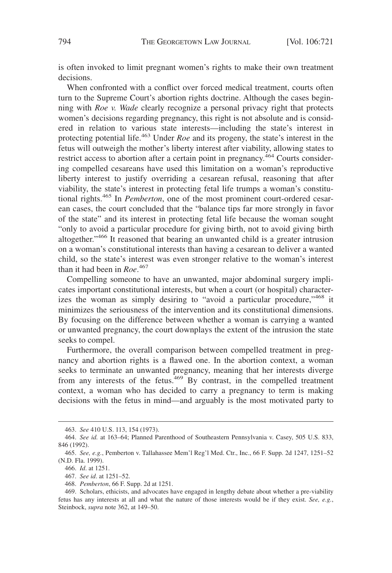is often invoked to limit pregnant women's rights to make their own treatment decisions.

When confronted with a conflict over forced medical treatment, courts often turn to the Supreme Court's abortion rights doctrine. Although the cases beginning with *Roe v. Wade* clearly recognize a personal privacy right that protects women's decisions regarding pregnancy, this right is not absolute and is considered in relation to various state interests—including the state's interest in protecting potential life.<sup>463</sup> Under *Roe* and its progeny, the state's interest in the fetus will outweigh the mother's liberty interest after viability, allowing states to restrict access to abortion after a certain point in pregnancy.<sup>464</sup> Courts considering compelled cesareans have used this limitation on a woman's reproductive liberty interest to justify overriding a cesarean refusal, reasoning that after viability, the state's interest in protecting fetal life trumps a woman's constitutional rights.465 In *Pemberton*, one of the most prominent court-ordered cesarean cases, the court concluded that the "balance tips far more strongly in favor of the state" and its interest in protecting fetal life because the woman sought "only to avoid a particular procedure for giving birth, not to avoid giving birth altogether."466 It reasoned that bearing an unwanted child is a greater intrusion on a woman's constitutional interests than having a cesarean to deliver a wanted child, so the state's interest was even stronger relative to the woman's interest than it had been in *Roe*. 467

Compelling someone to have an unwanted, major abdominal surgery implicates important constitutional interests, but when a court (or hospital) characterizes the woman as simply desiring to "avoid a particular procedure," <sup>468</sup> it minimizes the seriousness of the intervention and its constitutional dimensions. By focusing on the difference between whether a woman is carrying a wanted or unwanted pregnancy, the court downplays the extent of the intrusion the state seeks to compel.

Furthermore, the overall comparison between compelled treatment in pregnancy and abortion rights is a flawed one. In the abortion context, a woman seeks to terminate an unwanted pregnancy, meaning that her interests diverge from any interests of the fetus. $469$  By contrast, in the compelled treatment context, a woman who has decided to carry a pregnancy to term is making decisions with the fetus in mind—and arguably is the most motivated party to

<sup>463.</sup> *See* 410 U.S. 113, 154 (1973).

<sup>464.</sup> *See id.* at 163–64; Planned Parenthood of Southeastern Pennsylvania v. Casey, 505 U.S. 833, 846 (1992).

<sup>465.</sup> *See, e.g.*, Pemberton v. Tallahassee Mem'l Reg'l Med. Ctr., Inc., 66 F. Supp. 2d 1247, 1251–52 (N.D. Fla. 1999).

<sup>466.</sup> *Id*. at 1251.

<sup>467.</sup> *See id*. at 1251–52.

<sup>468.</sup> *Pemberton*, 66 F. Supp. 2d at 1251.

<sup>469.</sup> Scholars, ethicists, and advocates have engaged in lengthy debate about whether a pre-viability fetus has any interests at all and what the nature of those interests would be if they exist. *See, e.g.*, Steinbock, *supra* note 362, at 149–50.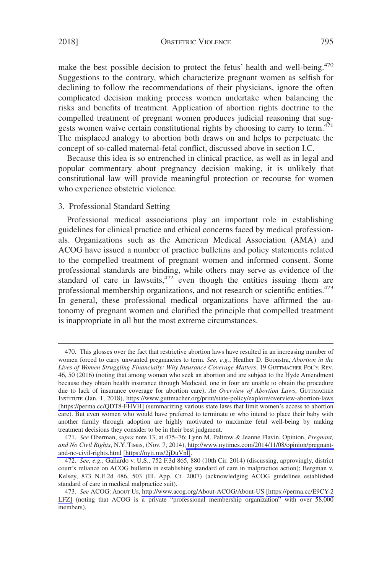2018] **OBSTETRIC VIOLENCE** 795

make the best possible decision to protect the fetus' health and well-being.<sup>470</sup> Suggestions to the contrary, which characterize pregnant women as selfish for declining to follow the recommendations of their physicians, ignore the often complicated decision making process women undertake when balancing the risks and benefits of treatment. Application of abortion rights doctrine to the compelled treatment of pregnant women produces judicial reasoning that suggests women waive certain constitutional rights by choosing to carry to term. $471$ The misplaced analogy to abortion both draws on and helps to perpetuate the concept of so-called maternal-fetal conflict, discussed above in section I.C.

Because this idea is so entrenched in clinical practice, as well as in legal and popular commentary about pregnancy decision making, it is unlikely that constitutional law will provide meaningful protection or recourse for women who experience obstetric violence.

## 3. Professional Standard Setting

Professional medical associations play an important role in establishing guidelines for clinical practice and ethical concerns faced by medical professionals. Organizations such as the American Medical Association (AMA) and ACOG have issued a number of practice bulletins and policy statements related to the compelled treatment of pregnant women and informed consent. Some professional standards are binding, while others may serve as evidence of the standard of care in lawsuits, $472$  even though the entities issuing them are professional membership organizations, and not research or scientific entities.<sup>473</sup> In general, these professional medical organizations have affirmed the autonomy of pregnant women and clarified the principle that compelled treatment is inappropriate in all but the most extreme circumstances.

<sup>470.</sup> This glosses over the fact that restrictive abortion laws have resulted in an increasing number of women forced to carry unwanted pregnancies to term. *See, e.g.*, Heather D. Boonstra, *Abortion in the Lives of Women Struggling Financially: Why Insurance Coverage Matters*, 19 GUTTMACHER POL'Y. REV. 46, 50 (2016) (noting that among women who seek an abortion and are subject to the Hyde Amendment because they obtain health insurance through Medicaid, one in four are unable to obtain the procedure due to lack of insurance coverage for abortion care); *An Overview of Abortion Laws*, GUTTMACHER INSTITUTE (Jan. 1, 2018), <https://www.guttmacher.org/print/state-policy/explore/overview-abortion-laws> [\[https://perma.cc/QDT8-FHVH\]](https://perma.cc/QDT8-FHVH) (summarizing various state laws that limit women's access to abortion care). But even women who would have preferred to terminate or who intend to place their baby with another family through adoption are highly motivated to maximize fetal well-being by making treatment decisions they consider to be in their best judgment.

*See* Oberman, *supra* note 13, at 475–76; Lynn M. Paltrow & Jeanne Flavin, Opinion, *Pregnant,*  471. *and No Civil Rights*, N.Y. TIMES, (Nov. 7, 2014), [http://www.nytimes.com/2014/11/08/opinion/pregnant](http://www.nytimes.com/2014/11/08/opinion/pregnant-and-no-civil-rights.html)[nd-no-civil-rights.html](http://www.nytimes.com/2014/11/08/opinion/pregnant-and-no-civil-rights.html) [\[https://nyti.ms/2jDuVnl\]](https://nyti.ms/2jDuVnl). a

<sup>472.</sup> *See, e.g.*, Gallardo v. U.S., 752 F.3d 865, 880 (10th Cir. 2014) (discussing, approvingly, district court's reliance on ACOG bulletin in establishing standard of care in malpractice action); Bergman v. Kelsey, 873 N.E.2d 486, 503 (Ill. App. Ct. 2007) (acknowledging ACOG guidelines established standard of care in medical malpractice suit).

 <sup>473.</sup> *See* ACOG: ABOUT US,<http://www.acog.org/About-ACOG/About-US> [\[https://perma.cc/E9CY-2](https://perma.cc/E9CY-2LFZ)  [LFZ\]](https://perma.cc/E9CY-2LFZ) (noting that ACOG is a private "professional membership organization" with over 58,000 members).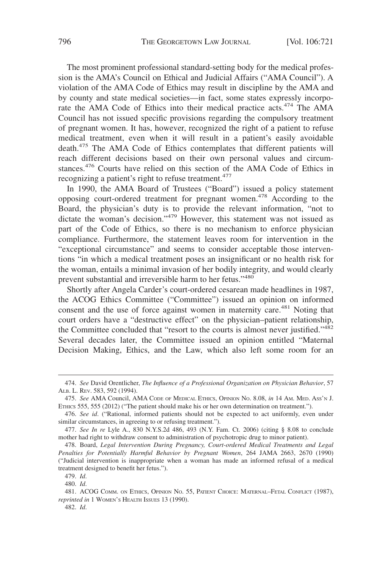The most prominent professional standard-setting body for the medical profession is the AMA's Council on Ethical and Judicial Affairs ("AMA Council"). A violation of the AMA Code of Ethics may result in discipline by the AMA and by county and state medical societies—in fact, some states expressly incorporate the AMA Code of Ethics into their medical practice acts.<sup>474</sup> The AMA Council has not issued specific provisions regarding the compulsory treatment of pregnant women. It has, however, recognized the right of a patient to refuse medical treatment, even when it will result in a patient's easily avoidable death.475 The AMA Code of Ethics contemplates that different patients will reach different decisions based on their own personal values and circumstances.476 Courts have relied on this section of the AMA Code of Ethics in recognizing a patient's right to refuse treatment.<sup>477</sup>

In 1990, the AMA Board of Trustees ("Board") issued a policy statement opposing court-ordered treatment for pregnant women.478 According to the Board, the physician's duty is to provide the relevant information, "not to dictate the woman's decision."<sup>479</sup> However, this statement was not issued as part of the Code of Ethics, so there is no mechanism to enforce physician compliance. Furthermore, the statement leaves room for intervention in the "exceptional circumstance" and seems to consider acceptable those interventions "in which a medical treatment poses an insignificant or no health risk for the woman, entails a minimal invasion of her bodily integrity, and would clearly prevent substantial and irreversible harm to her fetus."<sup>480</sup>

Shortly after Angela Carder's court-ordered cesarean made headlines in 1987, the ACOG Ethics Committee ("Committee") issued an opinion on informed consent and the use of force against women in maternity care.<sup>481</sup> Noting that court orders have a "destructive effect" on the physician–patient relationship, the Committee concluded that "resort to the courts is almost never justified."<sup>482</sup> Several decades later, the Committee issued an opinion entitled "Maternal Decision Making, Ethics, and the Law, which also left some room for an

<sup>474.</sup> *See* David Orentlicher, *The Influence of a Professional Organization on Physician Behavior*, 57 ALB. L. REV. 583, 592 (1994).

<sup>475.</sup> *See* AMA Council, AMA CODE OF MEDICAL ETHICS, OPINION NO. 8.08, *in* 14 AM. MED. ASS'N J. ETHICS 555, 555 (2012) ("The patient should make his or her own determination on treatment.").

<sup>476.</sup> *See id*. ("Rational, informed patients should not be expected to act uniformly, even under similar circumstances, in agreeing to or refusing treatment.").

<sup>477.</sup> *See In re* Lyle A., 830 N.Y.S.2d 486, 493 (N.Y. Fam. Ct. 2006) (citing § 8.08 to conclude mother had right to withdraw consent to administration of psychotropic drug to minor patient).

<sup>478.</sup> Board, *Legal Intervention During Pregnancy, Court-ordered Medical Treatments and Legal Penalties for Potentially Harmful Behavior by Pregnant Women*, 264 JAMA 2663, 2670 (1990) ("Judicial intervention is inappropriate when a woman has made an informed refusal of a medical treatment designed to benefit her fetus.").

<sup>479.</sup> *Id*.

<sup>480.</sup> *Id*.

<sup>481.</sup> ACOG COMM. ON ETHICS, OPINION NO. 55, PATIENT CHOICE: MATERNAL–FETAL CONFLICT (1987), *reprinted in* 1 WOMEN'S HEALTH ISSUES 13 (1990).

<sup>482.</sup> *Id*.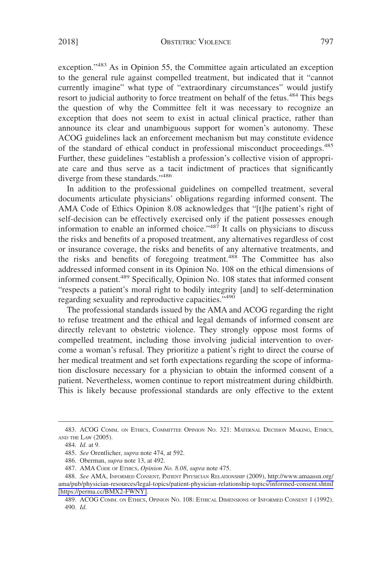exception."483 As in Opinion 55, the Committee again articulated an exception to the general rule against compelled treatment, but indicated that it "cannot currently imagine" what type of "extraordinary circumstances" would justify resort to judicial authority to force treatment on behalf of the fetus.<sup>484</sup> This begs the question of why the Committee felt it was necessary to recognize an exception that does not seem to exist in actual clinical practice, rather than announce its clear and unambiguous support for women's autonomy. These ACOG guidelines lack an enforcement mechanism but may constitute evidence of the standard of ethical conduct in professional misconduct proceedings.<sup>485</sup> Further, these guidelines "establish a profession's collective vision of appropriate care and thus serve as a tacit indictment of practices that significantly diverge from these standards."<sup>486</sup>

In addition to the professional guidelines on compelled treatment, several documents articulate physicians' obligations regarding informed consent. The AMA Code of Ethics Opinion 8.08 acknowledges that "[t]he patient's right of self-decision can be effectively exercised only if the patient possesses enough information to enable an informed choice." $487$  It calls on physicians to discuss the risks and benefits of a proposed treatment, any alternatives regardless of cost or insurance coverage, the risks and benefits of any alternative treatments, and the risks and benefits of foregoing treatment.<sup>488</sup> The Committee has also addressed informed consent in its Opinion No. 108 on the ethical dimensions of informed consent.489 Specifically, Opinion No. 108 states that informed consent "respects a patient's moral right to bodily integrity [and] to self-determination regarding sexuality and reproductive capacities."<sup>490</sup>

The professional standards issued by the AMA and ACOG regarding the right to refuse treatment and the ethical and legal demands of informed consent are directly relevant to obstetric violence. They strongly oppose most forms of compelled treatment, including those involving judicial intervention to overcome a woman's refusal. They prioritize a patient's right to direct the course of her medical treatment and set forth expectations regarding the scope of information disclosure necessary for a physician to obtain the informed consent of a patient. Nevertheless, women continue to report mistreatment during childbirth. This is likely because professional standards are only effective to the extent

<sup>483.</sup> ACOG COMM. ON ETHICS, COMMITTEE OPINION NO. 321: MATERNAL DECISION MAKING, ETHICS, AND THE LAW (2005).

<sup>484.</sup> *Id*. at 9.

<sup>485.</sup> *See* Orentlicher, *supra* note 474, at 592.

<sup>486.</sup> Oberman, *supra* note 13, at 492.

<sup>487.</sup> AMA CODE OF ETHICS, *Opinion No. 8.08*, *supra* note 475.

<sup>. 488</sup> *See* AMA, INFORMED CONSENT, PATIENT PHYSICIAN RELATIONSHIP (2009)[, http://www.amaassn.org/](http://www.amaassn.org/ama/pub/physician-resources/legal-topics/patient-physician-relationship-topics/informed-consent.shtml)  [ama/pub/physician-resources/legal-topics/patient-physician-relationship-topics/informed-consent.shtml](http://www.amaassn.org/ama/pub/physician-resources/legal-topics/patient-physician-relationship-topics/informed-consent.shtml)  [\[https://perma.cc/BMX2-FWNY\]](https://perma.cc/BMX2-FWNY).

<sup>489.</sup> ACOG COMM. ON ETHICS, OPINION NO. 108: ETHICAL DIMENSIONS OF INFORMED CONSENT 1 (1992). 490. *Id*.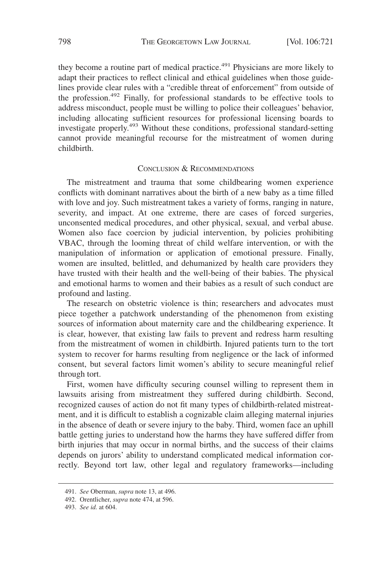they become a routine part of medical practice.<sup>491</sup> Physicians are more likely to adapt their practices to reflect clinical and ethical guidelines when those guidelines provide clear rules with a "credible threat of enforcement" from outside of the profession.492 Finally, for professional standards to be effective tools to address misconduct, people must be willing to police their colleagues' behavior, including allocating sufficient resources for professional licensing boards to investigate properly.<sup>493</sup> Without these conditions, professional standard-setting cannot provide meaningful recourse for the mistreatment of women during childbirth.

## CONCLUSION & RECOMMENDATIONS

The mistreatment and trauma that some childbearing women experience conflicts with dominant narratives about the birth of a new baby as a time filled with love and joy. Such mistreatment takes a variety of forms, ranging in nature, severity, and impact. At one extreme, there are cases of forced surgeries, unconsented medical procedures, and other physical, sexual, and verbal abuse. Women also face coercion by judicial intervention, by policies prohibiting VBAC, through the looming threat of child welfare intervention, or with the manipulation of information or application of emotional pressure. Finally, women are insulted, belittled, and dehumanized by health care providers they have trusted with their health and the well-being of their babies. The physical and emotional harms to women and their babies as a result of such conduct are profound and lasting.

The research on obstetric violence is thin; researchers and advocates must piece together a patchwork understanding of the phenomenon from existing sources of information about maternity care and the childbearing experience. It is clear, however, that existing law fails to prevent and redress harm resulting from the mistreatment of women in childbirth. Injured patients turn to the tort system to recover for harms resulting from negligence or the lack of informed consent, but several factors limit women's ability to secure meaningful relief through tort.

First, women have difficulty securing counsel willing to represent them in lawsuits arising from mistreatment they suffered during childbirth. Second, recognized causes of action do not fit many types of childbirth-related mistreatment, and it is difficult to establish a cognizable claim alleging maternal injuries in the absence of death or severe injury to the baby. Third, women face an uphill battle getting juries to understand how the harms they have suffered differ from birth injuries that may occur in normal births, and the success of their claims depends on jurors' ability to understand complicated medical information correctly. Beyond tort law, other legal and regulatory frameworks—including

<sup>491.</sup> *See* Oberman, *supra* note 13, at 496.

<sup>492.</sup> Orentlicher, *supra* note 474, at 596.

<sup>493.</sup> *See id.* at 604.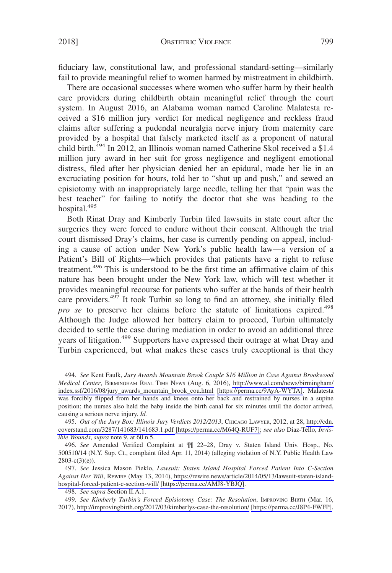fiduciary law, constitutional law, and professional standard-setting—similarly fail to provide meaningful relief to women harmed by mistreatment in childbirth.

There are occasional successes where women who suffer harm by their health care providers during childbirth obtain meaningful relief through the court system. In August 2016, an Alabama woman named Caroline Malatesta received a \$16 million jury verdict for medical negligence and reckless fraud claims after suffering a pudendal neuralgia nerve injury from maternity care provided by a hospital that falsely marketed itself as a proponent of natural child birth.<sup>494</sup> In 2012, an Illinois woman named Catherine Skol received a \$1.4 million jury award in her suit for gross negligence and negligent emotional distress, filed after her physician denied her an epidural, made her lie in an excruciating position for hours, told her to "shut up and push," and sewed an episiotomy with an inappropriately large needle, telling her that "pain was the best teacher" for failing to notify the doctor that she was heading to the hospital.<sup>495</sup>

Both Rinat Dray and Kimberly Turbin filed lawsuits in state court after the surgeries they were forced to endure without their consent. Although the trial court dismissed Dray's claims, her case is currently pending on appeal, including a cause of action under New York's public health law—a version of a Patient's Bill of Rights—which provides that patients have a right to refuse treatment.496 This is understood to be the first time an affirmative claim of this nature has been brought under the New York law, which will test whether it provides meaningful recourse for patients who suffer at the hands of their health care providers. $497$  It took Turbin so long to find an attorney, she initially filed *pro se* to preserve her claims before the statute of limitations expired.<sup>498</sup> Although the Judge allowed her battery claim to proceed, Turbin ultimately decided to settle the case during mediation in order to avoid an additional three years of litigation.<sup>499</sup> Supporters have expressed their outrage at what Dray and Turbin experienced, but what makes these cases truly exceptional is that they

*See* Kent Faulk, *Jury Awards Mountain Brook Couple \$16 Million in Case Against Brookwood*  494. *Medical Center*, BIRMINGHAM REAL TIME NEWS (Aug. 6, 2016), [http://www.al.com/news/birmingham/](http://www.al.com/news/birmingham/index.ssf/2016/08/jury_awards_mountain_brook_cou.html)  [index.ssf/2016/08/jury\\_awards\\_mountain\\_brook\\_cou.html](http://www.al.com/news/birmingham/index.ssf/2016/08/jury_awards_mountain_brook_cou.html) [\[https://perma.cc/9AyA-WYTA\].](https://perma.cc/9AyA-WYTA) Malatesta was forcibly flipped from her hands and knees onto her back and restrained by nurses in a supine position; the nurses also held the baby inside the birth canal for six minutes until the doctor arrived, causing a serious nerve injury. *Id.* 

*Out of the Jury Box: Illinois Jury Verdicts 2012/2013*, CHICAGO LAWYER, 2012, at 28, [http://cdn.](http://cdn.coverstand.com/3287/141683/141683.1.pdf) 495. [coverstand.com/3287/141683/141683.1.pdf](http://cdn.coverstand.com/3287/141683/141683.1.pdf) [\[https://perma.cc/M64Q-RUF7\];](https://perma.cc/M64Q-RUF7) *see also* Diaz-Tello, *Invisible Wounds*, *supra* note 9, at 60 n.5.

<sup>496.</sup> *See* Amended Verified Complaint at ¶¶ 22–28, Dray v. Staten Island Univ. Hosp., No. 500510/14 (N.Y. Sup. Ct., complaint filed Apr. 11, 2014) (alleging violation of N.Y. Public Health Law  $2803-c(3)(e)$ ).

*See* Jessica Mason Pieklo, *Lawsuit: Staten Island Hospital Forced Patient Into C-Section*  497. *Against Her Will*, REWIRE (May 13, 2014), [https://rewire.news/article/2014/05/13/lawsuit-staten-island](https://rewire.news/article/2014/05/13/lawsuit-staten-island-hospital-forced-patient-c-section-will/)[hospital-forced-patient-c-section-will/](https://rewire.news/article/2014/05/13/lawsuit-staten-island-hospital-forced-patient-c-section-will/) [\[https://perma.cc/AMJ8-YBJQ\].](https://perma.cc/AMJ8-YBJQ)

<sup>498.</sup> *See supra* Section II.A.1.

*See Kimberly Turbin's Forced Episiotomy Case: The Resolution*, IMPROVING BIRTH (Mar. 16, 499. 2017),<http://improvingbirth.org/2017/03/kimberlys-case-the-resolution/>[\[https://perma.cc/J8P4-FWFP\].](https://perma.cc/J8P4-FWFP)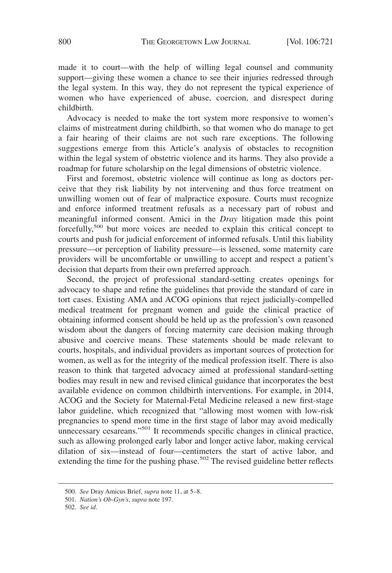made it to court—with the help of willing legal counsel and community support—giving these women a chance to see their injuries redressed through the legal system. In this way, they do not represent the typical experience of women who have experienced of abuse, coercion, and disrespect during childbirth.

Advocacy is needed to make the tort system more responsive to women's claims of mistreatment during childbirth, so that women who do manage to get a fair hearing of their claims are not such rare exceptions. The following suggestions emerge from this Article's analysis of obstacles to recognition within the legal system of obstetric violence and its harms. They also provide a roadmap for future scholarship on the legal dimensions of obstetric violence.

First and foremost, obstetric violence will continue as long as doctors perceive that they risk liability by not intervening and thus force treatment on unwilling women out of fear of malpractice exposure. Courts must recognize and enforce informed treatment refusals as a necessary part of robust and meaningful informed consent. Amici in the *Dray* litigation made this point forcefully,500 but more voices are needed to explain this critical concept to courts and push for judicial enforcement of informed refusals. Until this liability pressure—or perception of liability pressure—is lessened, some maternity care providers will be uncomfortable or unwilling to accept and respect a patient's decision that departs from their own preferred approach.

Second, the project of professional standard-setting creates openings for advocacy to shape and refine the guidelines that provide the standard of care in tort cases. Existing AMA and ACOG opinions that reject judicially-compelled medical treatment for pregnant women and guide the clinical practice of obtaining informed consent should be held up as the profession's own reasoned wisdom about the dangers of forcing maternity care decision making through abusive and coercive means. These statements should be made relevant to courts, hospitals, and individual providers as important sources of protection for women, as well as for the integrity of the medical profession itself. There is also reason to think that targeted advocacy aimed at professional standard-setting bodies may result in new and revised clinical guidance that incorporates the best available evidence on common childbirth interventions. For example, in 2014, ACOG and the Society for Maternal-Fetal Medicine released a new first-stage labor guideline, which recognized that "allowing most women with low-risk pregnancies to spend more time in the first stage of labor may avoid medically unnecessary cesareans."<sup>501</sup> It recommends specific changes in clinical practice, such as allowing prolonged early labor and longer active labor, making cervical dilation of six—instead of four—centimeters the start of active labor, and extending the time for the pushing phase.<sup>502</sup> The revised guideline better reflects

<sup>500.</sup> *See* Dray Amicus Brief, *supra* note 11, at 5–8.

<sup>501.</sup> *Nation's Ob-Gyn's*, *supra* note 197.

<sup>502.</sup> *See id*.